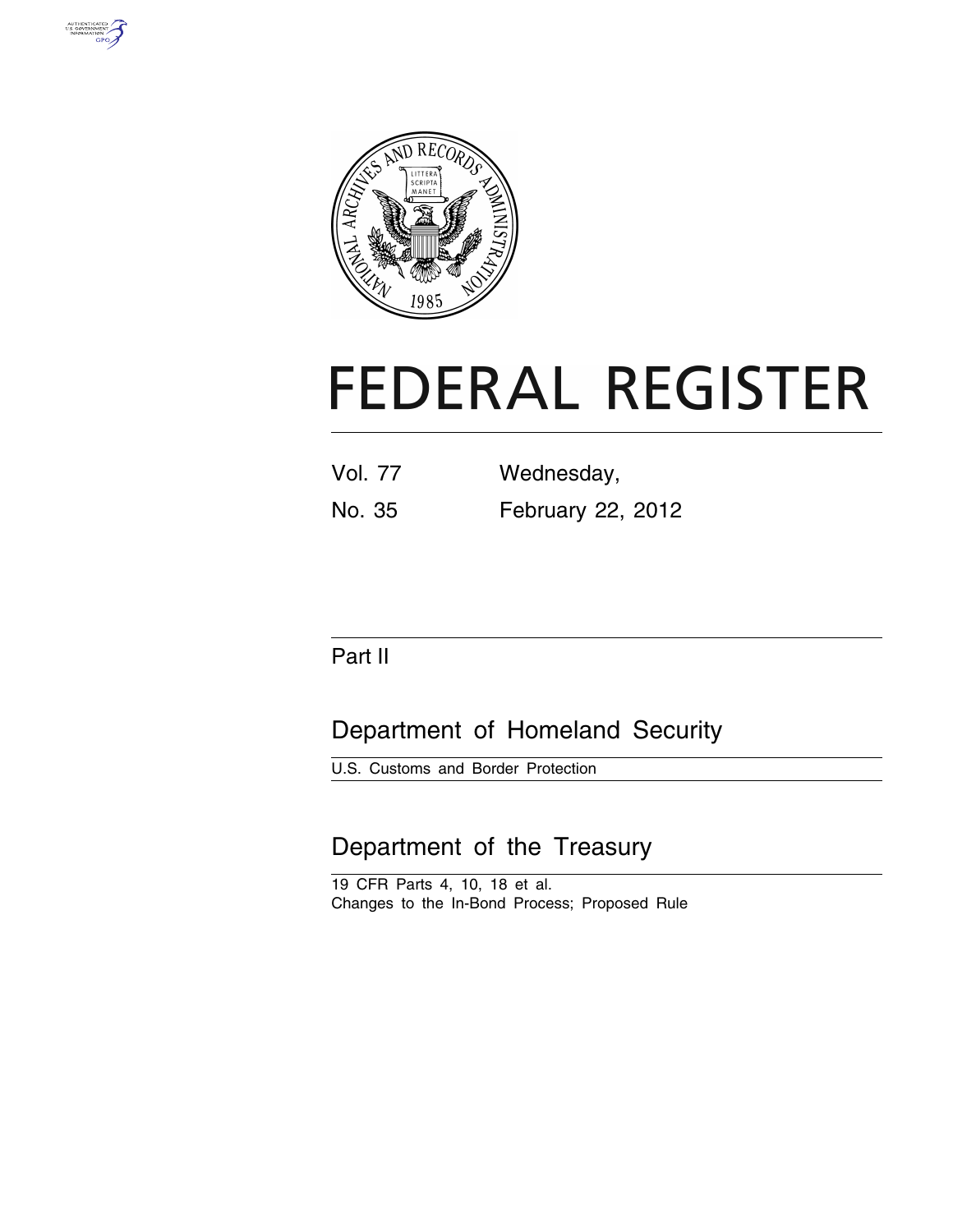



# **FEDERAL REGISTER**

| <b>Vol. 77</b> | Wednesday,        |  |  |
|----------------|-------------------|--|--|
| No. 35         | February 22, 2012 |  |  |

# Part II

# Department of Homeland Security

U.S. Customs and Border Protection

# Department of the Treasury

19 CFR Parts 4, 10, 18 et al. Changes to the In-Bond Process; Proposed Rule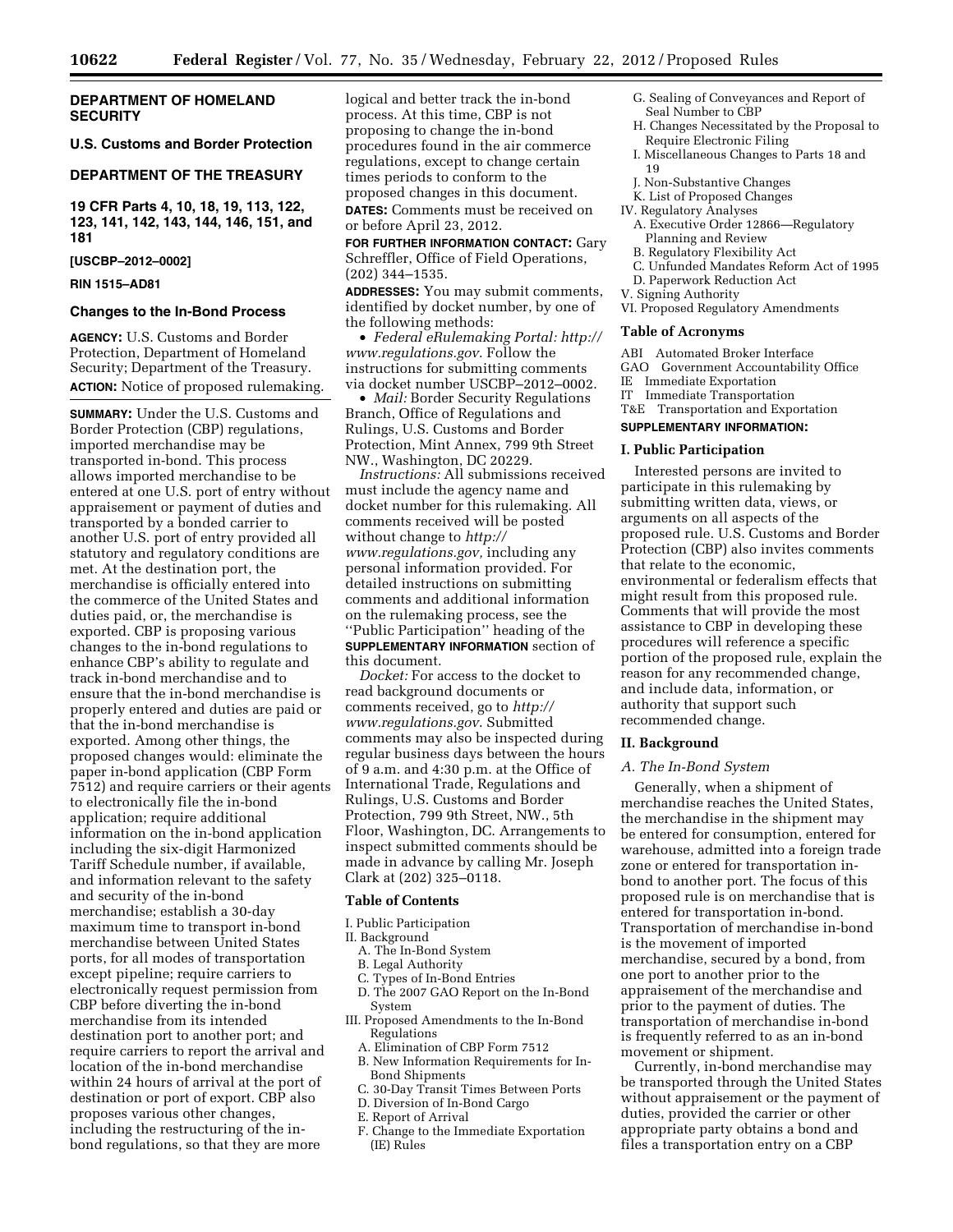# **DEPARTMENT OF HOMELAND SECURITY**

#### **U.S. Customs and Border Protection**

#### **DEPARTMENT OF THE TREASURY**

**19 CFR Parts 4, 10, 18, 19, 113, 122, 123, 141, 142, 143, 144, 146, 151, and 181** 

#### **[USCBP–2012–0002]**

# **RIN 1515–AD81**

#### **Changes to the In-Bond Process**

**AGENCY:** U.S. Customs and Border Protection, Department of Homeland Security; Department of the Treasury. **ACTION:** Notice of proposed rulemaking.

**SUMMARY:** Under the U.S. Customs and Border Protection (CBP) regulations, imported merchandise may be transported in-bond. This process allows imported merchandise to be entered at one U.S. port of entry without appraisement or payment of duties and transported by a bonded carrier to another U.S. port of entry provided all statutory and regulatory conditions are met. At the destination port, the merchandise is officially entered into the commerce of the United States and duties paid, or, the merchandise is exported. CBP is proposing various changes to the in-bond regulations to enhance CBP's ability to regulate and track in-bond merchandise and to ensure that the in-bond merchandise is properly entered and duties are paid or that the in-bond merchandise is exported. Among other things, the proposed changes would: eliminate the paper in-bond application (CBP Form 7512) and require carriers or their agents to electronically file the in-bond application; require additional information on the in-bond application including the six-digit Harmonized Tariff Schedule number, if available, and information relevant to the safety and security of the in-bond merchandise; establish a 30-day maximum time to transport in-bond merchandise between United States ports, for all modes of transportation except pipeline; require carriers to electronically request permission from CBP before diverting the in-bond merchandise from its intended destination port to another port; and require carriers to report the arrival and location of the in-bond merchandise within 24 hours of arrival at the port of destination or port of export. CBP also proposes various other changes, including the restructuring of the inbond regulations, so that they are more

logical and better track the in-bond process. At this time, CBP is not proposing to change the in-bond procedures found in the air commerce regulations, except to change certain times periods to conform to the proposed changes in this document. **DATES:** Comments must be received on or before April 23, 2012.

**FOR FURTHER INFORMATION CONTACT:** Gary Schreffler, Office of Field Operations, (202) 344–1535.

**ADDRESSES:** You may submit comments, identified by docket number, by one of the following methods:

• *Federal eRulemaking Portal: [http://](http://www.regulations.gov)  [www.regulations.gov](http://www.regulations.gov)*. Follow the instructions for submitting comments via docket number USCBP–2012–0002.

• *Mail:* Border Security Regulations Branch, Office of Regulations and Rulings, U.S. Customs and Border Protection, Mint Annex, 799 9th Street NW., Washington, DC 20229.

*Instructions:* All submissions received must include the agency name and docket number for this rulemaking. All comments received will be posted without change to *[http://](http://www.regulations.gov) [www.regulations.gov,](http://www.regulations.gov)* including any personal information provided. For detailed instructions on submitting comments and additional information on the rulemaking process, see the ''Public Participation'' heading of the **SUPPLEMENTARY INFORMATION** section of this document.

*Docket:* For access to the docket to read background documents or comments received, go to *[http://](http://www.regulations.gov)  [www.regulations.gov](http://www.regulations.gov)*. Submitted comments may also be inspected during regular business days between the hours of 9 a.m. and 4:30 p.m. at the Office of International Trade, Regulations and Rulings, U.S. Customs and Border Protection, 799 9th Street, NW., 5th Floor, Washington, DC. Arrangements to inspect submitted comments should be made in advance by calling Mr. Joseph Clark at (202) 325–0118.

#### **Table of Contents**

I. Public Participation

#### II. Background

- A. The In-Bond System
- B. Legal Authority
- C. Types of In-Bond Entries
- D. The 2007 GAO Report on the In-Bond System
- III. Proposed Amendments to the In-Bond Regulations
	- A. Elimination of CBP Form 7512
	- B. New Information Requirements for In-Bond Shipments
	- C. 30-Day Transit Times Between Ports
	- D. Diversion of In-Bond Cargo
- E. Report of Arrival
- F. Change to the Immediate Exportation (IE) Rules
- G. Sealing of Conveyances and Report of Seal Number to CBP
- H. Changes Necessitated by the Proposal to Require Electronic Filing
- I. Miscellaneous Changes to Parts 18 and 19
- J. Non-Substantive Changes
- K. List of Proposed Changes

#### IV. Regulatory Analyses

- A. Executive Order 12866—Regulatory Planning and Review
- B. Regulatory Flexibility Act
- C. Unfunded Mandates Reform Act of 1995
- D. Paperwork Reduction Act
- V. Signing Authority
- VI. Proposed Regulatory Amendments

#### **Table of Acronyms**

- ABI Automated Broker Interface
- GAO Government Accountability Office
- IE Immediate Exportation
- IT Immediate Transportation
- T&E Transportation and Exportation

# **SUPPLEMENTARY INFORMATION:**

#### **I. Public Participation**

Interested persons are invited to participate in this rulemaking by submitting written data, views, or arguments on all aspects of the proposed rule. U.S. Customs and Border Protection (CBP) also invites comments that relate to the economic, environmental or federalism effects that might result from this proposed rule. Comments that will provide the most assistance to CBP in developing these procedures will reference a specific portion of the proposed rule, explain the reason for any recommended change, and include data, information, or authority that support such recommended change.

# **II. Background**

#### *A. The In-Bond System*

Generally, when a shipment of merchandise reaches the United States, the merchandise in the shipment may be entered for consumption, entered for warehouse, admitted into a foreign trade zone or entered for transportation inbond to another port. The focus of this proposed rule is on merchandise that is entered for transportation in-bond. Transportation of merchandise in-bond is the movement of imported merchandise, secured by a bond, from one port to another prior to the appraisement of the merchandise and prior to the payment of duties. The transportation of merchandise in-bond is frequently referred to as an in-bond movement or shipment.

Currently, in-bond merchandise may be transported through the United States without appraisement or the payment of duties, provided the carrier or other appropriate party obtains a bond and files a transportation entry on a CBP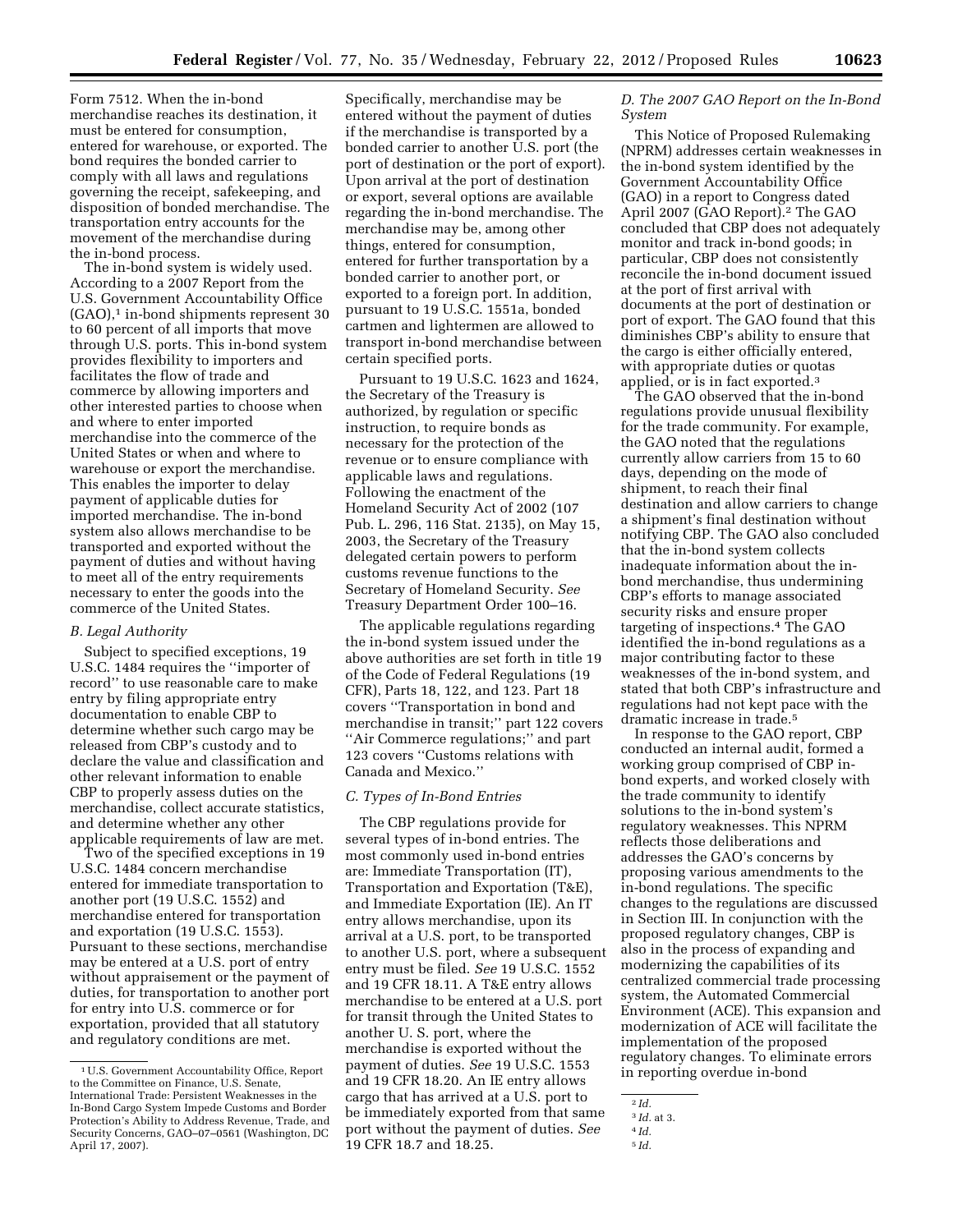Form 7512. When the in-bond merchandise reaches its destination, it must be entered for consumption, entered for warehouse, or exported. The bond requires the bonded carrier to comply with all laws and regulations governing the receipt, safekeeping, and disposition of bonded merchandise. The transportation entry accounts for the movement of the merchandise during the in-bond process.

The in-bond system is widely used. According to a 2007 Report from the U.S. Government Accountability Office  $(GAO)$ ,<sup>1</sup> in-bond shipments represent 30 to 60 percent of all imports that move through U.S. ports. This in-bond system provides flexibility to importers and facilitates the flow of trade and commerce by allowing importers and other interested parties to choose when and where to enter imported merchandise into the commerce of the United States or when and where to warehouse or export the merchandise. This enables the importer to delay payment of applicable duties for imported merchandise. The in-bond system also allows merchandise to be transported and exported without the payment of duties and without having to meet all of the entry requirements necessary to enter the goods into the commerce of the United States.

# *B. Legal Authority*

Subject to specified exceptions, 19 U.S.C. 1484 requires the ''importer of record'' to use reasonable care to make entry by filing appropriate entry documentation to enable CBP to determine whether such cargo may be released from CBP's custody and to declare the value and classification and other relevant information to enable CBP to properly assess duties on the merchandise, collect accurate statistics, and determine whether any other applicable requirements of law are met.

Two of the specified exceptions in 19 U.S.C. 1484 concern merchandise entered for immediate transportation to another port (19 U.S.C. 1552) and merchandise entered for transportation and exportation (19 U.S.C. 1553). Pursuant to these sections, merchandise may be entered at a U.S. port of entry without appraisement or the payment of duties, for transportation to another port for entry into U.S. commerce or for exportation, provided that all statutory and regulatory conditions are met.

Specifically, merchandise may be entered without the payment of duties if the merchandise is transported by a bonded carrier to another U.S. port (the port of destination or the port of export). Upon arrival at the port of destination or export, several options are available regarding the in-bond merchandise. The merchandise may be, among other things, entered for consumption, entered for further transportation by a bonded carrier to another port, or exported to a foreign port. In addition, pursuant to 19 U.S.C. 1551a, bonded cartmen and lightermen are allowed to transport in-bond merchandise between certain specified ports.

Pursuant to 19 U.S.C. 1623 and 1624, the Secretary of the Treasury is authorized, by regulation or specific instruction, to require bonds as necessary for the protection of the revenue or to ensure compliance with applicable laws and regulations. Following the enactment of the Homeland Security Act of 2002 (107 Pub. L. 296, 116 Stat. 2135), on May 15, 2003, the Secretary of the Treasury delegated certain powers to perform customs revenue functions to the Secretary of Homeland Security. *See*  Treasury Department Order 100–16.

The applicable regulations regarding the in-bond system issued under the above authorities are set forth in title 19 of the Code of Federal Regulations (19 CFR), Parts 18, 122, and 123. Part 18 covers ''Transportation in bond and merchandise in transit;'' part 122 covers ''Air Commerce regulations;'' and part 123 covers ''Customs relations with Canada and Mexico.''

# *C. Types of In-Bond Entries*

The CBP regulations provide for several types of in-bond entries. The most commonly used in-bond entries are: Immediate Transportation (IT), Transportation and Exportation (T&E), and Immediate Exportation (IE). An IT entry allows merchandise, upon its arrival at a U.S. port, to be transported to another U.S. port, where a subsequent entry must be filed. *See* 19 U.S.C. 1552 and 19 CFR 18.11. A T&E entry allows merchandise to be entered at a U.S. port for transit through the United States to another U. S. port, where the merchandise is exported without the payment of duties. *See* 19 U.S.C. 1553 and 19 CFR 18.20. An IE entry allows cargo that has arrived at a U.S. port to be immediately exported from that same port without the payment of duties. *See*  19 CFR 18.7 and 18.25.

# *D. The 2007 GAO Report on the In-Bond System*

This Notice of Proposed Rulemaking (NPRM) addresses certain weaknesses in the in-bond system identified by the Government Accountability Office (GAO) in a report to Congress dated April 2007 (GAO Report).2 The GAO concluded that CBP does not adequately monitor and track in-bond goods; in particular, CBP does not consistently reconcile the in-bond document issued at the port of first arrival with documents at the port of destination or port of export. The GAO found that this diminishes CBP's ability to ensure that the cargo is either officially entered, with appropriate duties or quotas applied, or is in fact exported.3

The GAO observed that the in-bond regulations provide unusual flexibility for the trade community. For example, the GAO noted that the regulations currently allow carriers from 15 to 60 days, depending on the mode of shipment, to reach their final destination and allow carriers to change a shipment's final destination without notifying CBP. The GAO also concluded that the in-bond system collects inadequate information about the inbond merchandise, thus undermining CBP's efforts to manage associated security risks and ensure proper targeting of inspections.4 The GAO identified the in-bond regulations as a major contributing factor to these weaknesses of the in-bond system, and stated that both CBP's infrastructure and regulations had not kept pace with the dramatic increase in trade.5

In response to the GAO report, CBP conducted an internal audit, formed a working group comprised of CBP inbond experts, and worked closely with the trade community to identify solutions to the in-bond system's regulatory weaknesses. This NPRM reflects those deliberations and addresses the GAO's concerns by proposing various amendments to the in-bond regulations. The specific changes to the regulations are discussed in Section III. In conjunction with the proposed regulatory changes, CBP is also in the process of expanding and modernizing the capabilities of its centralized commercial trade processing system, the Automated Commercial Environment (ACE). This expansion and modernization of ACE will facilitate the implementation of the proposed regulatory changes. To eliminate errors in reporting overdue in-bond

<sup>1</sup>U.S. Government Accountability Office, Report to the Committee on Finance, U.S. Senate, International Trade: Persistent Weaknesses in the In-Bond Cargo System Impede Customs and Border Protection's Ability to Address Revenue, Trade, and Security Concerns, GAO–07–0561 (Washington, DC April 17, 2007).

<sup>2</sup> *Id.* 

<sup>3</sup> *Id.* at 3.

<sup>4</sup> *Id.*  5 *Id.*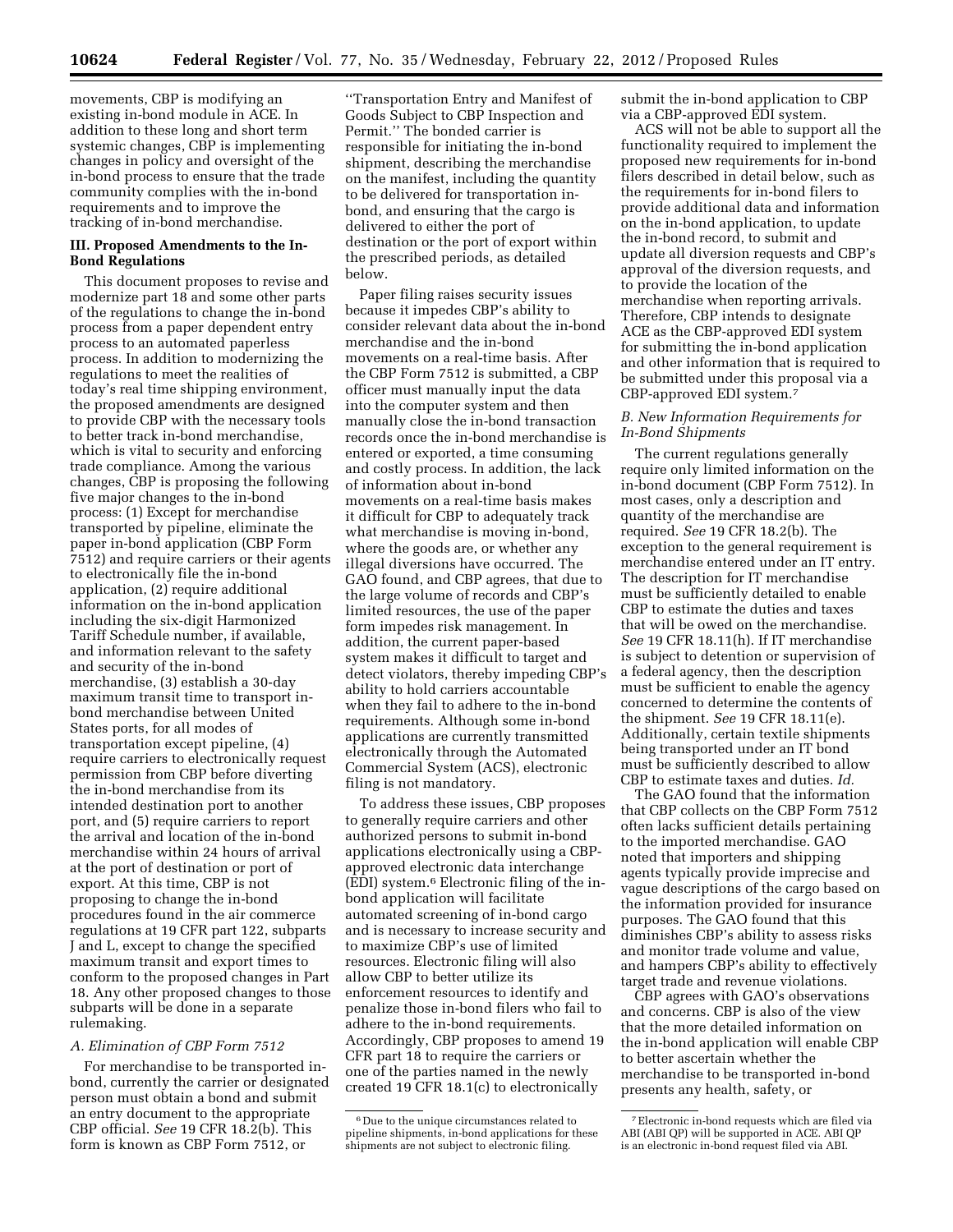movements, CBP is modifying an existing in-bond module in ACE. In addition to these long and short term systemic changes, CBP is implementing changes in policy and oversight of the in-bond process to ensure that the trade community complies with the in-bond requirements and to improve the tracking of in-bond merchandise.

# **III. Proposed Amendments to the In-Bond Regulations**

This document proposes to revise and modernize part 18 and some other parts of the regulations to change the in-bond process from a paper dependent entry process to an automated paperless process. In addition to modernizing the regulations to meet the realities of today's real time shipping environment, the proposed amendments are designed to provide CBP with the necessary tools to better track in-bond merchandise, which is vital to security and enforcing trade compliance. Among the various changes, CBP is proposing the following five major changes to the in-bond process: (1) Except for merchandise transported by pipeline, eliminate the paper in-bond application (CBP Form 7512) and require carriers or their agents to electronically file the in-bond application, (2) require additional information on the in-bond application including the six-digit Harmonized Tariff Schedule number, if available, and information relevant to the safety and security of the in-bond merchandise, (3) establish a 30-day maximum transit time to transport inbond merchandise between United States ports, for all modes of transportation except pipeline, (4) require carriers to electronically request permission from CBP before diverting the in-bond merchandise from its intended destination port to another port, and (5) require carriers to report the arrival and location of the in-bond merchandise within 24 hours of arrival at the port of destination or port of export. At this time, CBP is not proposing to change the in-bond procedures found in the air commerce regulations at 19 CFR part 122, subparts J and L, except to change the specified maximum transit and export times to conform to the proposed changes in Part 18. Any other proposed changes to those subparts will be done in a separate rulemaking.

# *A. Elimination of CBP Form 7512*

For merchandise to be transported inbond, currently the carrier or designated person must obtain a bond and submit an entry document to the appropriate CBP official. *See* 19 CFR 18.2(b). This form is known as CBP Form 7512, or

''Transportation Entry and Manifest of Goods Subject to CBP Inspection and Permit.'' The bonded carrier is responsible for initiating the in-bond shipment, describing the merchandise on the manifest, including the quantity to be delivered for transportation inbond, and ensuring that the cargo is delivered to either the port of destination or the port of export within the prescribed periods, as detailed below.

Paper filing raises security issues because it impedes CBP's ability to consider relevant data about the in-bond merchandise and the in-bond movements on a real-time basis. After the CBP Form 7512 is submitted, a CBP officer must manually input the data into the computer system and then manually close the in-bond transaction records once the in-bond merchandise is entered or exported, a time consuming and costly process. In addition, the lack of information about in-bond movements on a real-time basis makes it difficult for CBP to adequately track what merchandise is moving in-bond, where the goods are, or whether any illegal diversions have occurred. The GAO found, and CBP agrees, that due to the large volume of records and CBP's limited resources, the use of the paper form impedes risk management. In addition, the current paper-based system makes it difficult to target and detect violators, thereby impeding CBP's ability to hold carriers accountable when they fail to adhere to the in-bond requirements. Although some in-bond applications are currently transmitted electronically through the Automated Commercial System (ACS), electronic filing is not mandatory.

To address these issues, CBP proposes to generally require carriers and other authorized persons to submit in-bond applications electronically using a CBPapproved electronic data interchange (EDI) system.6 Electronic filing of the inbond application will facilitate automated screening of in-bond cargo and is necessary to increase security and to maximize CBP's use of limited resources. Electronic filing will also allow CBP to better utilize its enforcement resources to identify and penalize those in-bond filers who fail to adhere to the in-bond requirements. Accordingly, CBP proposes to amend 19 CFR part 18 to require the carriers or one of the parties named in the newly created 19 CFR 18.1(c) to electronically

submit the in-bond application to CBP via a CBP-approved EDI system.

ACS will not be able to support all the functionality required to implement the proposed new requirements for in-bond filers described in detail below, such as the requirements for in-bond filers to provide additional data and information on the in-bond application, to update the in-bond record, to submit and update all diversion requests and CBP's approval of the diversion requests, and to provide the location of the merchandise when reporting arrivals. Therefore, CBP intends to designate ACE as the CBP-approved EDI system for submitting the in-bond application and other information that is required to be submitted under this proposal via a CBP-approved EDI system.7

# *B. New Information Requirements for In-Bond Shipments*

The current regulations generally require only limited information on the in-bond document (CBP Form 7512). In most cases, only a description and quantity of the merchandise are required. *See* 19 CFR 18.2(b). The exception to the general requirement is merchandise entered under an IT entry. The description for IT merchandise must be sufficiently detailed to enable CBP to estimate the duties and taxes that will be owed on the merchandise. *See* 19 CFR 18.11(h). If IT merchandise is subject to detention or supervision of a federal agency, then the description must be sufficient to enable the agency concerned to determine the contents of the shipment. *See* 19 CFR 18.11(e). Additionally, certain textile shipments being transported under an IT bond must be sufficiently described to allow CBP to estimate taxes and duties. *Id.* 

The GAO found that the information that CBP collects on the CBP Form 7512 often lacks sufficient details pertaining to the imported merchandise. GAO noted that importers and shipping agents typically provide imprecise and vague descriptions of the cargo based on the information provided for insurance purposes. The GAO found that this diminishes CBP's ability to assess risks and monitor trade volume and value, and hampers CBP's ability to effectively target trade and revenue violations.

CBP agrees with GAO's observations and concerns. CBP is also of the view that the more detailed information on the in-bond application will enable CBP to better ascertain whether the merchandise to be transported in-bond presents any health, safety, or

<sup>6</sup> Due to the unique circumstances related to pipeline shipments, in-bond applications for these shipments are not subject to electronic filing.

<sup>7</sup>Electronic in-bond requests which are filed via ABI (ABI QP) will be supported in ACE. ABI QP is an electronic in-bond request filed via ABI.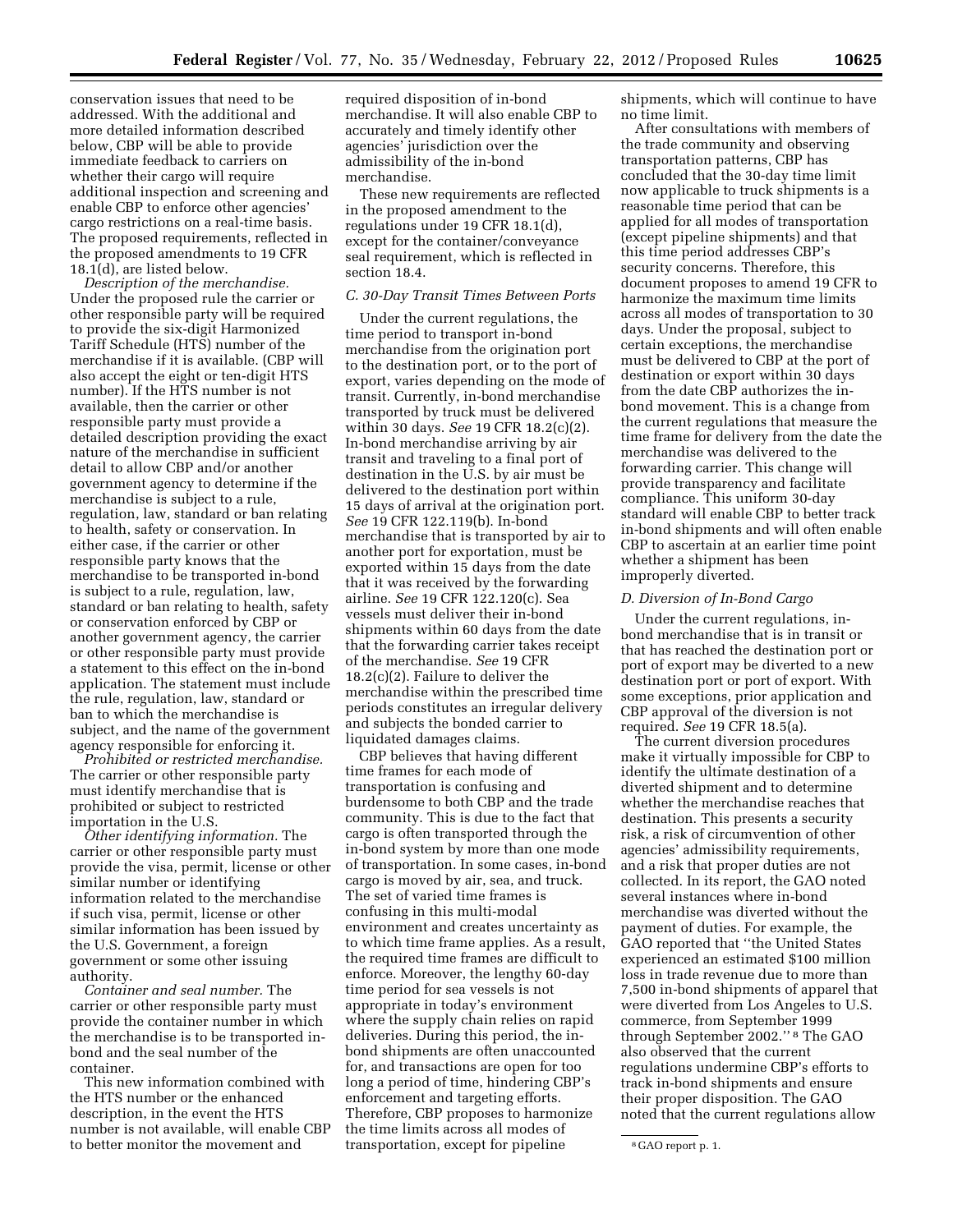conservation issues that need to be addressed. With the additional and more detailed information described below, CBP will be able to provide immediate feedback to carriers on whether their cargo will require additional inspection and screening and enable CBP to enforce other agencies' cargo restrictions on a real-time basis. The proposed requirements, reflected in the proposed amendments to 19 CFR 18.1(d), are listed below.

*Description of the merchandise.*  Under the proposed rule the carrier or other responsible party will be required to provide the six-digit Harmonized Tariff Schedule (HTS) number of the merchandise if it is available. (CBP will also accept the eight or ten-digit HTS number). If the HTS number is not available, then the carrier or other responsible party must provide a detailed description providing the exact nature of the merchandise in sufficient detail to allow CBP and/or another government agency to determine if the merchandise is subject to a rule, regulation, law, standard or ban relating to health, safety or conservation. In either case, if the carrier or other responsible party knows that the merchandise to be transported in-bond is subject to a rule, regulation, law, standard or ban relating to health, safety or conservation enforced by CBP or another government agency, the carrier or other responsible party must provide a statement to this effect on the in-bond application. The statement must include the rule, regulation, law, standard or ban to which the merchandise is subject, and the name of the government agency responsible for enforcing it.

*Prohibited or restricted merchandise.*  The carrier or other responsible party must identify merchandise that is prohibited or subject to restricted importation in the U.S.

*Other identifying information.* The carrier or other responsible party must provide the visa, permit, license or other similar number or identifying information related to the merchandise if such visa, permit, license or other similar information has been issued by the U.S. Government, a foreign government or some other issuing authority.

*Container and seal number.* The carrier or other responsible party must provide the container number in which the merchandise is to be transported inbond and the seal number of the container.

This new information combined with the HTS number or the enhanced description, in the event the HTS number is not available, will enable CBP to better monitor the movement and

required disposition of in-bond merchandise. It will also enable CBP to accurately and timely identify other agencies' jurisdiction over the admissibility of the in-bond merchandise.

These new requirements are reflected in the proposed amendment to the regulations under 19 CFR 18.1(d), except for the container/conveyance seal requirement, which is reflected in section 18.4.

# *C. 30-Day Transit Times Between Ports*

Under the current regulations, the time period to transport in-bond merchandise from the origination port to the destination port, or to the port of export, varies depending on the mode of transit. Currently, in-bond merchandise transported by truck must be delivered within 30 days. *See* 19 CFR 18.2(c)(2). In-bond merchandise arriving by air transit and traveling to a final port of destination in the U.S. by air must be delivered to the destination port within 15 days of arrival at the origination port. *See* 19 CFR 122.119(b). In-bond merchandise that is transported by air to another port for exportation, must be exported within 15 days from the date that it was received by the forwarding airline. *See* 19 CFR 122.120(c). Sea vessels must deliver their in-bond shipments within 60 days from the date that the forwarding carrier takes receipt of the merchandise. *See* 19 CFR 18.2(c)(2). Failure to deliver the merchandise within the prescribed time periods constitutes an irregular delivery and subjects the bonded carrier to liquidated damages claims.

CBP believes that having different time frames for each mode of transportation is confusing and burdensome to both CBP and the trade community. This is due to the fact that cargo is often transported through the in-bond system by more than one mode of transportation. In some cases, in-bond cargo is moved by air, sea, and truck. The set of varied time frames is confusing in this multi-modal environment and creates uncertainty as to which time frame applies. As a result, the required time frames are difficult to enforce. Moreover, the lengthy 60-day time period for sea vessels is not appropriate in today's environment where the supply chain relies on rapid deliveries. During this period, the inbond shipments are often unaccounted for, and transactions are open for too long a period of time, hindering CBP's enforcement and targeting efforts. Therefore, CBP proposes to harmonize the time limits across all modes of transportation, except for pipeline

shipments, which will continue to have no time limit.

After consultations with members of the trade community and observing transportation patterns, CBP has concluded that the 30-day time limit now applicable to truck shipments is a reasonable time period that can be applied for all modes of transportation (except pipeline shipments) and that this time period addresses CBP's security concerns. Therefore, this document proposes to amend 19 CFR to harmonize the maximum time limits across all modes of transportation to 30 days. Under the proposal, subject to certain exceptions, the merchandise must be delivered to CBP at the port of destination or export within 30 days from the date CBP authorizes the inbond movement. This is a change from the current regulations that measure the time frame for delivery from the date the merchandise was delivered to the forwarding carrier. This change will provide transparency and facilitate compliance. This uniform 30-day standard will enable CBP to better track in-bond shipments and will often enable CBP to ascertain at an earlier time point whether a shipment has been improperly diverted.

#### *D. Diversion of In-Bond Cargo*

Under the current regulations, inbond merchandise that is in transit or that has reached the destination port or port of export may be diverted to a new destination port or port of export. With some exceptions, prior application and CBP approval of the diversion is not required. *See* 19 CFR 18.5(a).

The current diversion procedures make it virtually impossible for CBP to identify the ultimate destination of a diverted shipment and to determine whether the merchandise reaches that destination. This presents a security risk, a risk of circumvention of other agencies' admissibility requirements, and a risk that proper duties are not collected. In its report, the GAO noted several instances where in-bond merchandise was diverted without the payment of duties. For example, the GAO reported that ''the United States experienced an estimated \$100 million loss in trade revenue due to more than 7,500 in-bond shipments of apparel that were diverted from Los Angeles to U.S. commerce, from September 1999 through September 2002.'' 8 The GAO also observed that the current regulations undermine CBP's efforts to track in-bond shipments and ensure their proper disposition. The GAO noted that the current regulations allow

<sup>8</sup> GAO report p. 1.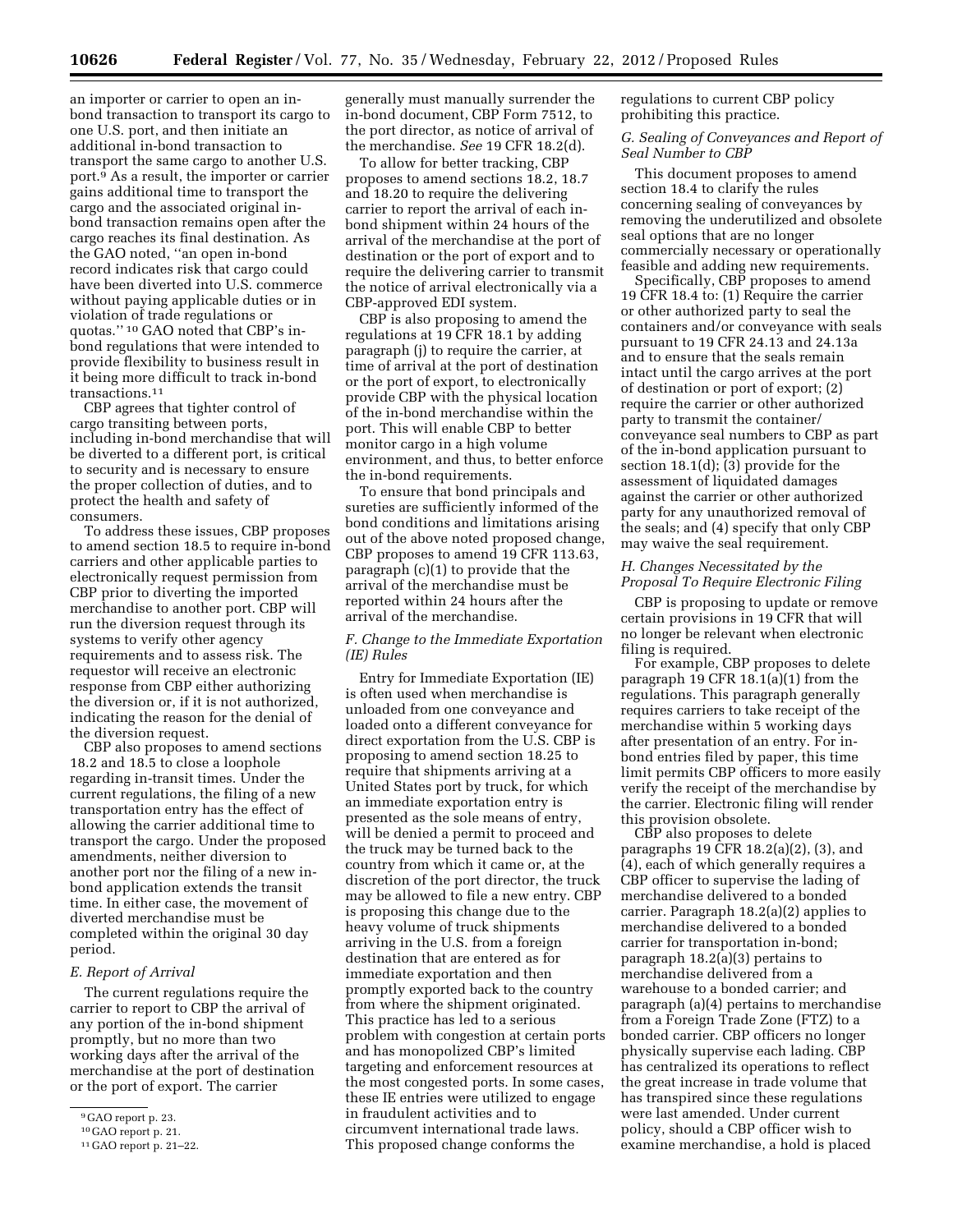an importer or carrier to open an inbond transaction to transport its cargo to one U.S. port, and then initiate an additional in-bond transaction to transport the same cargo to another U.S. port.9 As a result, the importer or carrier gains additional time to transport the cargo and the associated original inbond transaction remains open after the cargo reaches its final destination. As the GAO noted, ''an open in-bond record indicates risk that cargo could have been diverted into U.S. commerce without paying applicable duties or in violation of trade regulations or quotas.'' 10 GAO noted that CBP's inbond regulations that were intended to provide flexibility to business result in it being more difficult to track in-bond transactions.11

CBP agrees that tighter control of cargo transiting between ports, including in-bond merchandise that will be diverted to a different port, is critical to security and is necessary to ensure the proper collection of duties, and to protect the health and safety of consumers.

To address these issues, CBP proposes to amend section 18.5 to require in-bond carriers and other applicable parties to electronically request permission from CBP prior to diverting the imported merchandise to another port. CBP will run the diversion request through its systems to verify other agency requirements and to assess risk. The requestor will receive an electronic response from CBP either authorizing the diversion or, if it is not authorized, indicating the reason for the denial of the diversion request.

CBP also proposes to amend sections 18.2 and 18.5 to close a loophole regarding in-transit times. Under the current regulations, the filing of a new transportation entry has the effect of allowing the carrier additional time to transport the cargo. Under the proposed amendments, neither diversion to another port nor the filing of a new inbond application extends the transit time. In either case, the movement of diverted merchandise must be completed within the original 30 day period.

#### *E. Report of Arrival*

The current regulations require the carrier to report to CBP the arrival of any portion of the in-bond shipment promptly, but no more than two working days after the arrival of the merchandise at the port of destination or the port of export. The carrier

generally must manually surrender the in-bond document, CBP Form 7512, to the port director, as notice of arrival of the merchandise. *See* 19 CFR 18.2(d).

To allow for better tracking, CBP proposes to amend sections 18.2, 18.7 and 18.20 to require the delivering carrier to report the arrival of each inbond shipment within 24 hours of the arrival of the merchandise at the port of destination or the port of export and to require the delivering carrier to transmit the notice of arrival electronically via a CBP-approved EDI system.

CBP is also proposing to amend the regulations at 19 CFR 18.1 by adding paragraph (j) to require the carrier, at time of arrival at the port of destination or the port of export, to electronically provide CBP with the physical location of the in-bond merchandise within the port. This will enable CBP to better monitor cargo in a high volume environment, and thus, to better enforce the in-bond requirements.

To ensure that bond principals and sureties are sufficiently informed of the bond conditions and limitations arising out of the above noted proposed change, CBP proposes to amend 19 CFR 113.63, paragraph (c)(1) to provide that the arrival of the merchandise must be reported within 24 hours after the arrival of the merchandise.

# *F. Change to the Immediate Exportation (IE) Rules*

Entry for Immediate Exportation (IE) is often used when merchandise is unloaded from one conveyance and loaded onto a different conveyance for direct exportation from the U.S. CBP is proposing to amend section 18.25 to require that shipments arriving at a United States port by truck, for which an immediate exportation entry is presented as the sole means of entry, will be denied a permit to proceed and the truck may be turned back to the country from which it came or, at the discretion of the port director, the truck may be allowed to file a new entry. CBP is proposing this change due to the heavy volume of truck shipments arriving in the U.S. from a foreign destination that are entered as for immediate exportation and then promptly exported back to the country from where the shipment originated. This practice has led to a serious problem with congestion at certain ports and has monopolized CBP's limited targeting and enforcement resources at the most congested ports. In some cases, these IE entries were utilized to engage in fraudulent activities and to circumvent international trade laws. This proposed change conforms the

regulations to current CBP policy prohibiting this practice.

# *G. Sealing of Conveyances and Report of Seal Number to CBP*

This document proposes to amend section 18.4 to clarify the rules concerning sealing of conveyances by removing the underutilized and obsolete seal options that are no longer commercially necessary or operationally feasible and adding new requirements.

Specifically, CBP proposes to amend 19 CFR 18.4 to: (1) Require the carrier or other authorized party to seal the containers and/or conveyance with seals pursuant to 19 CFR 24.13 and 24.13a and to ensure that the seals remain intact until the cargo arrives at the port of destination or port of export; (2) require the carrier or other authorized party to transmit the container/ conveyance seal numbers to CBP as part of the in-bond application pursuant to section 18.1(d); (3) provide for the assessment of liquidated damages against the carrier or other authorized party for any unauthorized removal of the seals; and (4) specify that only CBP may waive the seal requirement.

# *H. Changes Necessitated by the Proposal To Require Electronic Filing*

CBP is proposing to update or remove certain provisions in 19 CFR that will no longer be relevant when electronic filing is required.

For example, CBP proposes to delete paragraph 19 CFR 18.1(a)(1) from the regulations. This paragraph generally requires carriers to take receipt of the merchandise within 5 working days after presentation of an entry. For inbond entries filed by paper, this time limit permits CBP officers to more easily verify the receipt of the merchandise by the carrier. Electronic filing will render this provision obsolete.

CBP also proposes to delete paragraphs 19 CFR 18.2(a)(2), (3), and (4), each of which generally requires a CBP officer to supervise the lading of merchandise delivered to a bonded carrier. Paragraph 18.2(a)(2) applies to merchandise delivered to a bonded carrier for transportation in-bond; paragraph 18.2(a)(3) pertains to merchandise delivered from a warehouse to a bonded carrier; and paragraph (a)(4) pertains to merchandise from a Foreign Trade Zone (FTZ) to a bonded carrier. CBP officers no longer physically supervise each lading. CBP has centralized its operations to reflect the great increase in trade volume that has transpired since these regulations were last amended. Under current policy, should a CBP officer wish to examine merchandise, a hold is placed

<sup>9</sup> GAO report p. 23.

<sup>10</sup> GAO report p. 21.

<sup>11</sup> GAO report p. 21–22.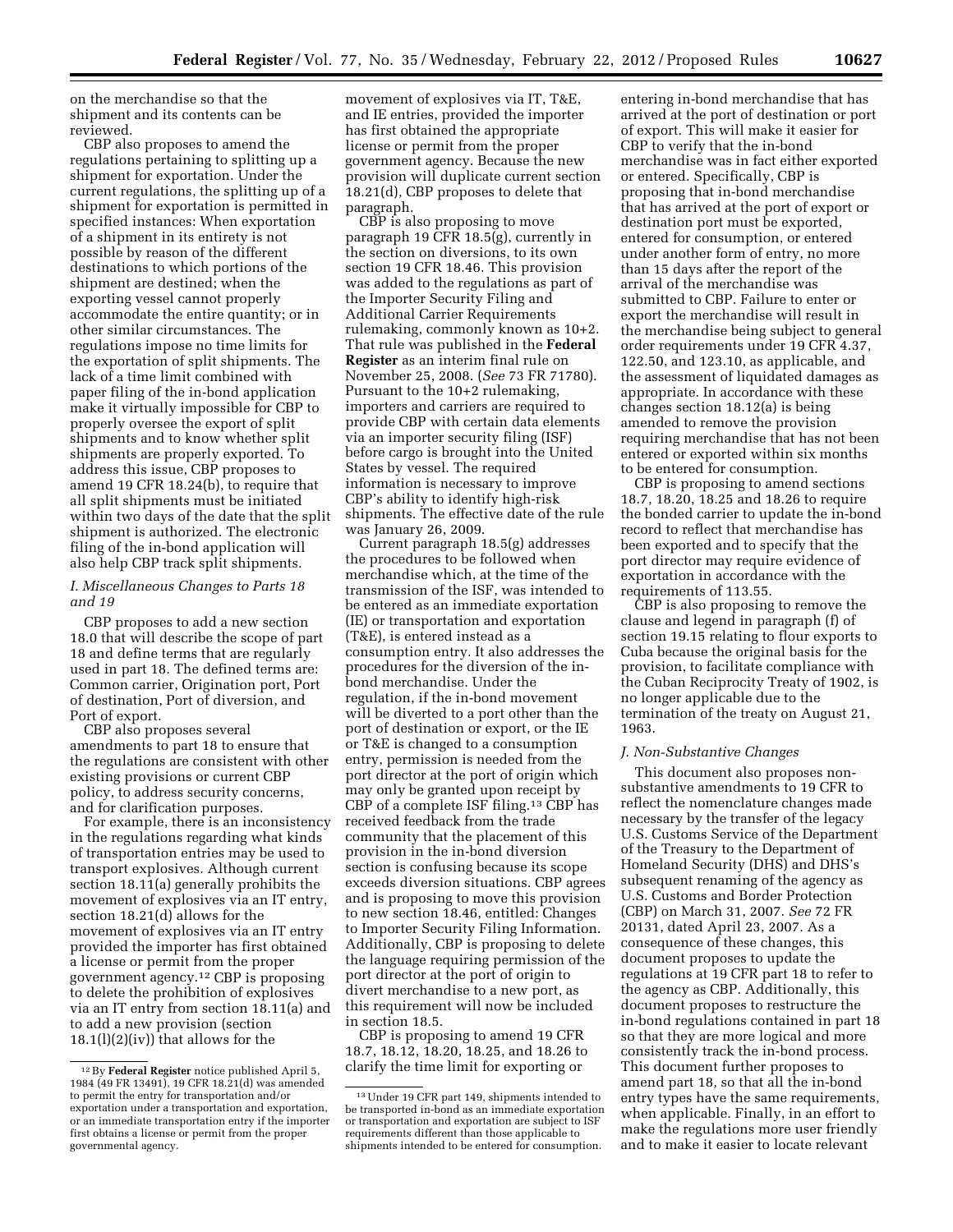on the merchandise so that the shipment and its contents can be reviewed.

CBP also proposes to amend the regulations pertaining to splitting up a shipment for exportation. Under the current regulations, the splitting up of a shipment for exportation is permitted in specified instances: When exportation of a shipment in its entirety is not possible by reason of the different destinations to which portions of the shipment are destined; when the exporting vessel cannot properly accommodate the entire quantity; or in other similar circumstances. The regulations impose no time limits for the exportation of split shipments. The lack of a time limit combined with paper filing of the in-bond application make it virtually impossible for CBP to properly oversee the export of split shipments and to know whether split shipments are properly exported. To address this issue, CBP proposes to amend 19 CFR 18.24(b), to require that all split shipments must be initiated within two days of the date that the split shipment is authorized. The electronic filing of the in-bond application will also help CBP track split shipments.

# *I. Miscellaneous Changes to Parts 18 and 19*

CBP proposes to add a new section 18.0 that will describe the scope of part 18 and define terms that are regularly used in part 18. The defined terms are: Common carrier, Origination port, Port of destination, Port of diversion, and Port of export.

CBP also proposes several amendments to part 18 to ensure that the regulations are consistent with other existing provisions or current CBP policy, to address security concerns, and for clarification purposes.

For example, there is an inconsistency in the regulations regarding what kinds of transportation entries may be used to transport explosives. Although current section 18.11(a) generally prohibits the movement of explosives via an IT entry, section 18.21(d) allows for the movement of explosives via an IT entry provided the importer has first obtained a license or permit from the proper government agency.12 CBP is proposing to delete the prohibition of explosives via an IT entry from section 18.11(a) and to add a new provision (section  $18.1(1)(2)(iv)$  that allows for the

movement of explosives via IT, T&E, and IE entries, provided the importer has first obtained the appropriate license or permit from the proper government agency. Because the new provision will duplicate current section 18.21(d), CBP proposes to delete that paragraph.

CBP is also proposing to move paragraph 19 CFR 18.5(g), currently in the section on diversions, to its own section 19 CFR 18.46. This provision was added to the regulations as part of the Importer Security Filing and Additional Carrier Requirements rulemaking, commonly known as 10+2. That rule was published in the **Federal Register** as an interim final rule on November 25, 2008. (*See* 73 FR 71780). Pursuant to the 10+2 rulemaking, importers and carriers are required to provide CBP with certain data elements via an importer security filing (ISF) before cargo is brought into the United States by vessel. The required information is necessary to improve CBP's ability to identify high-risk shipments. The effective date of the rule was January 26, 2009.

Current paragraph 18.5(g) addresses the procedures to be followed when merchandise which, at the time of the transmission of the ISF, was intended to be entered as an immediate exportation (IE) or transportation and exportation (T&E), is entered instead as a consumption entry. It also addresses the procedures for the diversion of the inbond merchandise. Under the regulation, if the in-bond movement will be diverted to a port other than the port of destination or export, or the IE or T&E is changed to a consumption entry, permission is needed from the port director at the port of origin which may only be granted upon receipt by CBP of a complete ISF filing.13 CBP has received feedback from the trade community that the placement of this provision in the in-bond diversion section is confusing because its scope exceeds diversion situations. CBP agrees and is proposing to move this provision to new section 18.46, entitled: Changes to Importer Security Filing Information. Additionally, CBP is proposing to delete the language requiring permission of the port director at the port of origin to divert merchandise to a new port, as this requirement will now be included in section 18.5.

CBP is proposing to amend 19 CFR 18.7, 18.12, 18.20, 18.25, and 18.26 to clarify the time limit for exporting or

entering in-bond merchandise that has arrived at the port of destination or port of export. This will make it easier for CBP to verify that the in-bond merchandise was in fact either exported or entered. Specifically, CBP is proposing that in-bond merchandise that has arrived at the port of export or destination port must be exported, entered for consumption, or entered under another form of entry, no more than 15 days after the report of the arrival of the merchandise was submitted to CBP. Failure to enter or export the merchandise will result in the merchandise being subject to general order requirements under 19 CFR 4.37, 122.50, and 123.10, as applicable, and the assessment of liquidated damages as appropriate. In accordance with these changes section 18.12(a) is being amended to remove the provision requiring merchandise that has not been entered or exported within six months to be entered for consumption.

CBP is proposing to amend sections 18.7, 18.20, 18.25 and 18.26 to require the bonded carrier to update the in-bond record to reflect that merchandise has been exported and to specify that the port director may require evidence of exportation in accordance with the requirements of 113.55.

CBP is also proposing to remove the clause and legend in paragraph (f) of section 19.15 relating to flour exports to Cuba because the original basis for the provision, to facilitate compliance with the Cuban Reciprocity Treaty of 1902, is no longer applicable due to the termination of the treaty on August 21, 1963.

#### *J. Non-Substantive Changes*

This document also proposes nonsubstantive amendments to 19 CFR to reflect the nomenclature changes made necessary by the transfer of the legacy U.S. Customs Service of the Department of the Treasury to the Department of Homeland Security (DHS) and DHS's subsequent renaming of the agency as U.S. Customs and Border Protection (CBP) on March 31, 2007. *See* 72 FR 20131, dated April 23, 2007. As a consequence of these changes, this document proposes to update the regulations at 19 CFR part 18 to refer to the agency as CBP. Additionally, this document proposes to restructure the in-bond regulations contained in part 18 so that they are more logical and more consistently track the in-bond process. This document further proposes to amend part 18, so that all the in-bond entry types have the same requirements, when applicable. Finally, in an effort to make the regulations more user friendly and to make it easier to locate relevant

<sup>12</sup>By **Federal Register** notice published April 5, 1984 (49 FR 13491), 19 CFR 18.21(d) was amended to permit the entry for transportation and/or exportation under a transportation and exportation, or an immediate transportation entry if the importer first obtains a license or permit from the proper governmental agency.

<sup>13</sup>Under 19 CFR part 149, shipments intended to be transported in-bond as an immediate exportation or transportation and exportation are subject to ISF requirements different than those applicable to shipments intended to be entered for consumption.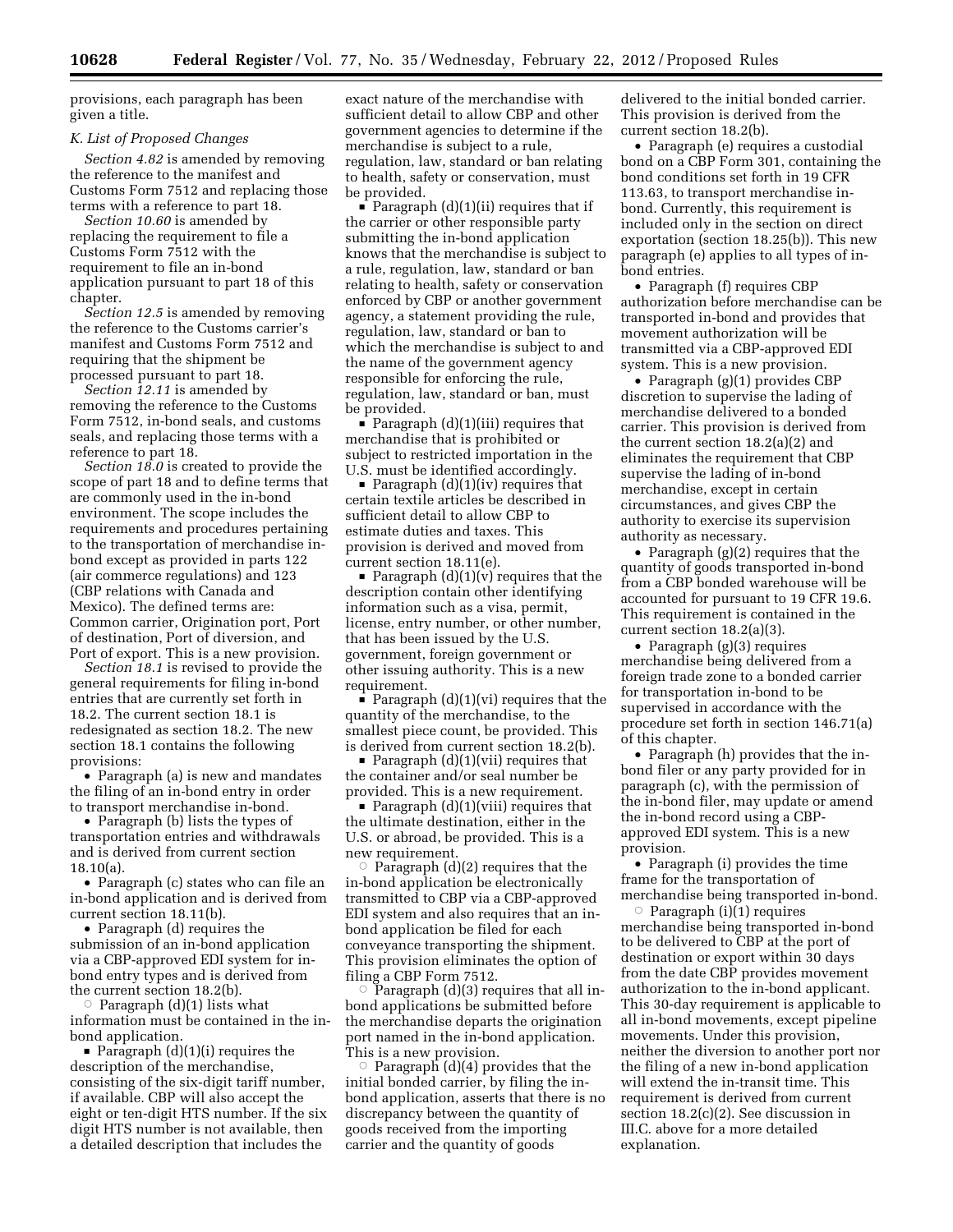provisions, each paragraph has been given a title.

#### *K. List of Proposed Changes*

*Section 4.82* is amended by removing the reference to the manifest and Customs Form 7512 and replacing those terms with a reference to part 18.

*Section 10.60* is amended by replacing the requirement to file a Customs Form 7512 with the requirement to file an in-bond application pursuant to part 18 of this chapter.

*Section 12.5* is amended by removing the reference to the Customs carrier's manifest and Customs Form 7512 and requiring that the shipment be processed pursuant to part 18.

*Section 12.11* is amended by removing the reference to the Customs Form 7512, in-bond seals, and customs seals, and replacing those terms with a reference to part 18.

*Section 18.0* is created to provide the scope of part 18 and to define terms that are commonly used in the in-bond environment. The scope includes the requirements and procedures pertaining to the transportation of merchandise inbond except as provided in parts 122 (air commerce regulations) and 123 (CBP relations with Canada and Mexico). The defined terms are: Common carrier, Origination port, Port of destination, Port of diversion, and Port of export. This is a new provision.

*Section 18.1* is revised to provide the general requirements for filing in-bond entries that are currently set forth in 18.2. The current section 18.1 is redesignated as section 18.2. The new section 18.1 contains the following provisions:

• Paragraph (a) is new and mandates the filing of an in-bond entry in order to transport merchandise in-bond.

• Paragraph (b) lists the types of transportation entries and withdrawals and is derived from current section 18.10(a).

• Paragraph (c) states who can file an in-bond application and is derived from current section 18.11(b).

• Paragraph (d) requires the submission of an in-bond application via a CBP-approved EDI system for inbond entry types and is derived from the current section 18.2(b).

 $\circ$  Paragraph (d)(1) lists what information must be contained in the inbond application.

 $\blacksquare$  Paragraph (d)(1)(i) requires the description of the merchandise, consisting of the six-digit tariff number, if available. CBP will also accept the eight or ten-digit HTS number. If the six digit HTS number is not available, then a detailed description that includes the

exact nature of the merchandise with sufficient detail to allow CBP and other government agencies to determine if the merchandise is subject to a rule, regulation, law, standard or ban relating to health, safety or conservation, must be provided.

Paragraph  $(d)(1)(ii)$  requires that if the carrier or other responsible party submitting the in-bond application knows that the merchandise is subject to a rule, regulation, law, standard or ban relating to health, safety or conservation enforced by CBP or another government agency, a statement providing the rule, regulation, law, standard or ban to which the merchandise is subject to and the name of the government agency responsible for enforcing the rule, regulation, law, standard or ban, must be provided.

 $\blacksquare$  Paragraph (d)(1)(iii) requires that merchandise that is prohibited or subject to restricted importation in the U.S. must be identified accordingly.

Paragraph  $(d)(1)(iv)$  requires that certain textile articles be described in sufficient detail to allow CBP to estimate duties and taxes. This provision is derived and moved from current section 18.11(e).

Paragraph  $(d)(1)(v)$  requires that the description contain other identifying information such as a visa, permit, license, entry number, or other number, that has been issued by the U.S. government, foreign government or other issuing authority. This is a new requirement.

Paragraph  $(d)(1)(vi)$  requires that the quantity of the merchandise, to the smallest piece count, be provided. This is derived from current section 18.2(b).

 $\blacksquare$  Paragraph (d)(1)(vii) requires that the container and/or seal number be provided. This is a new requirement.

 $\blacksquare$  Paragraph (d)(1)(viii) requires that the ultimate destination, either in the U.S. or abroad, be provided. This is a new requirement.

 $\circ$  Paragraph (d)(2) requires that the in-bond application be electronically transmitted to CBP via a CBP-approved EDI system and also requires that an inbond application be filed for each conveyance transporting the shipment. This provision eliminates the option of filing a CBP Form 7512.

 $\circ$  Paragraph (d)(3) requires that all inbond applications be submitted before the merchandise departs the origination port named in the in-bond application. This is a new provision.

 $\circ$  Paragraph (d)(4) provides that the initial bonded carrier, by filing the inbond application, asserts that there is no discrepancy between the quantity of goods received from the importing carrier and the quantity of goods

delivered to the initial bonded carrier. This provision is derived from the current section 18.2(b).

• Paragraph (e) requires a custodial bond on a CBP Form 301, containing the bond conditions set forth in 19 CFR 113.63, to transport merchandise inbond. Currently, this requirement is included only in the section on direct exportation (section 18.25(b)). This new paragraph (e) applies to all types of inbond entries.

• Paragraph (f) requires CBP authorization before merchandise can be transported in-bond and provides that movement authorization will be transmitted via a CBP-approved EDI system. This is a new provision.

• Paragraph (g)(1) provides CBP discretion to supervise the lading of merchandise delivered to a bonded carrier. This provision is derived from the current section 18.2(a)(2) and eliminates the requirement that CBP supervise the lading of in-bond merchandise, except in certain circumstances, and gives CBP the authority to exercise its supervision authority as necessary.

• Paragraph (g)(2) requires that the quantity of goods transported in-bond from a CBP bonded warehouse will be accounted for pursuant to 19 CFR 19.6. This requirement is contained in the current section 18.2(a)(3).

• Paragraph (g)(3) requires merchandise being delivered from a foreign trade zone to a bonded carrier for transportation in-bond to be supervised in accordance with the procedure set forth in section 146.71(a) of this chapter.

• Paragraph (h) provides that the inbond filer or any party provided for in paragraph (c), with the permission of the in-bond filer, may update or amend the in-bond record using a CBPapproved EDI system. This is a new provision.

• Paragraph (i) provides the time frame for the transportation of merchandise being transported in-bond.

 $\circ$  Paragraph (i)(1) requires merchandise being transported in-bond to be delivered to CBP at the port of destination or export within 30 days from the date CBP provides movement authorization to the in-bond applicant. This 30-day requirement is applicable to all in-bond movements, except pipeline movements. Under this provision, neither the diversion to another port nor the filing of a new in-bond application will extend the in-transit time. This requirement is derived from current section 18.2(c)(2). See discussion in III.C. above for a more detailed explanation.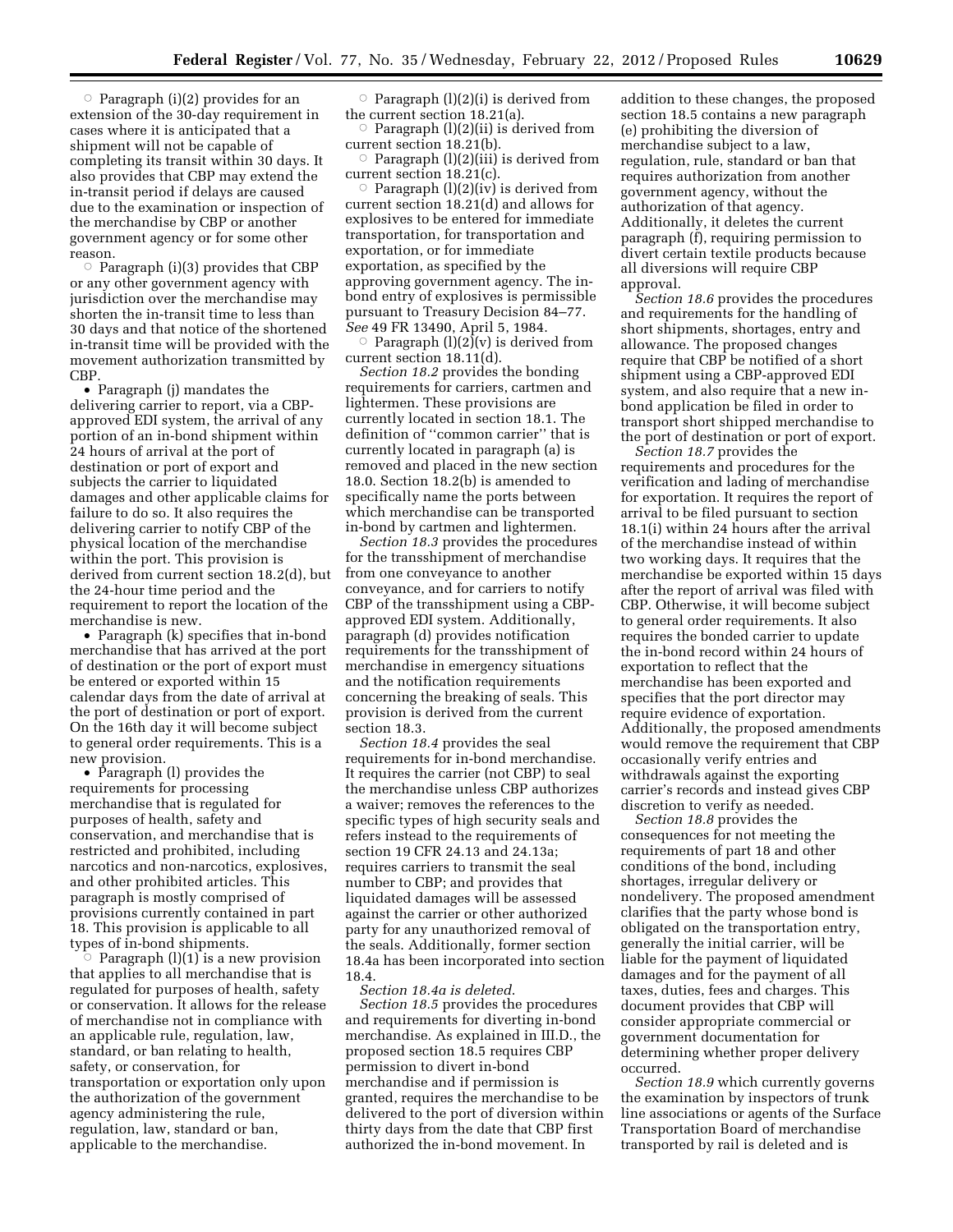$\circ$  Paragraph (i)(2) provides for an extension of the 30-day requirement in cases where it is anticipated that a shipment will not be capable of completing its transit within 30 days. It also provides that CBP may extend the in-transit period if delays are caused due to the examination or inspection of the merchandise by CBP or another government agency or for some other reason.

 $\overline{\circ}$  Paragraph (i)(3) provides that CBP or any other government agency with jurisdiction over the merchandise may shorten the in-transit time to less than 30 days and that notice of the shortened in-transit time will be provided with the movement authorization transmitted by CBP.

• Paragraph (j) mandates the delivering carrier to report, via a CBPapproved EDI system, the arrival of any portion of an in-bond shipment within 24 hours of arrival at the port of destination or port of export and subjects the carrier to liquidated damages and other applicable claims for failure to do so. It also requires the delivering carrier to notify CBP of the physical location of the merchandise within the port. This provision is derived from current section 18.2(d), but the 24-hour time period and the requirement to report the location of the merchandise is new.

• Paragraph (k) specifies that in-bond merchandise that has arrived at the port of destination or the port of export must be entered or exported within 15 calendar days from the date of arrival at the port of destination or port of export. On the 16th day it will become subject to general order requirements. This is a new provision.

• Paragraph (l) provides the requirements for processing merchandise that is regulated for purposes of health, safety and conservation, and merchandise that is restricted and prohibited, including narcotics and non-narcotics, explosives, and other prohibited articles. This paragraph is mostly comprised of provisions currently contained in part 18. This provision is applicable to all types of in-bond shipments. Æ

Paragraph  $(l)(1)$  is a new provision that applies to all merchandise that is regulated for purposes of health, safety or conservation. It allows for the release of merchandise not in compliance with an applicable rule, regulation, law, standard, or ban relating to health, safety, or conservation, for transportation or exportation only upon the authorization of the government agency administering the rule, regulation, law, standard or ban, applicable to the merchandise.

 $\circ$  Paragraph (l)(2)(i) is derived from the current section 18.21(a).

 $\circ$  Paragraph (l)(2)(ii) is derived from current section 18.21(b).

 $\circ$  Paragraph (l)(2)(iii) is derived from current section 18.21(c).

 $\circ$  Paragraph (l)(2)(iv) is derived from current section 18.21(d) and allows for explosives to be entered for immediate transportation, for transportation and exportation, or for immediate exportation, as specified by the approving government agency. The inbond entry of explosives is permissible pursuant to Treasury Decision 84–77. *See* 49 FR 13490, April 5, 1984.

Paragraph  $(l)(2)(v)$  is derived from current section 18.11(d).

*Section 18.2* provides the bonding requirements for carriers, cartmen and lightermen. These provisions are currently located in section 18.1. The definition of ''common carrier'' that is currently located in paragraph (a) is removed and placed in the new section 18.0. Section 18.2(b) is amended to specifically name the ports between which merchandise can be transported in-bond by cartmen and lightermen.

*Section 18.3* provides the procedures for the transshipment of merchandise from one conveyance to another conveyance, and for carriers to notify CBP of the transshipment using a CBPapproved EDI system. Additionally, paragraph (d) provides notification requirements for the transshipment of merchandise in emergency situations and the notification requirements concerning the breaking of seals. This provision is derived from the current section 18.3.

*Section 18.4* provides the seal requirements for in-bond merchandise. It requires the carrier (not CBP) to seal the merchandise unless CBP authorizes a waiver; removes the references to the specific types of high security seals and refers instead to the requirements of section 19 CFR 24.13 and 24.13a; requires carriers to transmit the seal number to CBP; and provides that liquidated damages will be assessed against the carrier or other authorized party for any unauthorized removal of the seals. Additionally, former section 18.4a has been incorporated into section 18.4.

*Section 18.4a is deleted*.

*Section 18.5* provides the procedures and requirements for diverting in-bond merchandise. As explained in III.D., the proposed section 18.5 requires CBP permission to divert in-bond merchandise and if permission is granted, requires the merchandise to be delivered to the port of diversion within thirty days from the date that CBP first authorized the in-bond movement. In

addition to these changes, the proposed section 18.5 contains a new paragraph (e) prohibiting the diversion of merchandise subject to a law, regulation, rule, standard or ban that requires authorization from another government agency, without the authorization of that agency. Additionally, it deletes the current paragraph (f), requiring permission to divert certain textile products because all diversions will require CBP approval.

*Section 18.6* provides the procedures and requirements for the handling of short shipments, shortages, entry and allowance. The proposed changes require that CBP be notified of a short shipment using a CBP-approved EDI system, and also require that a new inbond application be filed in order to transport short shipped merchandise to the port of destination or port of export.

*Section 18.7* provides the requirements and procedures for the verification and lading of merchandise for exportation. It requires the report of arrival to be filed pursuant to section 18.1(i) within 24 hours after the arrival of the merchandise instead of within two working days. It requires that the merchandise be exported within 15 days after the report of arrival was filed with CBP. Otherwise, it will become subject to general order requirements. It also requires the bonded carrier to update the in-bond record within 24 hours of exportation to reflect that the merchandise has been exported and specifies that the port director may require evidence of exportation. Additionally, the proposed amendments would remove the requirement that CBP occasionally verify entries and withdrawals against the exporting carrier's records and instead gives CBP discretion to verify as needed.

*Section 18.8* provides the consequences for not meeting the requirements of part 18 and other conditions of the bond, including shortages, irregular delivery or nondelivery. The proposed amendment clarifies that the party whose bond is obligated on the transportation entry, generally the initial carrier, will be liable for the payment of liquidated damages and for the payment of all taxes, duties, fees and charges. This document provides that CBP will consider appropriate commercial or government documentation for determining whether proper delivery occurred.

*Section 18.9* which currently governs the examination by inspectors of trunk line associations or agents of the Surface Transportation Board of merchandise transported by rail is deleted and is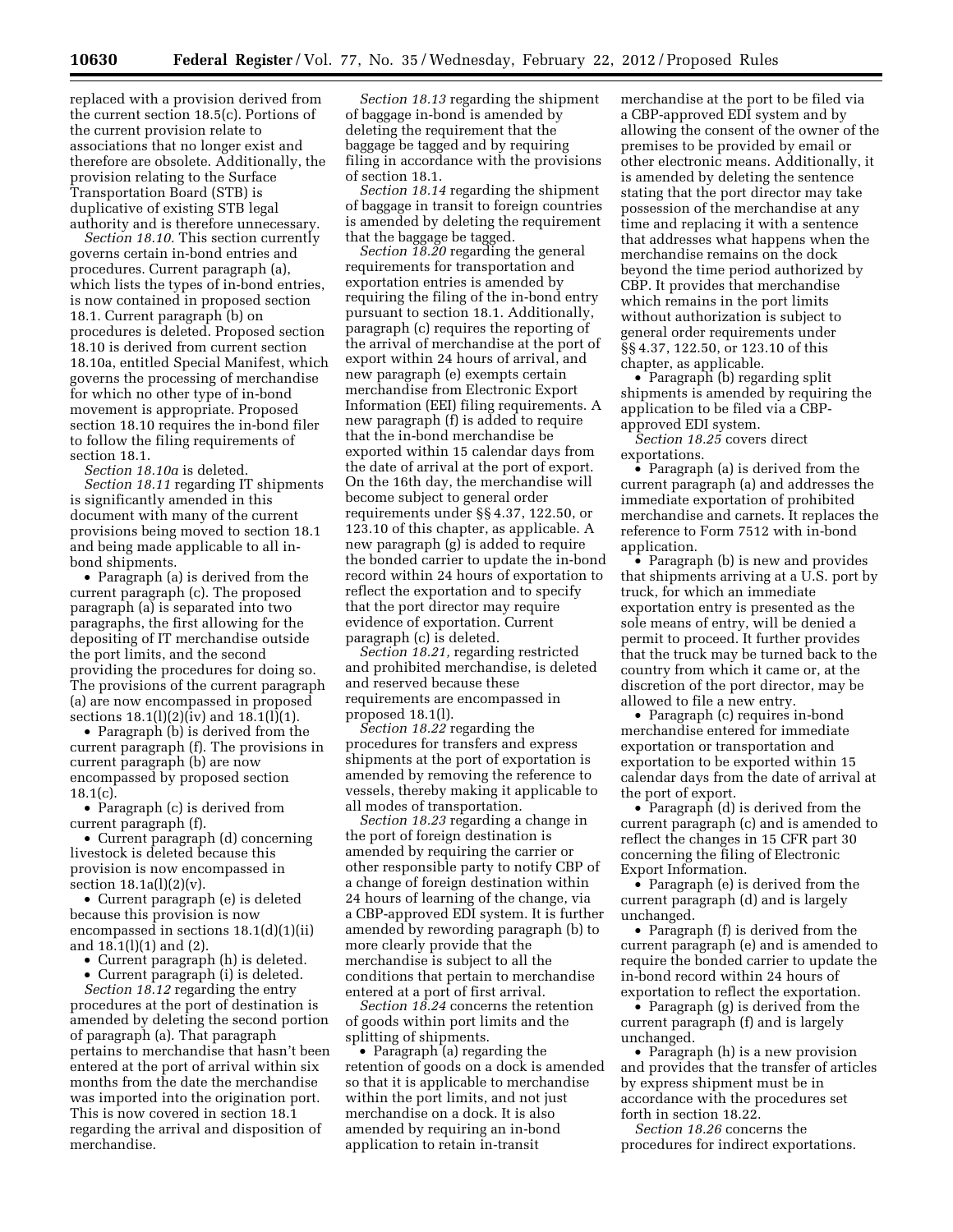replaced with a provision derived from the current section 18.5(c). Portions of the current provision relate to associations that no longer exist and therefore are obsolete. Additionally, the provision relating to the Surface Transportation Board (STB) is duplicative of existing STB legal authority and is therefore unnecessary.

*Section 18.10.* This section currently governs certain in-bond entries and procedures. Current paragraph (a), which lists the types of in-bond entries, is now contained in proposed section 18.1. Current paragraph (b) on procedures is deleted. Proposed section 18.10 is derived from current section 18.10a, entitled Special Manifest, which governs the processing of merchandise for which no other type of in-bond movement is appropriate. Proposed section 18.10 requires the in-bond filer to follow the filing requirements of section 18.1.

*Section 18.10a* is deleted.

*Section 18.11* regarding IT shipments is significantly amended in this document with many of the current provisions being moved to section 18.1 and being made applicable to all inbond shipments.

• Paragraph (a) is derived from the current paragraph (c). The proposed paragraph (a) is separated into two paragraphs, the first allowing for the depositing of IT merchandise outside the port limits, and the second providing the procedures for doing so. The provisions of the current paragraph (a) are now encompassed in proposed sections 18.1(l)(2)(iv) and 18.1(l)(1).

• Paragraph (b) is derived from the current paragraph (f). The provisions in current paragraph (b) are now encompassed by proposed section  $18.1(c)$ .

• Paragraph (c) is derived from current paragraph (f).

• Current paragraph (d) concerning livestock is deleted because this provision is now encompassed in section  $18.1a(1)(2)(v)$ .

• Current paragraph (e) is deleted because this provision is now encompassed in sections 18.1(d)(1)(ii) and 18.1(l)(1) and (2).

• Current paragraph (h) is deleted.

• Current paragraph (i) is deleted.

*Section 18.12* regarding the entry procedures at the port of destination is amended by deleting the second portion of paragraph (a). That paragraph pertains to merchandise that hasn't been entered at the port of arrival within six months from the date the merchandise was imported into the origination port. This is now covered in section 18.1 regarding the arrival and disposition of merchandise.

*Section 18.13* regarding the shipment of baggage in-bond is amended by deleting the requirement that the baggage be tagged and by requiring filing in accordance with the provisions of section 18.1.

*Section 18.14* regarding the shipment of baggage in transit to foreign countries is amended by deleting the requirement that the baggage be tagged.

*Section 18.20* regarding the general requirements for transportation and exportation entries is amended by requiring the filing of the in-bond entry pursuant to section 18.1. Additionally, paragraph (c) requires the reporting of the arrival of merchandise at the port of export within 24 hours of arrival, and new paragraph (e) exempts certain merchandise from Electronic Export Information (EEI) filing requirements. A new paragraph (f) is added to require that the in-bond merchandise be exported within 15 calendar days from the date of arrival at the port of export. On the 16th day, the merchandise will become subject to general order requirements under §§ 4.37, 122.50, or 123.10 of this chapter, as applicable. A new paragraph (g) is added to require the bonded carrier to update the in-bond record within 24 hours of exportation to reflect the exportation and to specify that the port director may require evidence of exportation. Current paragraph (c) is deleted.

*Section 18.21,* regarding restricted and prohibited merchandise, is deleted and reserved because these requirements are encompassed in proposed 18.1(l).

*Section 18.22* regarding the procedures for transfers and express shipments at the port of exportation is amended by removing the reference to vessels, thereby making it applicable to all modes of transportation.

*Section 18.23* regarding a change in the port of foreign destination is amended by requiring the carrier or other responsible party to notify CBP of a change of foreign destination within 24 hours of learning of the change, via a CBP-approved EDI system. It is further amended by rewording paragraph (b) to more clearly provide that the merchandise is subject to all the conditions that pertain to merchandise entered at a port of first arrival.

*Section 18.24* concerns the retention of goods within port limits and the splitting of shipments.

• Paragraph (a) regarding the retention of goods on a dock is amended so that it is applicable to merchandise within the port limits, and not just merchandise on a dock. It is also amended by requiring an in-bond application to retain in-transit

merchandise at the port to be filed via a CBP-approved EDI system and by allowing the consent of the owner of the premises to be provided by email or other electronic means. Additionally, it is amended by deleting the sentence stating that the port director may take possession of the merchandise at any time and replacing it with a sentence that addresses what happens when the merchandise remains on the dock beyond the time period authorized by CBP. It provides that merchandise which remains in the port limits without authorization is subject to general order requirements under §§ 4.37, 122.50, or 123.10 of this chapter, as applicable.

• Paragraph (b) regarding split shipments is amended by requiring the application to be filed via a CBPapproved EDI system.

*Section 18.25* covers direct exportations.

• Paragraph (a) is derived from the current paragraph (a) and addresses the immediate exportation of prohibited merchandise and carnets. It replaces the reference to Form 7512 with in-bond application.

• Paragraph (b) is new and provides that shipments arriving at a U.S. port by truck, for which an immediate exportation entry is presented as the sole means of entry, will be denied a permit to proceed. It further provides that the truck may be turned back to the country from which it came or, at the discretion of the port director, may be allowed to file a new entry.

• Paragraph (c) requires in-bond merchandise entered for immediate exportation or transportation and exportation to be exported within 15 calendar days from the date of arrival at the port of export.

• Paragraph (d) is derived from the current paragraph (c) and is amended to reflect the changes in 15 CFR part 30 concerning the filing of Electronic Export Information.

• Paragraph (e) is derived from the current paragraph (d) and is largely unchanged.

• Paragraph (f) is derived from the current paragraph (e) and is amended to require the bonded carrier to update the in-bond record within 24 hours of exportation to reflect the exportation.

• Paragraph (g) is derived from the current paragraph (f) and is largely unchanged.

• Paragraph (h) is a new provision and provides that the transfer of articles by express shipment must be in accordance with the procedures set forth in section 18.22.

*Section 18.26* concerns the procedures for indirect exportations.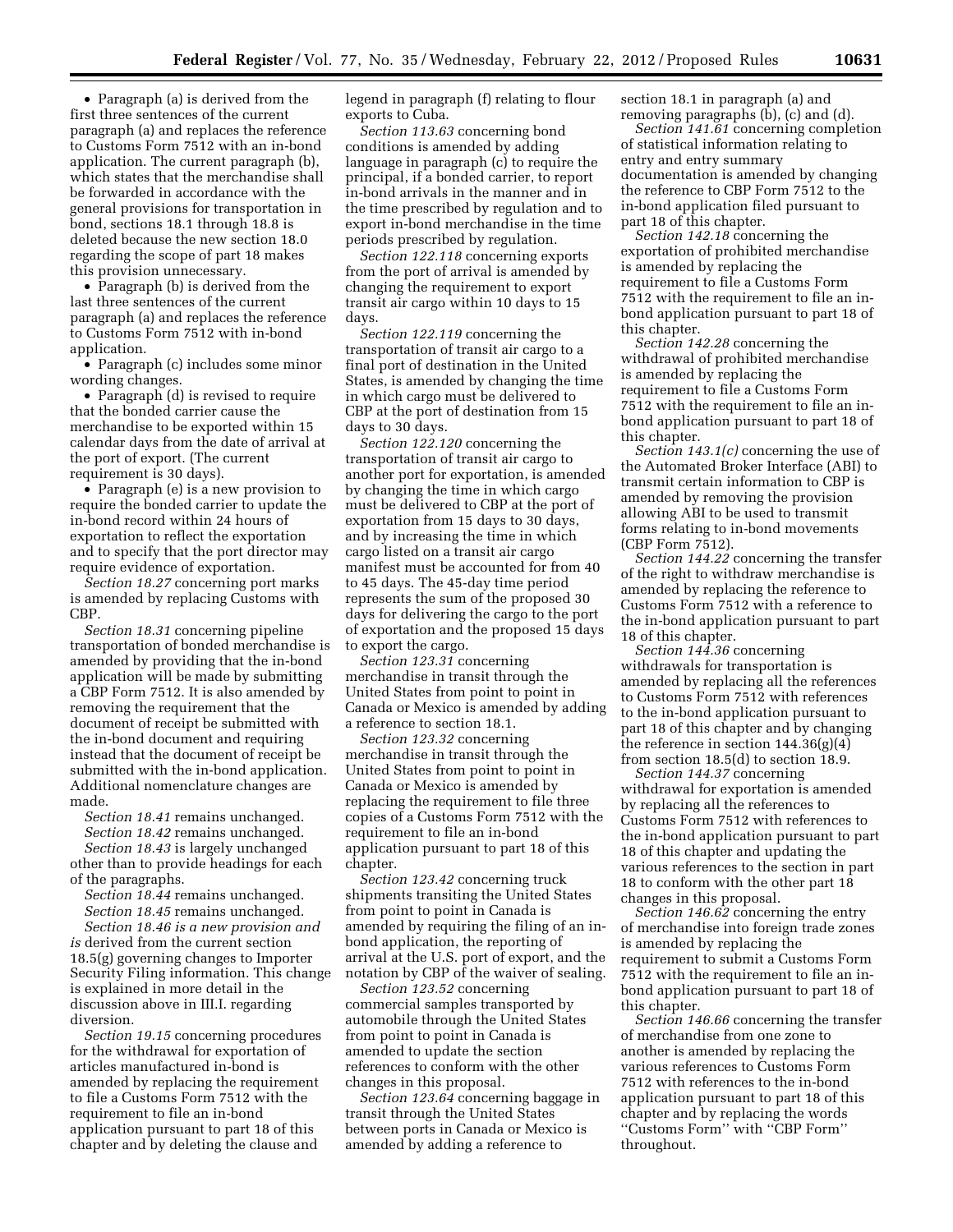• Paragraph (a) is derived from the first three sentences of the current paragraph (a) and replaces the reference to Customs Form 7512 with an in-bond application. The current paragraph (b), which states that the merchandise shall be forwarded in accordance with the general provisions for transportation in bond, sections 18.1 through 18.8 is deleted because the new section 18.0 regarding the scope of part 18 makes this provision unnecessary.

• Paragraph (b) is derived from the last three sentences of the current paragraph (a) and replaces the reference to Customs Form 7512 with in-bond application.

• Paragraph (c) includes some minor wording changes.

• Paragraph (d) is revised to require that the bonded carrier cause the merchandise to be exported within 15 calendar days from the date of arrival at the port of export. (The current requirement is 30 days).

• Paragraph (e) is a new provision to require the bonded carrier to update the in-bond record within 24 hours of exportation to reflect the exportation and to specify that the port director may require evidence of exportation.

*Section 18.27* concerning port marks is amended by replacing Customs with CBP.

*Section 18.31* concerning pipeline transportation of bonded merchandise is amended by providing that the in-bond application will be made by submitting a CBP Form 7512. It is also amended by removing the requirement that the document of receipt be submitted with the in-bond document and requiring instead that the document of receipt be submitted with the in-bond application. Additional nomenclature changes are made.

*Section 18.41* remains unchanged. *Section 18.42* remains unchanged.

*Section 18.43* is largely unchanged other than to provide headings for each of the paragraphs.

*Section 18.44* remains unchanged. *Section 18.45* remains unchanged.

*Section 18.46 is a new provision and is* derived from the current section 18.5(g) governing changes to Importer Security Filing information. This change is explained in more detail in the discussion above in III.I. regarding diversion.

*Section 19.15* concerning procedures for the withdrawal for exportation of articles manufactured in-bond is amended by replacing the requirement to file a Customs Form 7512 with the requirement to file an in-bond application pursuant to part 18 of this chapter and by deleting the clause and

legend in paragraph (f) relating to flour exports to Cuba.

*Section 113.63* concerning bond conditions is amended by adding language in paragraph (c) to require the principal, if a bonded carrier, to report in-bond arrivals in the manner and in the time prescribed by regulation and to export in-bond merchandise in the time periods prescribed by regulation.

*Section 122.118* concerning exports from the port of arrival is amended by changing the requirement to export transit air cargo within 10 days to 15 days.

*Section 122.119* concerning the transportation of transit air cargo to a final port of destination in the United States, is amended by changing the time in which cargo must be delivered to CBP at the port of destination from 15 days to 30 days.

*Section 122.120* concerning the transportation of transit air cargo to another port for exportation, is amended by changing the time in which cargo must be delivered to CBP at the port of exportation from 15 days to 30 days, and by increasing the time in which cargo listed on a transit air cargo manifest must be accounted for from 40 to 45 days. The 45-day time period represents the sum of the proposed 30 days for delivering the cargo to the port of exportation and the proposed 15 days to export the cargo.

*Section 123.31* concerning merchandise in transit through the United States from point to point in Canada or Mexico is amended by adding a reference to section 18.1.

*Section 123.32* concerning merchandise in transit through the United States from point to point in Canada or Mexico is amended by replacing the requirement to file three copies of a Customs Form 7512 with the requirement to file an in-bond application pursuant to part 18 of this chapter.

*Section 123.42* concerning truck shipments transiting the United States from point to point in Canada is amended by requiring the filing of an inbond application, the reporting of arrival at the U.S. port of export, and the notation by CBP of the waiver of sealing.

*Section 123.52* concerning commercial samples transported by automobile through the United States from point to point in Canada is amended to update the section references to conform with the other changes in this proposal.

*Section 123.64* concerning baggage in transit through the United States between ports in Canada or Mexico is amended by adding a reference to

section 18.1 in paragraph (a) and removing paragraphs (b), (c) and (d).

*Section 141.61* concerning completion of statistical information relating to entry and entry summary documentation is amended by changing the reference to CBP Form 7512 to the in-bond application filed pursuant to part 18 of this chapter.

*Section 142.18* concerning the exportation of prohibited merchandise is amended by replacing the requirement to file a Customs Form 7512 with the requirement to file an inbond application pursuant to part 18 of this chapter.

*Section 142.28* concerning the withdrawal of prohibited merchandise is amended by replacing the requirement to file a Customs Form 7512 with the requirement to file an inbond application pursuant to part 18 of this chapter.

*Section 143.1(c)* concerning the use of the Automated Broker Interface (ABI) to transmit certain information to CBP is amended by removing the provision allowing ABI to be used to transmit forms relating to in-bond movements (CBP Form 7512).

*Section 144.22* concerning the transfer of the right to withdraw merchandise is amended by replacing the reference to Customs Form 7512 with a reference to the in-bond application pursuant to part 18 of this chapter.

*Section 144.36* concerning withdrawals for transportation is amended by replacing all the references to Customs Form 7512 with references to the in-bond application pursuant to part 18 of this chapter and by changing the reference in section 144.36(g)(4) from section 18.5(d) to section 18.9.

*Section 144.37* concerning withdrawal for exportation is amended by replacing all the references to Customs Form 7512 with references to the in-bond application pursuant to part 18 of this chapter and updating the various references to the section in part 18 to conform with the other part 18 changes in this proposal.

*Section 146.62* concerning the entry of merchandise into foreign trade zones is amended by replacing the requirement to submit a Customs Form 7512 with the requirement to file an inbond application pursuant to part 18 of this chapter.

*Section 146.66* concerning the transfer of merchandise from one zone to another is amended by replacing the various references to Customs Form 7512 with references to the in-bond application pursuant to part 18 of this chapter and by replacing the words ''Customs Form'' with ''CBP Form'' throughout.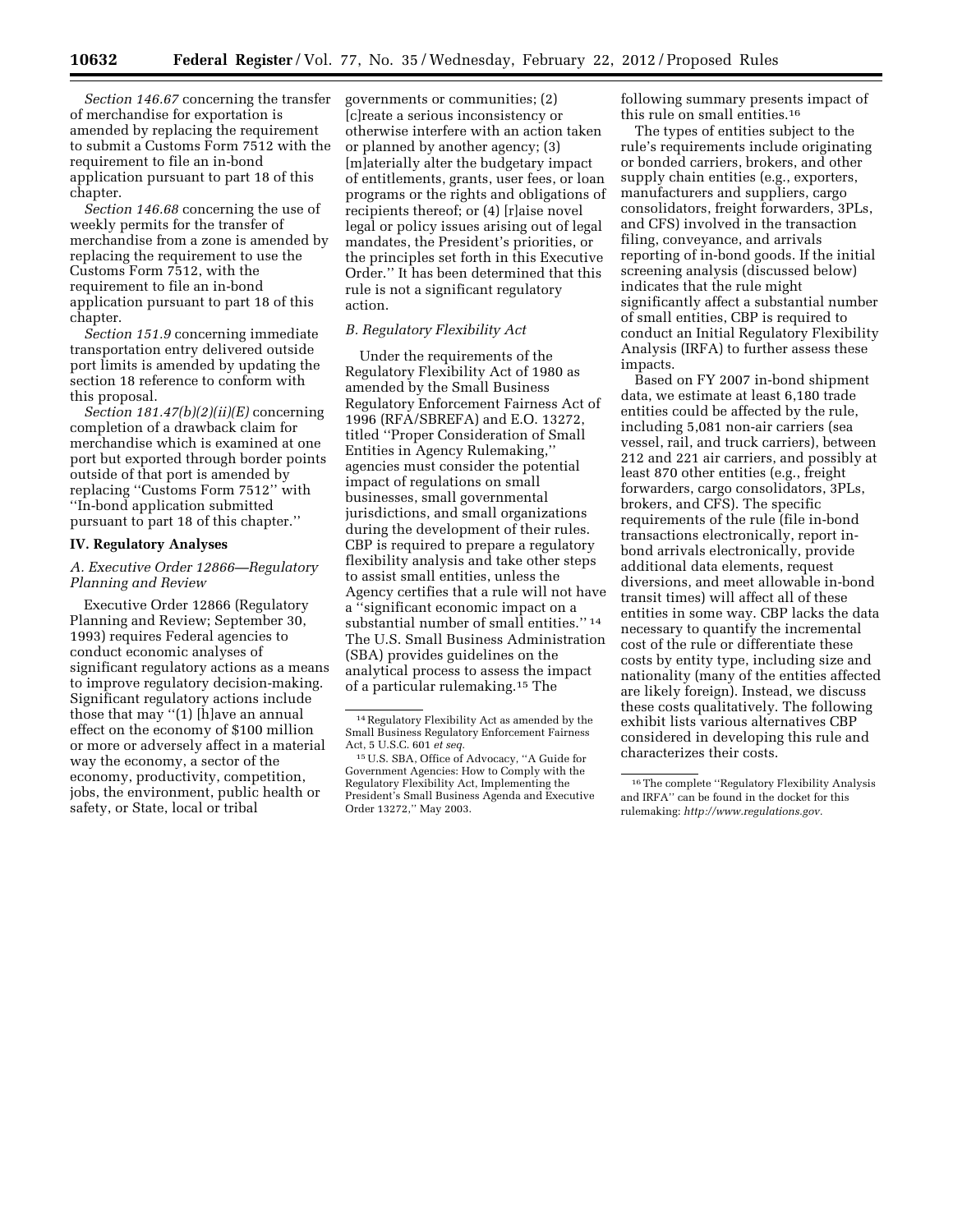*Section 146.67* concerning the transfer of merchandise for exportation is amended by replacing the requirement to submit a Customs Form 7512 with the requirement to file an in-bond application pursuant to part 18 of this chapter.

*Section 146.68* concerning the use of weekly permits for the transfer of merchandise from a zone is amended by replacing the requirement to use the Customs Form 7512, with the requirement to file an in-bond application pursuant to part 18 of this chapter.

*Section 151.9* concerning immediate transportation entry delivered outside port limits is amended by updating the section 18 reference to conform with this proposal.

*Section 181.47(b)(2)(ii)(E)* concerning completion of a drawback claim for merchandise which is examined at one port but exported through border points outside of that port is amended by replacing ''Customs Form 7512'' with ''In-bond application submitted pursuant to part 18 of this chapter.''

# **IV. Regulatory Analyses**

# *A. Executive Order 12866—Regulatory Planning and Review*

Executive Order 12866 (Regulatory Planning and Review; September 30, 1993) requires Federal agencies to conduct economic analyses of significant regulatory actions as a means to improve regulatory decision-making. Significant regulatory actions include those that may ''(1) [h]ave an annual effect on the economy of \$100 million or more or adversely affect in a material way the economy, a sector of the economy, productivity, competition, jobs, the environment, public health or safety, or State, local or tribal

governments or communities; (2) [c]reate a serious inconsistency or otherwise interfere with an action taken or planned by another agency; (3) [m]aterially alter the budgetary impact of entitlements, grants, user fees, or loan programs or the rights and obligations of recipients thereof; or (4) [r]aise novel legal or policy issues arising out of legal mandates, the President's priorities, or the principles set forth in this Executive Order.'' It has been determined that this rule is not a significant regulatory action.

# *B. Regulatory Flexibility Act*

Under the requirements of the Regulatory Flexibility Act of 1980 as amended by the Small Business Regulatory Enforcement Fairness Act of 1996 (RFA/SBREFA) and E.O. 13272, titled ''Proper Consideration of Small Entities in Agency Rulemaking,'' agencies must consider the potential impact of regulations on small businesses, small governmental jurisdictions, and small organizations during the development of their rules. CBP is required to prepare a regulatory flexibility analysis and take other steps to assist small entities, unless the Agency certifies that a rule will not have a ''significant economic impact on a substantial number of small entities."<sup>14</sup> The U.S. Small Business Administration (SBA) provides guidelines on the analytical process to assess the impact of a particular rulemaking.15 The

following summary presents impact of this rule on small entities.16

The types of entities subject to the rule's requirements include originating or bonded carriers, brokers, and other supply chain entities (e.g., exporters, manufacturers and suppliers, cargo consolidators, freight forwarders, 3PLs, and CFS) involved in the transaction filing, conveyance, and arrivals reporting of in-bond goods. If the initial screening analysis (discussed below) indicates that the rule might significantly affect a substantial number of small entities, CBP is required to conduct an Initial Regulatory Flexibility Analysis (IRFA) to further assess these impacts.

Based on FY 2007 in-bond shipment data, we estimate at least 6,180 trade entities could be affected by the rule, including 5,081 non-air carriers (sea vessel, rail, and truck carriers), between 212 and 221 air carriers, and possibly at least 870 other entities (e.g., freight forwarders, cargo consolidators, 3PLs, brokers, and CFS). The specific requirements of the rule (file in-bond transactions electronically, report inbond arrivals electronically, provide additional data elements, request diversions, and meet allowable in-bond transit times) will affect all of these entities in some way. CBP lacks the data necessary to quantify the incremental cost of the rule or differentiate these costs by entity type, including size and nationality (many of the entities affected are likely foreign). Instead, we discuss these costs qualitatively. The following exhibit lists various alternatives CBP considered in developing this rule and characterizes their costs.

<sup>14</sup>Regulatory Flexibility Act as amended by the Small Business Regulatory Enforcement Fairness Act, 5 U.S.C. 601 *et seq.* 

<sup>15</sup>U.S. SBA, Office of Advocacy, ''A Guide for Government Agencies: How to Comply with the Regulatory Flexibility Act, Implementing the President's Small Business Agenda and Executive Order 13272,'' May 2003.

<sup>16</sup>The complete ''Regulatory Flexibility Analysis and IRFA'' can be found in the docket for this rulemaking: *[http://www.regulations.gov.](http://www.regulations.gov)*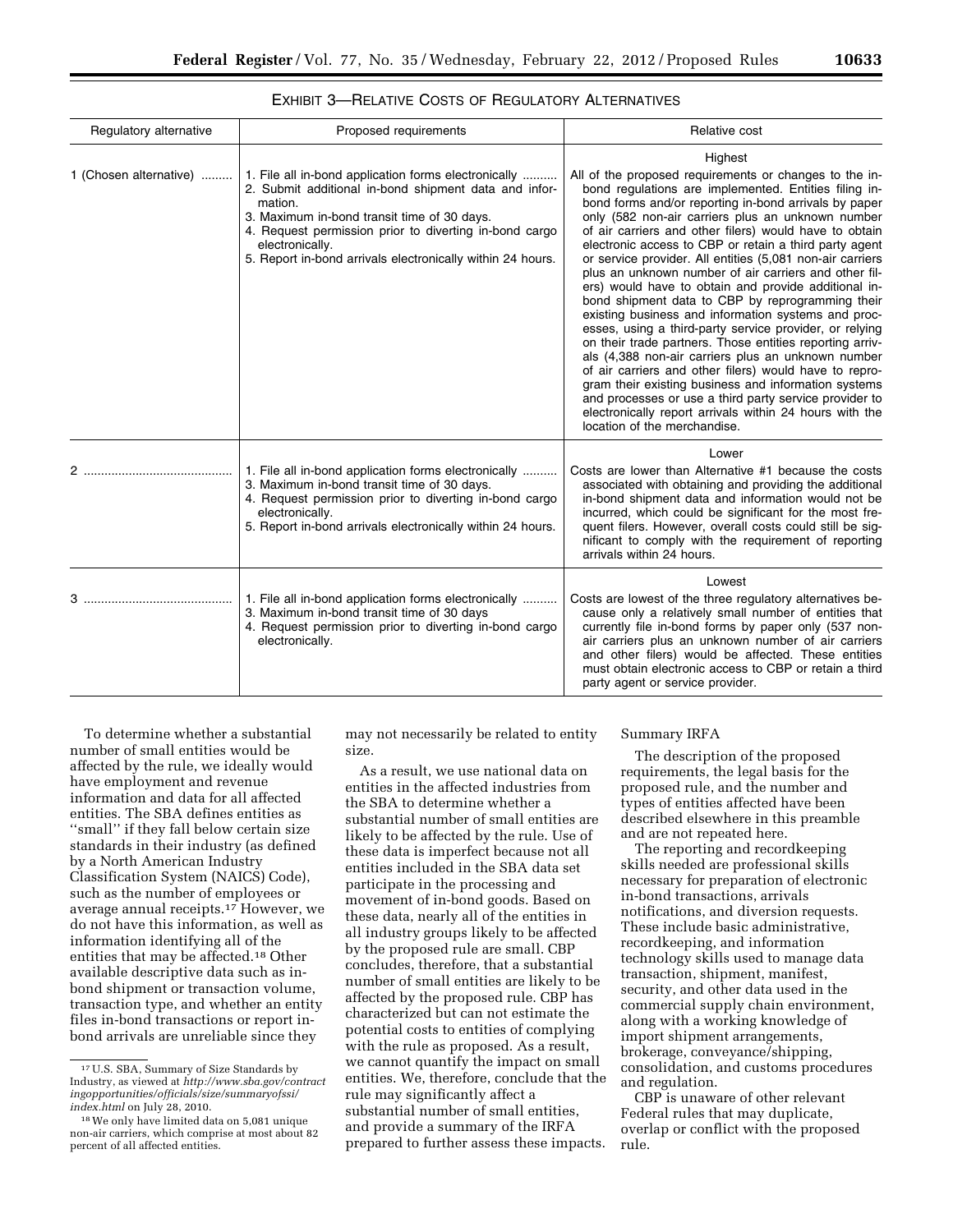| $\sum_{i=1}^{n}$ . The state of $\sum_{i=1}^{n}$ is $\sum_{i=1}^{n}$ is $\sum_{i=1}^{n}$ if $\sum_{i=1}^{n}$ is $\sum_{i=1}^{n}$ if $\sum_{i=1}^{n}$ | ---- |
|------------------------------------------------------------------------------------------------------------------------------------------------------|------|
|                                                                                                                                                      |      |
| EXHIBIT 3-RELATIVE COSTS OF REGULATORY ALTERNATIVES                                                                                                  |      |

| Regulatory alternative | Proposed requirements                                                                                                                                                                                                                                                                                              | Relative cost                                                                                                                                                                                                                                                                                                                                                                                                                                                                                                                                                                                                                                                                                                                                                                                                                                                                                                                                                                                                                                                                                             |
|------------------------|--------------------------------------------------------------------------------------------------------------------------------------------------------------------------------------------------------------------------------------------------------------------------------------------------------------------|-----------------------------------------------------------------------------------------------------------------------------------------------------------------------------------------------------------------------------------------------------------------------------------------------------------------------------------------------------------------------------------------------------------------------------------------------------------------------------------------------------------------------------------------------------------------------------------------------------------------------------------------------------------------------------------------------------------------------------------------------------------------------------------------------------------------------------------------------------------------------------------------------------------------------------------------------------------------------------------------------------------------------------------------------------------------------------------------------------------|
| 1 (Chosen alternative) | 1. File all in-bond application forms electronically<br>2. Submit additional in-bond shipment data and infor-<br>mation.<br>3. Maximum in-bond transit time of 30 days.<br>4. Request permission prior to diverting in-bond cargo<br>electronically.<br>5. Report in-bond arrivals electronically within 24 hours. | Highest<br>All of the proposed requirements or changes to the in-<br>bond regulations are implemented. Entities filing in-<br>bond forms and/or reporting in-bond arrivals by paper<br>only (582 non-air carriers plus an unknown number<br>of air carriers and other filers) would have to obtain<br>electronic access to CBP or retain a third party agent<br>or service provider. All entities (5,081 non-air carriers<br>plus an unknown number of air carriers and other fil-<br>ers) would have to obtain and provide additional in-<br>bond shipment data to CBP by reprogramming their<br>existing business and information systems and proc-<br>esses, using a third-party service provider, or relying<br>on their trade partners. Those entities reporting arriv-<br>als (4,388 non-air carriers plus an unknown number<br>of air carriers and other filers) would have to repro-<br>gram their existing business and information systems<br>and processes or use a third party service provider to<br>electronically report arrivals within 24 hours with the<br>location of the merchandise. |
| 2                      | 1. File all in-bond application forms electronically<br>3. Maximum in-bond transit time of 30 days.<br>4. Request permission prior to diverting in-bond cargo<br>electronically.<br>5. Report in-bond arrivals electronically within 24 hours.                                                                     | Lower<br>Costs are lower than Alternative #1 because the costs<br>associated with obtaining and providing the additional<br>in-bond shipment data and information would not be<br>incurred, which could be significant for the most fre-<br>quent filers. However, overall costs could still be sig-<br>nificant to comply with the requirement of reporting<br>arrivals within 24 hours.                                                                                                                                                                                                                                                                                                                                                                                                                                                                                                                                                                                                                                                                                                                 |
| 3                      | 1. File all in-bond application forms electronically<br>3. Maximum in-bond transit time of 30 days<br>4. Request permission prior to diverting in-bond cargo<br>electronically.                                                                                                                                    | Lowest<br>Costs are lowest of the three regulatory alternatives be-<br>cause only a relatively small number of entities that<br>currently file in-bond forms by paper only (537 non-<br>air carriers plus an unknown number of air carriers<br>and other filers) would be affected. These entities<br>must obtain electronic access to CBP or retain a third<br>party agent or service provider.                                                                                                                                                                                                                                                                                                                                                                                                                                                                                                                                                                                                                                                                                                          |

To determine whether a substantial number of small entities would be affected by the rule, we ideally would have employment and revenue information and data for all affected entities. The SBA defines entities as "small" if they fall below certain size standards in their industry (as defined by a North American Industry Classification System (NAICS) Code), such as the number of employees or average annual receipts.17 However, we do not have this information, as well as information identifying all of the entities that may be affected.18 Other available descriptive data such as inbond shipment or transaction volume, transaction type, and whether an entity files in-bond transactions or report inbond arrivals are unreliable since they

may not necessarily be related to entity size.

As a result, we use national data on entities in the affected industries from the SBA to determine whether a substantial number of small entities are likely to be affected by the rule. Use of these data is imperfect because not all entities included in the SBA data set participate in the processing and movement of in-bond goods. Based on these data, nearly all of the entities in all industry groups likely to be affected by the proposed rule are small. CBP concludes, therefore, that a substantial number of small entities are likely to be affected by the proposed rule. CBP has characterized but can not estimate the potential costs to entities of complying with the rule as proposed. As a result, we cannot quantify the impact on small entities. We, therefore, conclude that the rule may significantly affect a substantial number of small entities, and provide a summary of the IRFA prepared to further assess these impacts.

# Summary IRFA

The description of the proposed requirements, the legal basis for the proposed rule, and the number and types of entities affected have been described elsewhere in this preamble and are not repeated here.

The reporting and recordkeeping skills needed are professional skills necessary for preparation of electronic in-bond transactions, arrivals notifications, and diversion requests. These include basic administrative, recordkeeping, and information technology skills used to manage data transaction, shipment, manifest, security, and other data used in the commercial supply chain environment, along with a working knowledge of import shipment arrangements, brokerage, conveyance/shipping, consolidation, and customs procedures and regulation.

CBP is unaware of other relevant Federal rules that may duplicate, overlap or conflict with the proposed rule.

<sup>17</sup>U.S. SBA, Summary of Size Standards by Industry, as viewed at *[http://www.sba.gov/contract](http://www.sba.gov/contractingopportunities/officials/size/summaryofssi/index.html) [ingopportunities/officials/size/summaryofssi/](http://www.sba.gov/contractingopportunities/officials/size/summaryofssi/index.html) [index.html](http://www.sba.gov/contractingopportunities/officials/size/summaryofssi/index.html)* on July 28, 2010.

<sup>18</sup>We only have limited data on 5,081 unique non-air carriers, which comprise at most about 82 percent of all affected entities.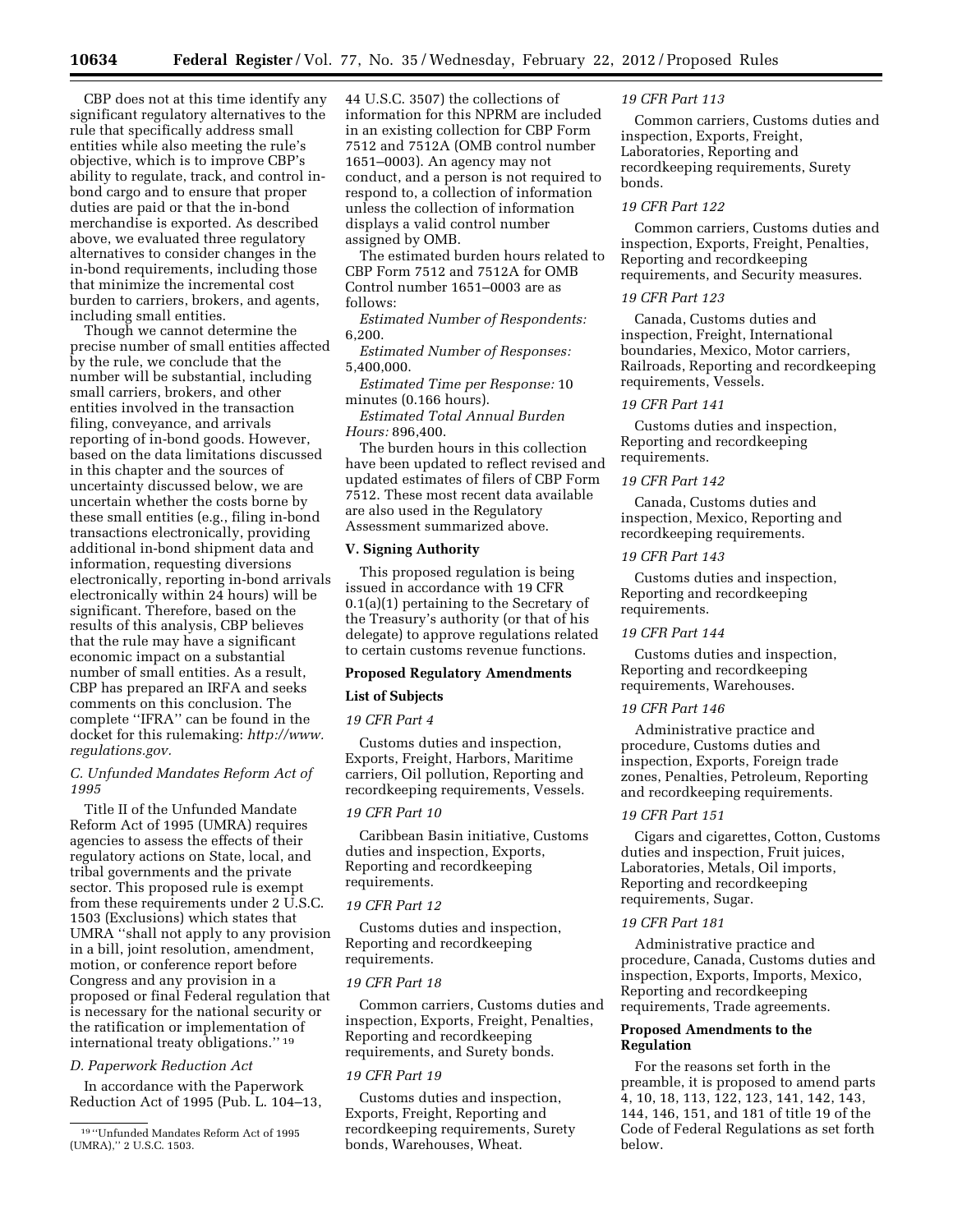CBP does not at this time identify any significant regulatory alternatives to the rule that specifically address small entities while also meeting the rule's objective, which is to improve CBP's ability to regulate, track, and control inbond cargo and to ensure that proper duties are paid or that the in-bond merchandise is exported. As described above, we evaluated three regulatory alternatives to consider changes in the in-bond requirements, including those that minimize the incremental cost burden to carriers, brokers, and agents, including small entities.

Though we cannot determine the precise number of small entities affected by the rule, we conclude that the number will be substantial, including small carriers, brokers, and other entities involved in the transaction filing, conveyance, and arrivals reporting of in-bond goods. However, based on the data limitations discussed in this chapter and the sources of uncertainty discussed below, we are uncertain whether the costs borne by these small entities (e.g., filing in-bond transactions electronically, providing additional in-bond shipment data and information, requesting diversions electronically, reporting in-bond arrivals electronically within 24 hours) will be significant. Therefore, based on the results of this analysis, CBP believes that the rule may have a significant economic impact on a substantial number of small entities. As a result, CBP has prepared an IRFA and seeks comments on this conclusion. The complete ''IFRA'' can be found in the docket for this rulemaking: *[http://www.](http://www.regulations.gov) [regulations.gov.](http://www.regulations.gov)* 

# *C. Unfunded Mandates Reform Act of 1995*

Title II of the Unfunded Mandate Reform Act of 1995 (UMRA) requires agencies to assess the effects of their regulatory actions on State, local, and tribal governments and the private sector. This proposed rule is exempt from these requirements under 2 U.S.C. 1503 (Exclusions) which states that UMRA ''shall not apply to any provision in a bill, joint resolution, amendment, motion, or conference report before Congress and any provision in a proposed or final Federal regulation that is necessary for the national security or the ratification or implementation of international treaty obligations.'' 19

# *D. Paperwork Reduction Act*

In accordance with the Paperwork Reduction Act of 1995 (Pub. L. 104–13, 44 U.S.C. 3507) the collections of information for this NPRM are included in an existing collection for CBP Form 7512 and 7512A (OMB control number 1651–0003). An agency may not conduct, and a person is not required to respond to, a collection of information unless the collection of information displays a valid control number assigned by OMB.

The estimated burden hours related to CBP Form 7512 and 7512A for OMB Control number 1651–0003 are as follows:

*Estimated Number of Respondents:*  6,200.

*Estimated Number of Responses:*  5,400,000.

*Estimated Time per Response:* 10 minutes (0.166 hours).

*Estimated Total Annual Burden Hours:* 896,400.

The burden hours in this collection have been updated to reflect revised and updated estimates of filers of CBP Form 7512. These most recent data available are also used in the Regulatory Assessment summarized above.

# **V. Signing Authority**

This proposed regulation is being issued in accordance with 19 CFR 0.1(a)(1) pertaining to the Secretary of the Treasury's authority (or that of his delegate) to approve regulations related to certain customs revenue functions.

# **Proposed Regulatory Amendments**

#### **List of Subjects**

# *19 CFR Part 4*

Customs duties and inspection, Exports, Freight, Harbors, Maritime carriers, Oil pollution, Reporting and recordkeeping requirements, Vessels.

# *19 CFR Part 10*

Caribbean Basin initiative, Customs duties and inspection, Exports, Reporting and recordkeeping requirements.

#### *19 CFR Part 12*

Customs duties and inspection, Reporting and recordkeeping requirements.

# *19 CFR Part 18*

Common carriers, Customs duties and inspection, Exports, Freight, Penalties, Reporting and recordkeeping requirements, and Surety bonds.

# *19 CFR Part 19*

Customs duties and inspection, Exports, Freight, Reporting and recordkeeping requirements, Surety bonds, Warehouses, Wheat.

#### *19 CFR Part 113*

Common carriers, Customs duties and inspection, Exports, Freight, Laboratories, Reporting and recordkeeping requirements, Surety bonds.

# *19 CFR Part 122*

Common carriers, Customs duties and inspection, Exports, Freight, Penalties, Reporting and recordkeeping requirements, and Security measures.

# *19 CFR Part 123*

Canada, Customs duties and inspection, Freight, International boundaries, Mexico, Motor carriers, Railroads, Reporting and recordkeeping requirements, Vessels.

#### *19 CFR Part 141*

Customs duties and inspection, Reporting and recordkeeping requirements.

# *19 CFR Part 142*

Canada, Customs duties and inspection, Mexico, Reporting and recordkeeping requirements.

#### *19 CFR Part 143*

Customs duties and inspection, Reporting and recordkeeping requirements.

# *19 CFR Part 144*

Customs duties and inspection, Reporting and recordkeeping requirements, Warehouses.

# *19 CFR Part 146*

Administrative practice and procedure, Customs duties and inspection, Exports, Foreign trade zones, Penalties, Petroleum, Reporting and recordkeeping requirements.

#### *19 CFR Part 151*

Cigars and cigarettes, Cotton, Customs duties and inspection, Fruit juices, Laboratories, Metals, Oil imports, Reporting and recordkeeping requirements, Sugar.

# *19 CFR Part 181*

Administrative practice and procedure, Canada, Customs duties and inspection, Exports, Imports, Mexico, Reporting and recordkeeping requirements, Trade agreements.

# **Proposed Amendments to the Regulation**

For the reasons set forth in the preamble, it is proposed to amend parts 4, 10, 18, 113, 122, 123, 141, 142, 143, 144, 146, 151, and 181 of title 19 of the Code of Federal Regulations as set forth below.

<sup>19</sup> ''Unfunded Mandates Reform Act of 1995 (UMRA),'' 2 U.S.C. 1503.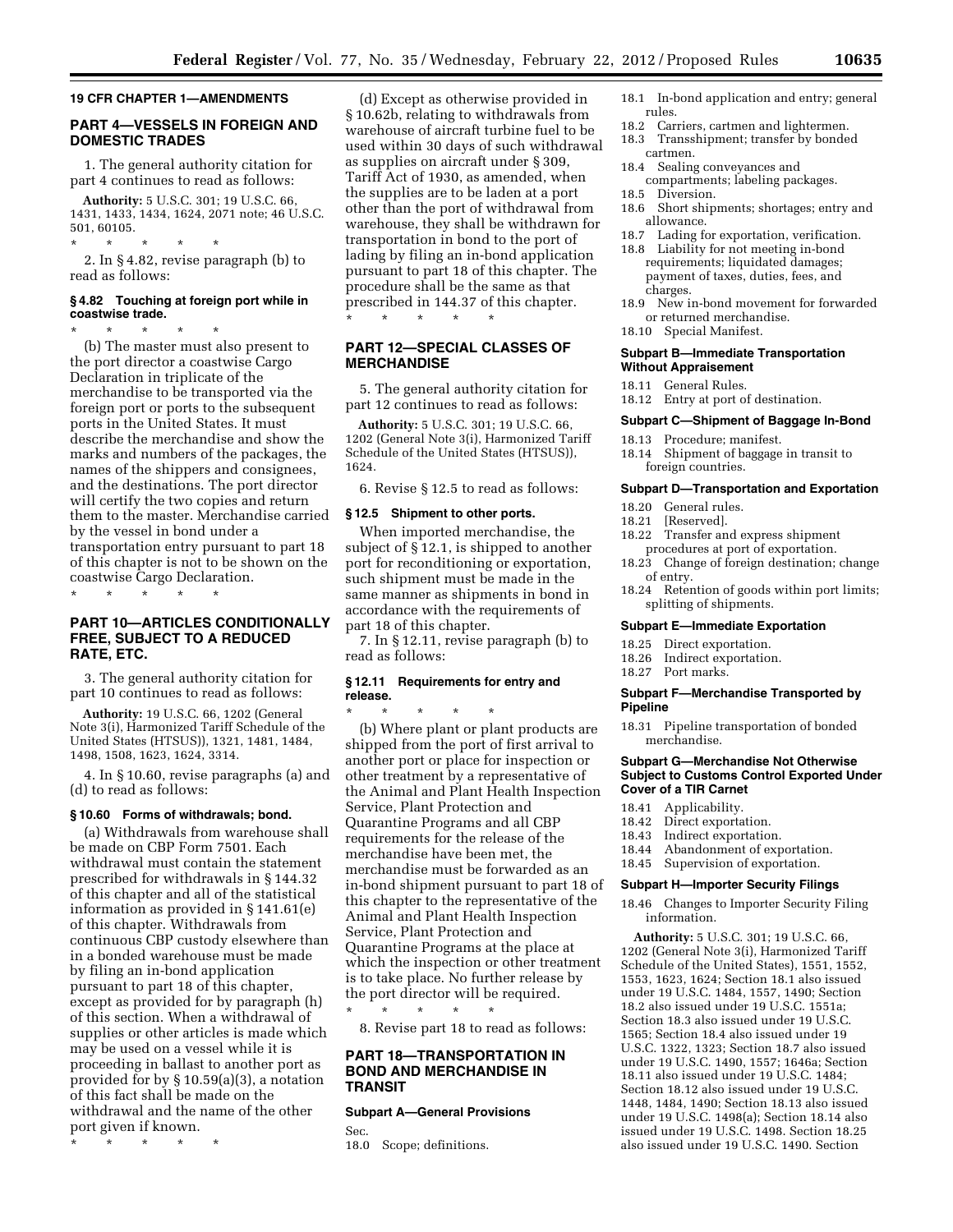#### **19 CFR CHAPTER 1—AMENDMENTS**

# **PART 4—VESSELS IN FOREIGN AND DOMESTIC TRADES**

1. The general authority citation for part 4 continues to read as follows:

**Authority:** 5 U.S.C. 301; 19 U.S.C. 66, 1431, 1433, 1434, 1624, 2071 note; 46 U.S.C. 501, 60105.

\* \* \* \* \* 2. In § 4.82, revise paragraph (b) to read as follows:

# **§ 4.82 Touching at foreign port while in coastwise trade.**

\* \* \* \* \* (b) The master must also present to the port director a coastwise Cargo Declaration in triplicate of the merchandise to be transported via the foreign port or ports to the subsequent ports in the United States. It must describe the merchandise and show the marks and numbers of the packages, the names of the shippers and consignees, and the destinations. The port director will certify the two copies and return them to the master. Merchandise carried by the vessel in bond under a transportation entry pursuant to part 18 of this chapter is not to be shown on the coastwise Cargo Declaration.

\* \* \* \* \*

# **PART 10—ARTICLES CONDITIONALLY FREE, SUBJECT TO A REDUCED RATE, ETC.**

3. The general authority citation for part 10 continues to read as follows:

**Authority:** 19 U.S.C. 66, 1202 (General Note 3(i), Harmonized Tariff Schedule of the United States (HTSUS)), 1321, 1481, 1484, 1498, 1508, 1623, 1624, 3314.

4. In § 10.60, revise paragraphs (a) and (d) to read as follows:

#### **§ 10.60 Forms of withdrawals; bond.**

(a) Withdrawals from warehouse shall be made on CBP Form 7501. Each withdrawal must contain the statement prescribed for withdrawals in § 144.32 of this chapter and all of the statistical information as provided in § 141.61(e) of this chapter. Withdrawals from continuous CBP custody elsewhere than in a bonded warehouse must be made by filing an in-bond application pursuant to part 18 of this chapter, except as provided for by paragraph (h) of this section. When a withdrawal of supplies or other articles is made which may be used on a vessel while it is proceeding in ballast to another port as provided for by § 10.59(a)(3), a notation of this fact shall be made on the withdrawal and the name of the other port given if known.

\* \* \* \* \*

(d) Except as otherwise provided in § 10.62b, relating to withdrawals from warehouse of aircraft turbine fuel to be used within 30 days of such withdrawal as supplies on aircraft under § 309, Tariff Act of 1930, as amended, when the supplies are to be laden at a port other than the port of withdrawal from warehouse, they shall be withdrawn for transportation in bond to the port of lading by filing an in-bond application pursuant to part 18 of this chapter. The procedure shall be the same as that prescribed in 144.37 of this chapter. \* \* \* \* \*

# **PART 12—SPECIAL CLASSES OF MERCHANDISE**

5. The general authority citation for part 12 continues to read as follows:

**Authority:** 5 U.S.C. 301; 19 U.S.C. 66, 1202 (General Note 3(i), Harmonized Tariff Schedule of the United States (HTSUS)), 1624.

6. Revise § 12.5 to read as follows:

# **§ 12.5 Shipment to other ports.**

When imported merchandise, the subject of § 12.1, is shipped to another port for reconditioning or exportation, such shipment must be made in the same manner as shipments in bond in accordance with the requirements of part 18 of this chapter.

7. In § 12.11, revise paragraph (b) to read as follows:

# **§ 12.11 Requirements for entry and release.**

\* \* \* \* \* (b) Where plant or plant products are shipped from the port of first arrival to another port or place for inspection or other treatment by a representative of the Animal and Plant Health Inspection Service, Plant Protection and Quarantine Programs and all CBP requirements for the release of the merchandise have been met, the merchandise must be forwarded as an in-bond shipment pursuant to part 18 of this chapter to the representative of the Animal and Plant Health Inspection Service, Plant Protection and Quarantine Programs at the place at which the inspection or other treatment is to take place. No further release by the port director will be required.

\* \* \* \* \* 8. Revise part 18 to read as follows:

# **PART 18—TRANSPORTATION IN BOND AND MERCHANDISE IN TRANSIT**

#### **Subpart A—General Provisions**

Sec.<br>18.0

- 18.1 In-bond application and entry; general rules.
- 18.2 Carriers, cartmen and lightermen.
- 18.3 Transshipment; transfer by bonded cartmen.
- 18.4 Sealing conveyances and
- compartments; labeling packages. 18.5 Diversion.
- 
- 18.6 Short shipments; shortages; entry and allowance.
- 18.7 Lading for exportation, verification.
- 18.8 Liability for not meeting in-bond requirements; liquidated damages; payment of taxes, duties, fees, and charges.
- 18.9 New in-bond movement for forwarded or returned merchandise.
- 18.10 Special Manifest.

#### **Subpart B—Immediate Transportation Without Appraisement**

- 18.11 General Rules.
- 18.12 Entry at port of destination.

#### **Subpart C—Shipment of Baggage In-Bond**

- 18.13 Procedure; manifest.
- 18.14 Shipment of baggage in transit to foreign countries.

#### **Subpart D—Transportation and Exportation**

- 18.20 General rules.<br>18.21 [Reserved].
- 
- 18.21 [Reserved].<br>18.22 Transfer an Transfer and express shipment procedures at port of exportation.
- 18.23 Change of foreign destination; change of entry.
- 18.24 Retention of goods within port limits; splitting of shipments.

#### **Subpart E—Immediate Exportation**

- 18.25 Direct exportation.
- 18.26 Indirect exportation.
- 18.27 Port marks.

#### **Subpart F—Merchandise Transported by Pipeline**

18.31 Pipeline transportation of bonded merchandise.

# **Subpart G—Merchandise Not Otherwise Subject to Customs Control Exported Under Cover of a TIR Carnet**

- 18.41 Applicability.<br>18.42 Direct exporta
- Direct exportation.
- 18.43 Indirect exportation.
- 18.44 Abandonment of exportation.
- 18.45 Supervision of exportation.

#### **Subpart H—Importer Security Filings**

18.46 Changes to Importer Security Filing information.

**Authority:** 5 U.S.C. 301; 19 U.S.C. 66, 1202 (General Note 3(i), Harmonized Tariff Schedule of the United States), 1551, 1552, 1553, 1623, 1624; Section 18.1 also issued under 19 U.S.C. 1484, 1557, 1490; Section 18.2 also issued under 19 U.S.C. 1551a; Section 18.3 also issued under 19 U.S.C. 1565; Section 18.4 also issued under 19 U.S.C. 1322, 1323; Section 18.7 also issued under 19 U.S.C. 1490, 1557; 1646a; Section 18.11 also issued under 19 U.S.C. 1484; Section 18.12 also issued under 19 U.S.C. 1448, 1484, 1490; Section 18.13 also issued under 19 U.S.C. 1498(a); Section 18.14 also issued under 19 U.S.C. 1498. Section 18.25 also issued under 19 U.S.C. 1490. Section

Scope; definitions.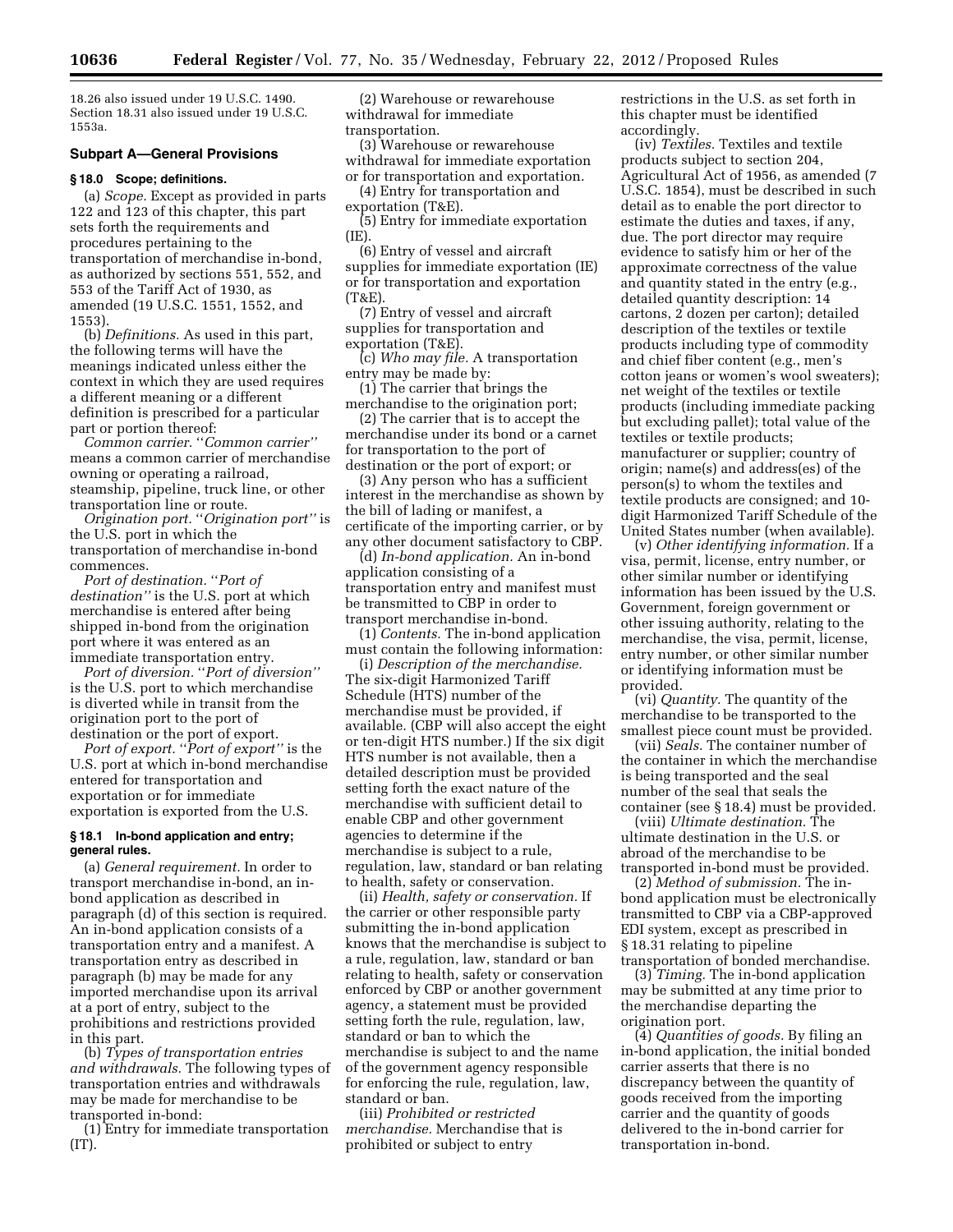18.26 also issued under 19 U.S.C. 1490. Section 18.31 also issued under 19 U.S.C. 1553a.

# **Subpart A—General Provisions**

#### **§ 18.0 Scope; definitions.**

(a) *Scope.* Except as provided in parts 122 and 123 of this chapter, this part sets forth the requirements and procedures pertaining to the transportation of merchandise in-bond, as authorized by sections 551, 552, and 553 of the Tariff Act of 1930, as amended (19 U.S.C. 1551, 1552, and 1553).

(b) *Definitions.* As used in this part, the following terms will have the meanings indicated unless either the context in which they are used requires a different meaning or a different definition is prescribed for a particular part or portion thereof:

*Common carrier.* ''*Common carrier''*  means a common carrier of merchandise owning or operating a railroad, steamship, pipeline, truck line, or other transportation line or route.

*Origination port.* ''*Origination port''* is the U.S. port in which the transportation of merchandise in-bond commences.

*Port of destination.* ''*Port of destination''* is the U.S. port at which merchandise is entered after being shipped in-bond from the origination port where it was entered as an immediate transportation entry.

*Port of diversion.* ''*Port of diversion''*  is the U.S. port to which merchandise is diverted while in transit from the origination port to the port of destination or the port of export.

*Port of export.* ''*Port of export''* is the U.S. port at which in-bond merchandise entered for transportation and exportation or for immediate exportation is exported from the U.S.

# **§ 18.1 In-bond application and entry; general rules.**

(a) *General requirement.* In order to transport merchandise in-bond, an inbond application as described in paragraph (d) of this section is required. An in-bond application consists of a transportation entry and a manifest. A transportation entry as described in paragraph (b) may be made for any imported merchandise upon its arrival at a port of entry, subject to the prohibitions and restrictions provided in this part.

(b) *Types of transportation entries and withdrawals.* The following types of transportation entries and withdrawals may be made for merchandise to be transported in-bond:

(1) Entry for immediate transportation (IT).

(2) Warehouse or rewarehouse withdrawal for immediate transportation.

(3) Warehouse or rewarehouse withdrawal for immediate exportation or for transportation and exportation.

(4) Entry for transportation and exportation (T&E).

(5) Entry for immediate exportation  $(IE)$ 

(6) Entry of vessel and aircraft supplies for immediate exportation (IE) or for transportation and exportation (T&E).

(7) Entry of vessel and aircraft supplies for transportation and exportation (T&E).

(c) *Who may file.* A transportation entry may be made by:

(1) The carrier that brings the merchandise to the origination port;

(2) The carrier that is to accept the merchandise under its bond or a carnet for transportation to the port of destination or the port of export; or

(3) Any person who has a sufficient interest in the merchandise as shown by the bill of lading or manifest, a certificate of the importing carrier, or by any other document satisfactory to CBP.

(d) *In-bond application.* An in-bond application consisting of a transportation entry and manifest must be transmitted to CBP in order to transport merchandise in-bond.

(1) *Contents.* The in-bond application must contain the following information:

(i) *Description of the merchandise.*  The six-digit Harmonized Tariff Schedule (HTS) number of the merchandise must be provided, if available. (CBP will also accept the eight or ten-digit HTS number.) If the six digit HTS number is not available, then a detailed description must be provided setting forth the exact nature of the merchandise with sufficient detail to enable CBP and other government agencies to determine if the merchandise is subject to a rule, regulation, law, standard or ban relating to health, safety or conservation.

(ii) *Health, safety or conservation.* If the carrier or other responsible party submitting the in-bond application knows that the merchandise is subject to a rule, regulation, law, standard or ban relating to health, safety or conservation enforced by CBP or another government agency, a statement must be provided setting forth the rule, regulation, law, standard or ban to which the merchandise is subject to and the name of the government agency responsible for enforcing the rule, regulation, law, standard or ban.

(iii) *Prohibited or restricted merchandise.* Merchandise that is prohibited or subject to entry

restrictions in the U.S. as set forth in this chapter must be identified accordingly.

(iv) *Textiles.* Textiles and textile products subject to section 204, Agricultural Act of 1956, as amended (7 U.S.C. 1854), must be described in such detail as to enable the port director to estimate the duties and taxes, if any, due. The port director may require evidence to satisfy him or her of the approximate correctness of the value and quantity stated in the entry (e.g., detailed quantity description: 14 cartons, 2 dozen per carton); detailed description of the textiles or textile products including type of commodity and chief fiber content (e.g., men's cotton jeans or women's wool sweaters); net weight of the textiles or textile products (including immediate packing but excluding pallet); total value of the textiles or textile products; manufacturer or supplier; country of origin; name(s) and address(es) of the person(s) to whom the textiles and textile products are consigned; and 10 digit Harmonized Tariff Schedule of the United States number (when available).

(v) *Other identifying information.* If a visa, permit, license, entry number, or other similar number or identifying information has been issued by the U.S. Government, foreign government or other issuing authority, relating to the merchandise, the visa, permit, license, entry number, or other similar number or identifying information must be provided.

(vi) *Quantity.* The quantity of the merchandise to be transported to the smallest piece count must be provided.

(vii) *Seals.* The container number of the container in which the merchandise is being transported and the seal number of the seal that seals the container (see § 18.4) must be provided.

(viii) *Ultimate destination.* The ultimate destination in the U.S. or abroad of the merchandise to be transported in-bond must be provided.

(2) *Method of submission.* The inbond application must be electronically transmitted to CBP via a CBP-approved EDI system, except as prescribed in § 18.31 relating to pipeline transportation of bonded merchandise.

(3) *Timing.* The in-bond application may be submitted at any time prior to the merchandise departing the origination port.

(4) *Quantities of goods.* By filing an in-bond application, the initial bonded carrier asserts that there is no discrepancy between the quantity of goods received from the importing carrier and the quantity of goods delivered to the in-bond carrier for transportation in-bond.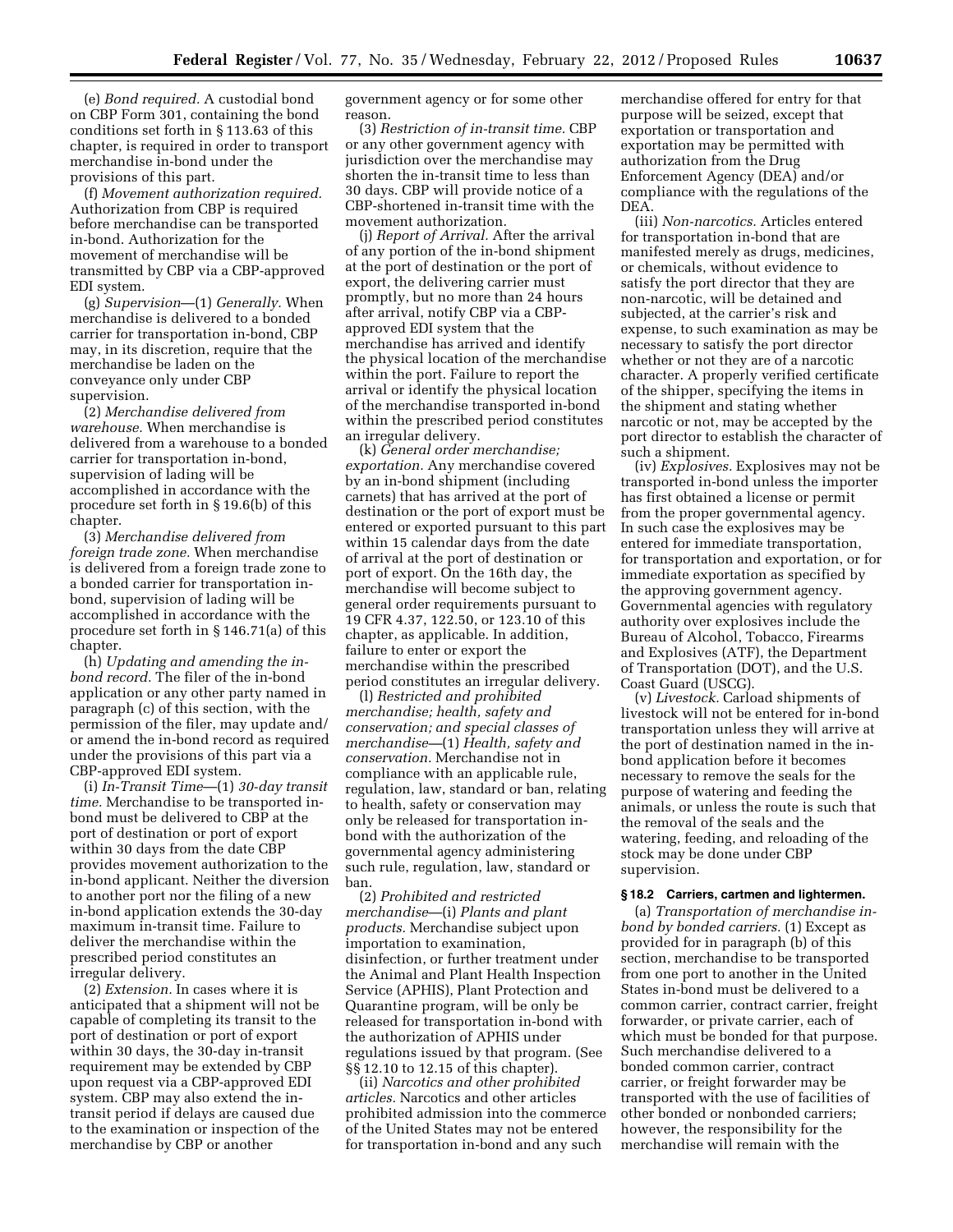(e) *Bond required.* A custodial bond on CBP Form 301, containing the bond conditions set forth in § 113.63 of this chapter, is required in order to transport merchandise in-bond under the provisions of this part.

(f) *Movement authorization required.*  Authorization from CBP is required before merchandise can be transported in-bond. Authorization for the movement of merchandise will be transmitted by CBP via a CBP-approved EDI system.

(g) *Supervision*—(1) *Generally.* When merchandise is delivered to a bonded carrier for transportation in-bond, CBP may, in its discretion, require that the merchandise be laden on the conveyance only under CBP supervision.

(2) *Merchandise delivered from warehouse.* When merchandise is delivered from a warehouse to a bonded carrier for transportation in-bond, supervision of lading will be accomplished in accordance with the procedure set forth in § 19.6(b) of this chapter.

(3) *Merchandise delivered from foreign trade zone.* When merchandise is delivered from a foreign trade zone to a bonded carrier for transportation inbond, supervision of lading will be accomplished in accordance with the procedure set forth in § 146.71(a) of this chapter.

(h) *Updating and amending the inbond record.* The filer of the in-bond application or any other party named in paragraph (c) of this section, with the permission of the filer, may update and/ or amend the in-bond record as required under the provisions of this part via a CBP-approved EDI system.

(i) *In-Transit Time*—(1) *30-day transit time.* Merchandise to be transported inbond must be delivered to CBP at the port of destination or port of export within 30 days from the date CBP provides movement authorization to the in-bond applicant. Neither the diversion to another port nor the filing of a new in-bond application extends the 30-day maximum in-transit time. Failure to deliver the merchandise within the prescribed period constitutes an irregular delivery.

(2) *Extension.* In cases where it is anticipated that a shipment will not be capable of completing its transit to the port of destination or port of export within 30 days, the 30-day in-transit requirement may be extended by CBP upon request via a CBP-approved EDI system. CBP may also extend the intransit period if delays are caused due to the examination or inspection of the merchandise by CBP or another

government agency or for some other reason.

(3) *Restriction of in-transit time.* CBP or any other government agency with jurisdiction over the merchandise may shorten the in-transit time to less than 30 days. CBP will provide notice of a CBP-shortened in-transit time with the movement authorization.

(j) *Report of Arrival.* After the arrival of any portion of the in-bond shipment at the port of destination or the port of export, the delivering carrier must promptly, but no more than 24 hours after arrival, notify CBP via a CBPapproved EDI system that the merchandise has arrived and identify the physical location of the merchandise within the port. Failure to report the arrival or identify the physical location of the merchandise transported in-bond within the prescribed period constitutes an irregular delivery.

(k) *General order merchandise; exportation.* Any merchandise covered by an in-bond shipment (including carnets) that has arrived at the port of destination or the port of export must be entered or exported pursuant to this part within 15 calendar days from the date of arrival at the port of destination or port of export. On the 16th day, the merchandise will become subject to general order requirements pursuant to 19 CFR 4.37, 122.50, or 123.10 of this chapter, as applicable. In addition, failure to enter or export the merchandise within the prescribed period constitutes an irregular delivery.

(l) *Restricted and prohibited merchandise; health, safety and conservation; and special classes of merchandise—*(1) *Health, safety and conservation.* Merchandise not in compliance with an applicable rule, regulation, law, standard or ban, relating to health, safety or conservation may only be released for transportation inbond with the authorization of the governmental agency administering such rule, regulation, law, standard or ban.

(2) *Prohibited and restricted merchandise*—(i) *Plants and plant products.* Merchandise subject upon importation to examination, disinfection, or further treatment under the Animal and Plant Health Inspection Service (APHIS), Plant Protection and Quarantine program, will be only be released for transportation in-bond with the authorization of APHIS under regulations issued by that program. (See §§ 12.10 to 12.15 of this chapter).

(ii) *Narcotics and other prohibited articles.* Narcotics and other articles prohibited admission into the commerce of the United States may not be entered for transportation in-bond and any such

merchandise offered for entry for that purpose will be seized, except that exportation or transportation and exportation may be permitted with authorization from the Drug Enforcement Agency (DEA) and/or compliance with the regulations of the DEA.

(iii) *Non-narcotics.* Articles entered for transportation in-bond that are manifested merely as drugs, medicines, or chemicals, without evidence to satisfy the port director that they are non-narcotic, will be detained and subjected, at the carrier's risk and expense, to such examination as may be necessary to satisfy the port director whether or not they are of a narcotic character. A properly verified certificate of the shipper, specifying the items in the shipment and stating whether narcotic or not, may be accepted by the port director to establish the character of such a shipment.

(iv) *Explosives.* Explosives may not be transported in-bond unless the importer has first obtained a license or permit from the proper governmental agency. In such case the explosives may be entered for immediate transportation, for transportation and exportation, or for immediate exportation as specified by the approving government agency. Governmental agencies with regulatory authority over explosives include the Bureau of Alcohol, Tobacco, Firearms and Explosives (ATF), the Department of Transportation (DOT), and the U.S. Coast Guard (USCG).

(v) *Livestock.* Carload shipments of livestock will not be entered for in-bond transportation unless they will arrive at the port of destination named in the inbond application before it becomes necessary to remove the seals for the purpose of watering and feeding the animals, or unless the route is such that the removal of the seals and the watering, feeding, and reloading of the stock may be done under CBP supervision.

#### **§ 18.2 Carriers, cartmen and lightermen.**

(a) *Transportation of merchandise inbond by bonded carriers.* (1) Except as provided for in paragraph (b) of this section, merchandise to be transported from one port to another in the United States in-bond must be delivered to a common carrier, contract carrier, freight forwarder, or private carrier, each of which must be bonded for that purpose. Such merchandise delivered to a bonded common carrier, contract carrier, or freight forwarder may be transported with the use of facilities of other bonded or nonbonded carriers; however, the responsibility for the merchandise will remain with the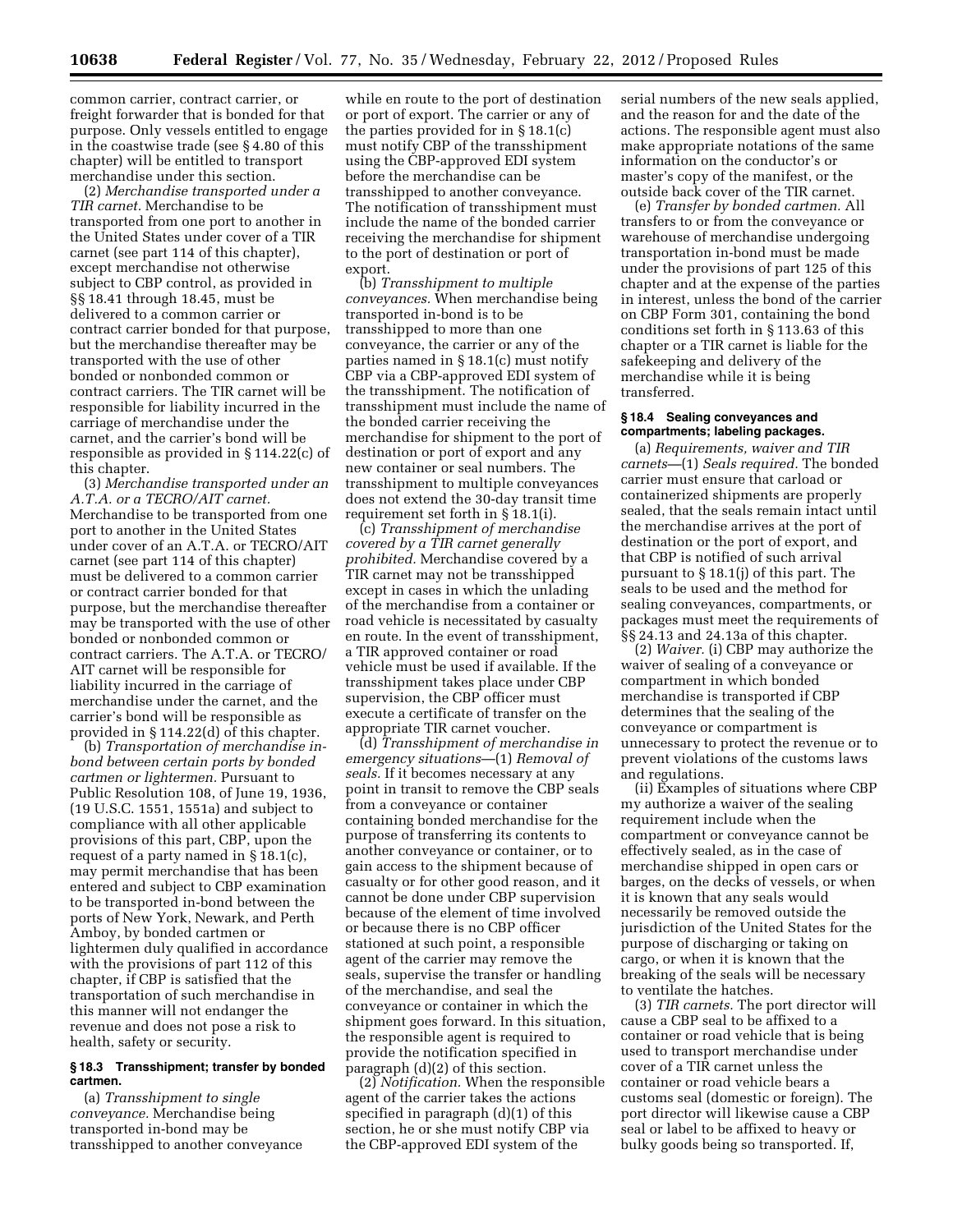common carrier, contract carrier, or freight forwarder that is bonded for that purpose. Only vessels entitled to engage in the coastwise trade (see § 4.80 of this chapter) will be entitled to transport merchandise under this section.

(2) *Merchandise transported under a TIR carnet.* Merchandise to be transported from one port to another in the United States under cover of a TIR carnet (see part 114 of this chapter), except merchandise not otherwise subject to CBP control, as provided in §§ 18.41 through 18.45, must be delivered to a common carrier or contract carrier bonded for that purpose, but the merchandise thereafter may be transported with the use of other bonded or nonbonded common or contract carriers. The TIR carnet will be responsible for liability incurred in the carriage of merchandise under the carnet, and the carrier's bond will be responsible as provided in § 114.22(c) of this chapter.

(3) *Merchandise transported under an A.T.A. or a TECRO/AIT carnet.*  Merchandise to be transported from one port to another in the United States under cover of an A.T.A. or TECRO/AIT carnet (see part 114 of this chapter) must be delivered to a common carrier or contract carrier bonded for that purpose, but the merchandise thereafter may be transported with the use of other bonded or nonbonded common or contract carriers. The A.T.A. or TECRO/ AIT carnet will be responsible for liability incurred in the carriage of merchandise under the carnet, and the carrier's bond will be responsible as provided in § 114.22(d) of this chapter.

(b) *Transportation of merchandise inbond between certain ports by bonded cartmen or lightermen.* Pursuant to Public Resolution 108, of June 19, 1936, (19 U.S.C. 1551, 1551a) and subject to compliance with all other applicable provisions of this part, CBP, upon the request of a party named in § 18.1(c), may permit merchandise that has been entered and subject to CBP examination to be transported in-bond between the ports of New York, Newark, and Perth Amboy, by bonded cartmen or lightermen duly qualified in accordance with the provisions of part 112 of this chapter, if CBP is satisfied that the transportation of such merchandise in this manner will not endanger the revenue and does not pose a risk to health, safety or security.

# **§ 18.3 Transshipment; transfer by bonded cartmen.**

(a) *Transshipment to single conveyance.* Merchandise being transported in-bond may be transshipped to another conveyance

while en route to the port of destination or port of export. The carrier or any of the parties provided for in § 18.1(c) must notify CBP of the transshipment using the CBP-approved EDI system before the merchandise can be transshipped to another conveyance. The notification of transshipment must include the name of the bonded carrier receiving the merchandise for shipment to the port of destination or port of export.

(b) *Transshipment to multiple conveyances.* When merchandise being transported in-bond is to be transshipped to more than one conveyance, the carrier or any of the parties named in § 18.1(c) must notify CBP via a CBP-approved EDI system of the transshipment. The notification of transshipment must include the name of the bonded carrier receiving the merchandise for shipment to the port of destination or port of export and any new container or seal numbers. The transshipment to multiple conveyances does not extend the 30-day transit time requirement set forth in § 18.1(i).

(c) *Transshipment of merchandise covered by a TIR carnet generally prohibited.* Merchandise covered by a TIR carnet may not be transshipped except in cases in which the unlading of the merchandise from a container or road vehicle is necessitated by casualty en route. In the event of transshipment, a TIR approved container or road vehicle must be used if available. If the transshipment takes place under CBP supervision, the CBP officer must execute a certificate of transfer on the appropriate TIR carnet voucher.

(d) *Transshipment of merchandise in emergency situations*—(1) *Removal of seals.* If it becomes necessary at any point in transit to remove the CBP seals from a conveyance or container containing bonded merchandise for the purpose of transferring its contents to another conveyance or container, or to gain access to the shipment because of casualty or for other good reason, and it cannot be done under CBP supervision because of the element of time involved or because there is no CBP officer stationed at such point, a responsible agent of the carrier may remove the seals, supervise the transfer or handling of the merchandise, and seal the conveyance or container in which the shipment goes forward. In this situation, the responsible agent is required to provide the notification specified in paragraph (d)(2) of this section.

(2) *Notification.* When the responsible agent of the carrier takes the actions specified in paragraph (d)(1) of this section, he or she must notify CBP via the CBP-approved EDI system of the

serial numbers of the new seals applied, and the reason for and the date of the actions. The responsible agent must also make appropriate notations of the same information on the conductor's or master's copy of the manifest, or the outside back cover of the TIR carnet.

(e) *Transfer by bonded cartmen.* All transfers to or from the conveyance or warehouse of merchandise undergoing transportation in-bond must be made under the provisions of part 125 of this chapter and at the expense of the parties in interest, unless the bond of the carrier on CBP Form 301, containing the bond conditions set forth in § 113.63 of this chapter or a TIR carnet is liable for the safekeeping and delivery of the merchandise while it is being transferred.

#### **§ 18.4 Sealing conveyances and compartments; labeling packages.**

(a) *Requirements, waiver and TIR carnets—*(1) *Seals required.* The bonded carrier must ensure that carload or containerized shipments are properly sealed, that the seals remain intact until the merchandise arrives at the port of destination or the port of export, and that CBP is notified of such arrival pursuant to § 18.1(j) of this part. The seals to be used and the method for sealing conveyances, compartments, or packages must meet the requirements of §§ 24.13 and 24.13a of this chapter.

(2) *Waiver.* (i) CBP may authorize the waiver of sealing of a conveyance or compartment in which bonded merchandise is transported if CBP determines that the sealing of the conveyance or compartment is unnecessary to protect the revenue or to prevent violations of the customs laws and regulations.

(ii) Examples of situations where CBP my authorize a waiver of the sealing requirement include when the compartment or conveyance cannot be effectively sealed, as in the case of merchandise shipped in open cars or barges, on the decks of vessels, or when it is known that any seals would necessarily be removed outside the jurisdiction of the United States for the purpose of discharging or taking on cargo, or when it is known that the breaking of the seals will be necessary to ventilate the hatches.

(3) *TIR carnets.* The port director will cause a CBP seal to be affixed to a container or road vehicle that is being used to transport merchandise under cover of a TIR carnet unless the container or road vehicle bears a customs seal (domestic or foreign). The port director will likewise cause a CBP seal or label to be affixed to heavy or bulky goods being so transported. If,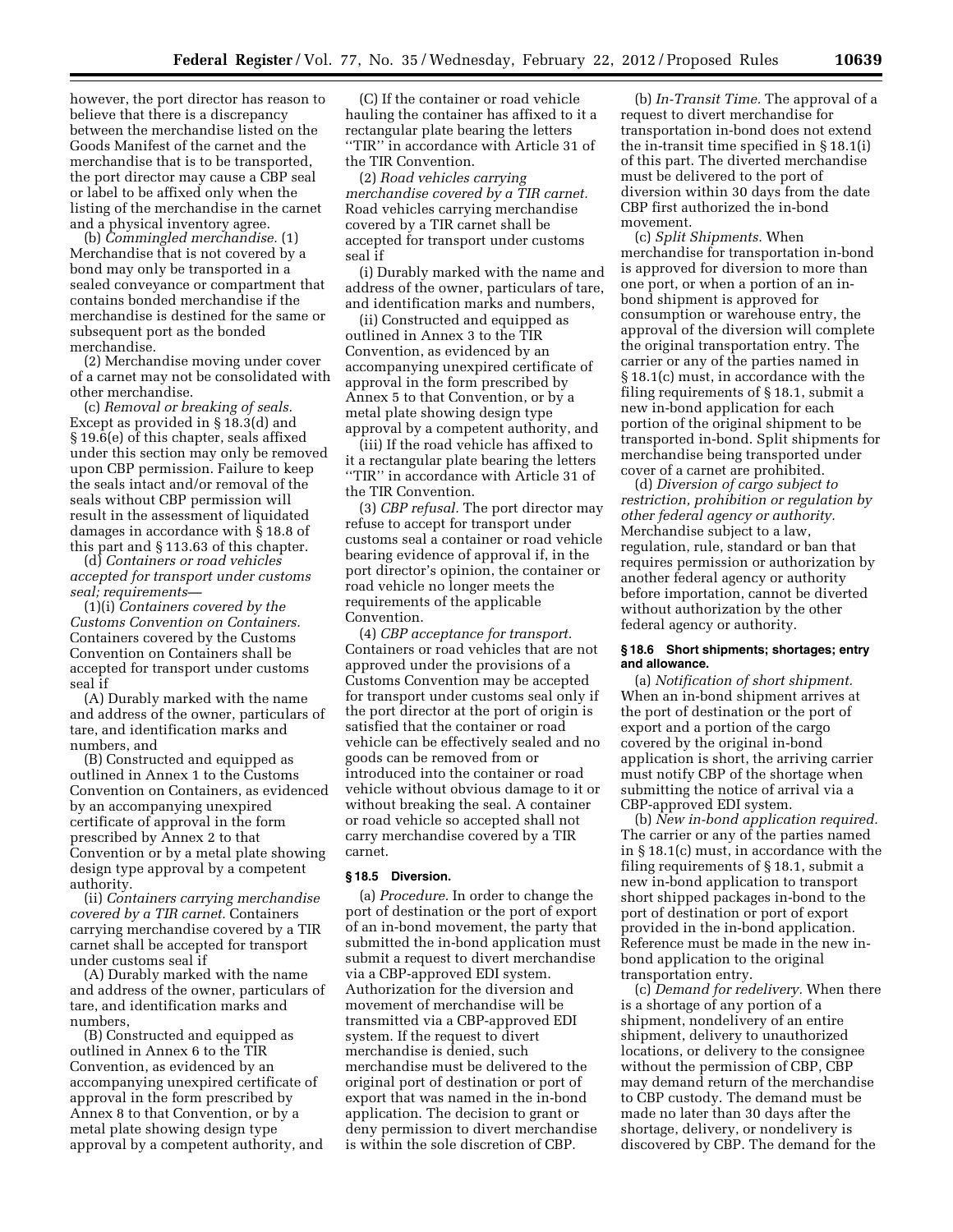however, the port director has reason to believe that there is a discrepancy between the merchandise listed on the Goods Manifest of the carnet and the merchandise that is to be transported, the port director may cause a CBP seal or label to be affixed only when the listing of the merchandise in the carnet and a physical inventory agree.

(b) *Commingled merchandise.* (1) Merchandise that is not covered by a bond may only be transported in a sealed conveyance or compartment that contains bonded merchandise if the merchandise is destined for the same or subsequent port as the bonded merchandise.

(2) Merchandise moving under cover of a carnet may not be consolidated with other merchandise.

(c) *Removal or breaking of seals.*  Except as provided in § 18.3(d) and § 19.6(e) of this chapter, seals affixed under this section may only be removed upon CBP permission. Failure to keep the seals intact and/or removal of the seals without CBP permission will result in the assessment of liquidated damages in accordance with § 18.8 of this part and § 113.63 of this chapter.

(d) *Containers or road vehicles accepted for transport under customs seal; requirements—* 

(1)(i) *Containers covered by the Customs Convention on Containers.*  Containers covered by the Customs Convention on Containers shall be accepted for transport under customs seal if

(A) Durably marked with the name and address of the owner, particulars of tare, and identification marks and numbers, and

(B) Constructed and equipped as outlined in Annex 1 to the Customs Convention on Containers, as evidenced by an accompanying unexpired certificate of approval in the form prescribed by Annex 2 to that Convention or by a metal plate showing design type approval by a competent authority.

(ii) *Containers carrying merchandise covered by a TIR carnet.* Containers carrying merchandise covered by a TIR carnet shall be accepted for transport under customs seal if

(A) Durably marked with the name and address of the owner, particulars of tare, and identification marks and numbers,

(B) Constructed and equipped as outlined in Annex 6 to the TIR Convention, as evidenced by an accompanying unexpired certificate of approval in the form prescribed by Annex 8 to that Convention, or by a metal plate showing design type approval by a competent authority, and

(C) If the container or road vehicle hauling the container has affixed to it a rectangular plate bearing the letters ''TIR'' in accordance with Article 31 of the TIR Convention.

(2) *Road vehicles carrying merchandise covered by a TIR carnet.*  Road vehicles carrying merchandise covered by a TIR carnet shall be accepted for transport under customs seal if

(i) Durably marked with the name and address of the owner, particulars of tare, and identification marks and numbers,

(ii) Constructed and equipped as outlined in Annex 3 to the TIR Convention, as evidenced by an accompanying unexpired certificate of approval in the form prescribed by Annex 5 to that Convention, or by a metal plate showing design type approval by a competent authority, and

(iii) If the road vehicle has affixed to it a rectangular plate bearing the letters ''TIR'' in accordance with Article 31 of the TIR Convention.

(3) *CBP refusal.* The port director may refuse to accept for transport under customs seal a container or road vehicle bearing evidence of approval if, in the port director's opinion, the container or road vehicle no longer meets the requirements of the applicable Convention.

(4) *CBP acceptance for transport.*  Containers or road vehicles that are not approved under the provisions of a Customs Convention may be accepted for transport under customs seal only if the port director at the port of origin is satisfied that the container or road vehicle can be effectively sealed and no goods can be removed from or introduced into the container or road vehicle without obvious damage to it or without breaking the seal. A container or road vehicle so accepted shall not carry merchandise covered by a TIR carnet.

#### **§ 18.5 Diversion.**

(a) *Procedure.* In order to change the port of destination or the port of export of an in-bond movement, the party that submitted the in-bond application must submit a request to divert merchandise via a CBP-approved EDI system. Authorization for the diversion and movement of merchandise will be transmitted via a CBP-approved EDI system. If the request to divert merchandise is denied, such merchandise must be delivered to the original port of destination or port of export that was named in the in-bond application. The decision to grant or deny permission to divert merchandise is within the sole discretion of CBP.

(b) *In-Transit Time.* The approval of a request to divert merchandise for transportation in-bond does not extend the in-transit time specified in § 18.1(i) of this part. The diverted merchandise must be delivered to the port of diversion within 30 days from the date CBP first authorized the in-bond movement.

(c) *Split Shipments.* When merchandise for transportation in-bond is approved for diversion to more than one port, or when a portion of an inbond shipment is approved for consumption or warehouse entry, the approval of the diversion will complete the original transportation entry. The carrier or any of the parties named in § 18.1(c) must, in accordance with the filing requirements of § 18.1, submit a new in-bond application for each portion of the original shipment to be transported in-bond. Split shipments for merchandise being transported under cover of a carnet are prohibited.

(d) *Diversion of cargo subject to restriction, prohibition or regulation by other federal agency or authority.*  Merchandise subject to a law, regulation, rule, standard or ban that requires permission or authorization by another federal agency or authority before importation, cannot be diverted without authorization by the other federal agency or authority.

# **§ 18.6 Short shipments; shortages; entry and allowance.**

(a) *Notification of short shipment.*  When an in-bond shipment arrives at the port of destination or the port of export and a portion of the cargo covered by the original in-bond application is short, the arriving carrier must notify CBP of the shortage when submitting the notice of arrival via a CBP-approved EDI system.

(b) *New in-bond application required.*  The carrier or any of the parties named in § 18.1(c) must, in accordance with the filing requirements of § 18.1, submit a new in-bond application to transport short shipped packages in-bond to the port of destination or port of export provided in the in-bond application. Reference must be made in the new inbond application to the original transportation entry.

(c) *Demand for redelivery.* When there is a shortage of any portion of a shipment, nondelivery of an entire shipment, delivery to unauthorized locations, or delivery to the consignee without the permission of CBP, CBP may demand return of the merchandise to CBP custody. The demand must be made no later than 30 days after the shortage, delivery, or nondelivery is discovered by CBP. The demand for the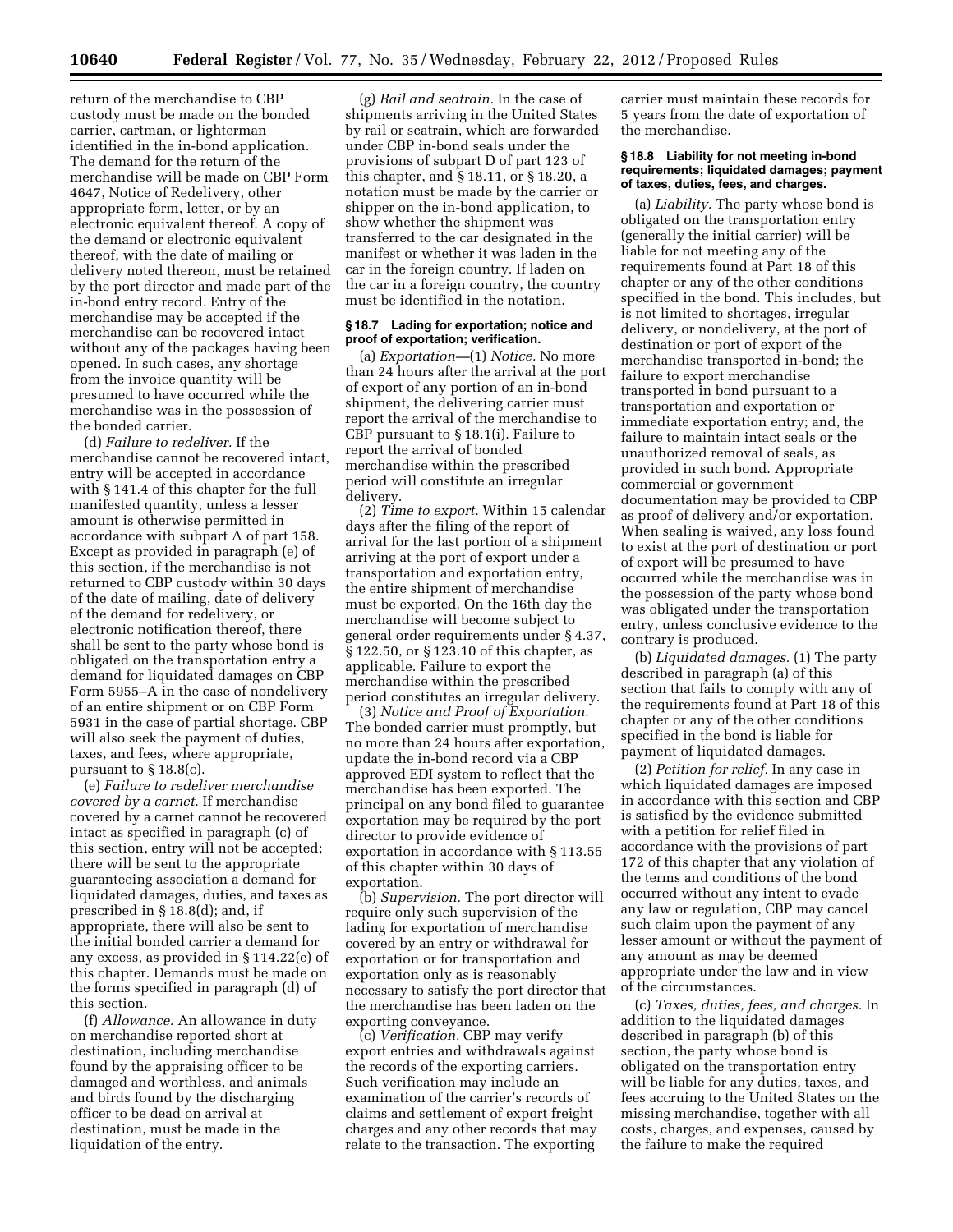return of the merchandise to CBP custody must be made on the bonded carrier, cartman, or lighterman identified in the in-bond application. The demand for the return of the merchandise will be made on CBP Form 4647, Notice of Redelivery, other appropriate form, letter, or by an electronic equivalent thereof. A copy of the demand or electronic equivalent thereof, with the date of mailing or delivery noted thereon, must be retained by the port director and made part of the in-bond entry record. Entry of the merchandise may be accepted if the merchandise can be recovered intact without any of the packages having been opened. In such cases, any shortage from the invoice quantity will be presumed to have occurred while the merchandise was in the possession of the bonded carrier.

(d) *Failure to redeliver.* If the merchandise cannot be recovered intact, entry will be accepted in accordance with § 141.4 of this chapter for the full manifested quantity, unless a lesser amount is otherwise permitted in accordance with subpart A of part 158. Except as provided in paragraph (e) of this section, if the merchandise is not returned to CBP custody within 30 days of the date of mailing, date of delivery of the demand for redelivery, or electronic notification thereof, there shall be sent to the party whose bond is obligated on the transportation entry a demand for liquidated damages on CBP Form 5955–A in the case of nondelivery of an entire shipment or on CBP Form 5931 in the case of partial shortage. CBP will also seek the payment of duties, taxes, and fees, where appropriate, pursuant to § 18.8(c).

(e) *Failure to redeliver merchandise covered by a carnet.* If merchandise covered by a carnet cannot be recovered intact as specified in paragraph (c) of this section, entry will not be accepted; there will be sent to the appropriate guaranteeing association a demand for liquidated damages, duties, and taxes as prescribed in § 18.8(d); and, if appropriate, there will also be sent to the initial bonded carrier a demand for any excess, as provided in § 114.22(e) of this chapter. Demands must be made on the forms specified in paragraph (d) of this section.

(f) *Allowance.* An allowance in duty on merchandise reported short at destination, including merchandise found by the appraising officer to be damaged and worthless, and animals and birds found by the discharging officer to be dead on arrival at destination, must be made in the liquidation of the entry.

(g) *Rail and seatrain.* In the case of shipments arriving in the United States by rail or seatrain, which are forwarded under CBP in-bond seals under the provisions of subpart D of part 123 of this chapter, and § 18.11, or § 18.20, a notation must be made by the carrier or shipper on the in-bond application, to show whether the shipment was transferred to the car designated in the manifest or whether it was laden in the car in the foreign country. If laden on the car in a foreign country, the country must be identified in the notation.

#### **§ 18.7 Lading for exportation; notice and proof of exportation; verification.**

(a) *Exportation—*(1) *Notice.* No more than 24 hours after the arrival at the port of export of any portion of an in-bond shipment, the delivering carrier must report the arrival of the merchandise to CBP pursuant to § 18.1(i). Failure to report the arrival of bonded merchandise within the prescribed period will constitute an irregular delivery.

(2) *Time to export.* Within 15 calendar days after the filing of the report of arrival for the last portion of a shipment arriving at the port of export under a transportation and exportation entry, the entire shipment of merchandise must be exported. On the 16th day the merchandise will become subject to general order requirements under § 4.37, § 122.50, or § 123.10 of this chapter, as applicable. Failure to export the merchandise within the prescribed period constitutes an irregular delivery.

(3) *Notice and Proof of Exportation.*  The bonded carrier must promptly, but no more than 24 hours after exportation, update the in-bond record via a CBP approved EDI system to reflect that the merchandise has been exported. The principal on any bond filed to guarantee exportation may be required by the port director to provide evidence of exportation in accordance with § 113.55 of this chapter within 30 days of exportation.

(b) *Supervision.* The port director will require only such supervision of the lading for exportation of merchandise covered by an entry or withdrawal for exportation or for transportation and exportation only as is reasonably necessary to satisfy the port director that the merchandise has been laden on the exporting conveyance.

(c) *Verification.* CBP may verify export entries and withdrawals against the records of the exporting carriers. Such verification may include an examination of the carrier's records of claims and settlement of export freight charges and any other records that may relate to the transaction. The exporting carrier must maintain these records for 5 years from the date of exportation of the merchandise.

#### **§ 18.8 Liability for not meeting in-bond requirements; liquidated damages; payment of taxes, duties, fees, and charges.**

(a) *Liability.* The party whose bond is obligated on the transportation entry (generally the initial carrier) will be liable for not meeting any of the requirements found at Part 18 of this chapter or any of the other conditions specified in the bond. This includes, but is not limited to shortages, irregular delivery, or nondelivery, at the port of destination or port of export of the merchandise transported in-bond; the failure to export merchandise transported in bond pursuant to a transportation and exportation or immediate exportation entry; and, the failure to maintain intact seals or the unauthorized removal of seals, as provided in such bond. Appropriate commercial or government documentation may be provided to CBP as proof of delivery and/or exportation. When sealing is waived, any loss found to exist at the port of destination or port of export will be presumed to have occurred while the merchandise was in the possession of the party whose bond was obligated under the transportation entry, unless conclusive evidence to the contrary is produced.

(b) *Liquidated damages.* (1) The party described in paragraph (a) of this section that fails to comply with any of the requirements found at Part 18 of this chapter or any of the other conditions specified in the bond is liable for payment of liquidated damages.

(2) *Petition for relief.* In any case in which liquidated damages are imposed in accordance with this section and CBP is satisfied by the evidence submitted with a petition for relief filed in accordance with the provisions of part 172 of this chapter that any violation of the terms and conditions of the bond occurred without any intent to evade any law or regulation, CBP may cancel such claim upon the payment of any lesser amount or without the payment of any amount as may be deemed appropriate under the law and in view of the circumstances.

(c) *Taxes, duties, fees, and charges.* In addition to the liquidated damages described in paragraph (b) of this section, the party whose bond is obligated on the transportation entry will be liable for any duties, taxes, and fees accruing to the United States on the missing merchandise, together with all costs, charges, and expenses, caused by the failure to make the required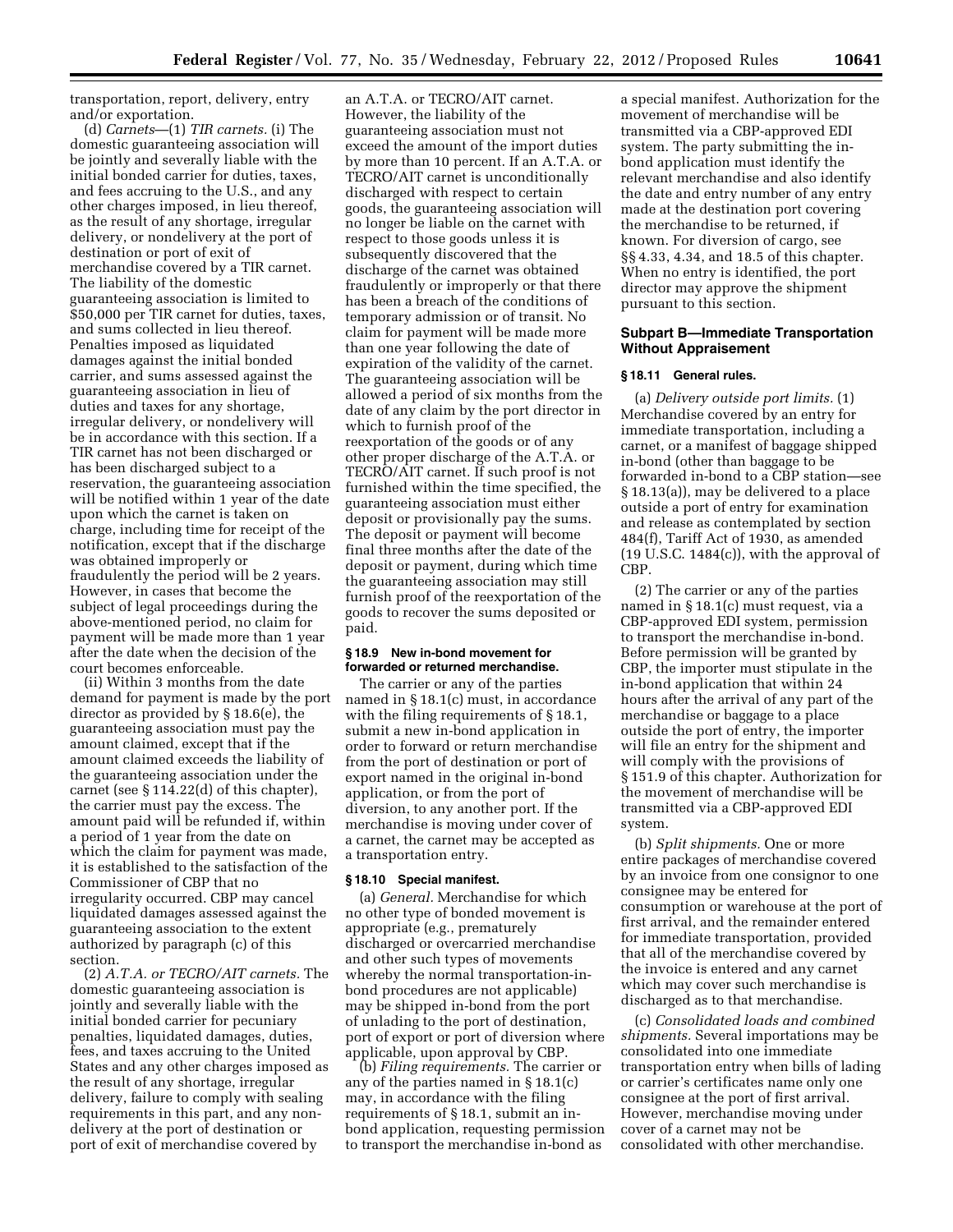transportation, report, delivery, entry and/or exportation.

(d) *Carnets*—(1) *TIR carnets.* (i) The domestic guaranteeing association will be jointly and severally liable with the initial bonded carrier for duties, taxes, and fees accruing to the U.S., and any other charges imposed, in lieu thereof, as the result of any shortage, irregular delivery, or nondelivery at the port of destination or port of exit of merchandise covered by a TIR carnet. The liability of the domestic guaranteeing association is limited to \$50,000 per TIR carnet for duties, taxes, and sums collected in lieu thereof. Penalties imposed as liquidated damages against the initial bonded carrier, and sums assessed against the guaranteeing association in lieu of duties and taxes for any shortage, irregular delivery, or nondelivery will be in accordance with this section. If a TIR carnet has not been discharged or has been discharged subject to a reservation, the guaranteeing association will be notified within 1 year of the date upon which the carnet is taken on charge, including time for receipt of the notification, except that if the discharge was obtained improperly or fraudulently the period will be 2 years. However, in cases that become the subject of legal proceedings during the above-mentioned period, no claim for payment will be made more than 1 year after the date when the decision of the court becomes enforceable.

(ii) Within 3 months from the date demand for payment is made by the port director as provided by § 18.6(e), the guaranteeing association must pay the amount claimed, except that if the amount claimed exceeds the liability of the guaranteeing association under the carnet (see § 114.22(d) of this chapter), the carrier must pay the excess. The amount paid will be refunded if, within a period of 1 year from the date on which the claim for payment was made, it is established to the satisfaction of the Commissioner of CBP that no irregularity occurred. CBP may cancel liquidated damages assessed against the guaranteeing association to the extent authorized by paragraph (c) of this section.

(2) *A.T.A. or TECRO/AIT carnets.* The domestic guaranteeing association is jointly and severally liable with the initial bonded carrier for pecuniary penalties, liquidated damages, duties, fees, and taxes accruing to the United States and any other charges imposed as the result of any shortage, irregular delivery, failure to comply with sealing requirements in this part, and any nondelivery at the port of destination or port of exit of merchandise covered by

an A.T.A. or TECRO/AIT carnet. However, the liability of the guaranteeing association must not exceed the amount of the import duties by more than 10 percent. If an A.T.A. or TECRO/AIT carnet is unconditionally discharged with respect to certain goods, the guaranteeing association will no longer be liable on the carnet with respect to those goods unless it is subsequently discovered that the discharge of the carnet was obtained fraudulently or improperly or that there has been a breach of the conditions of temporary admission or of transit. No claim for payment will be made more than one year following the date of expiration of the validity of the carnet. The guaranteeing association will be allowed a period of six months from the date of any claim by the port director in which to furnish proof of the reexportation of the goods or of any other proper discharge of the A.T.A. or TECRO/AIT carnet. If such proof is not furnished within the time specified, the guaranteeing association must either deposit or provisionally pay the sums. The deposit or payment will become final three months after the date of the deposit or payment, during which time the guaranteeing association may still furnish proof of the reexportation of the goods to recover the sums deposited or paid.

# **§ 18.9 New in-bond movement for forwarded or returned merchandise.**

The carrier or any of the parties named in § 18.1(c) must, in accordance with the filing requirements of §18.1, submit a new in-bond application in order to forward or return merchandise from the port of destination or port of export named in the original in-bond application, or from the port of diversion, to any another port. If the merchandise is moving under cover of a carnet, the carnet may be accepted as a transportation entry.

# **§ 18.10 Special manifest.**

(a) *General.* Merchandise for which no other type of bonded movement is appropriate (e.g., prematurely discharged or overcarried merchandise and other such types of movements whereby the normal transportation-inbond procedures are not applicable) may be shipped in-bond from the port of unlading to the port of destination, port of export or port of diversion where applicable, upon approval by CBP.

(b) *Filing requirements.* The carrier or any of the parties named in § 18.1(c) may, in accordance with the filing requirements of § 18.1, submit an inbond application, requesting permission to transport the merchandise in-bond as

a special manifest. Authorization for the movement of merchandise will be transmitted via a CBP-approved EDI system. The party submitting the inbond application must identify the relevant merchandise and also identify the date and entry number of any entry made at the destination port covering the merchandise to be returned, if known. For diversion of cargo, see §§ 4.33, 4.34, and 18.5 of this chapter. When no entry is identified, the port director may approve the shipment pursuant to this section.

# **Subpart B—Immediate Transportation Without Appraisement**

# **§ 18.11 General rules.**

(a) *Delivery outside port limits.* (1) Merchandise covered by an entry for immediate transportation, including a carnet, or a manifest of baggage shipped in-bond (other than baggage to be forwarded in-bond to a CBP station—see § 18.13(a)), may be delivered to a place outside a port of entry for examination and release as contemplated by section 484(f), Tariff Act of 1930, as amended  $(19 U.S.C. 1484(c))$ , with the approval of CBP.

(2) The carrier or any of the parties named in § 18.1(c) must request, via a CBP-approved EDI system, permission to transport the merchandise in-bond. Before permission will be granted by CBP, the importer must stipulate in the in-bond application that within 24 hours after the arrival of any part of the merchandise or baggage to a place outside the port of entry, the importer will file an entry for the shipment and will comply with the provisions of § 151.9 of this chapter. Authorization for the movement of merchandise will be transmitted via a CBP-approved EDI system.

(b) *Split shipments.* One or more entire packages of merchandise covered by an invoice from one consignor to one consignee may be entered for consumption or warehouse at the port of first arrival, and the remainder entered for immediate transportation, provided that all of the merchandise covered by the invoice is entered and any carnet which may cover such merchandise is discharged as to that merchandise.

(c) *Consolidated loads and combined shipments.* Several importations may be consolidated into one immediate transportation entry when bills of lading or carrier's certificates name only one consignee at the port of first arrival. However, merchandise moving under cover of a carnet may not be consolidated with other merchandise.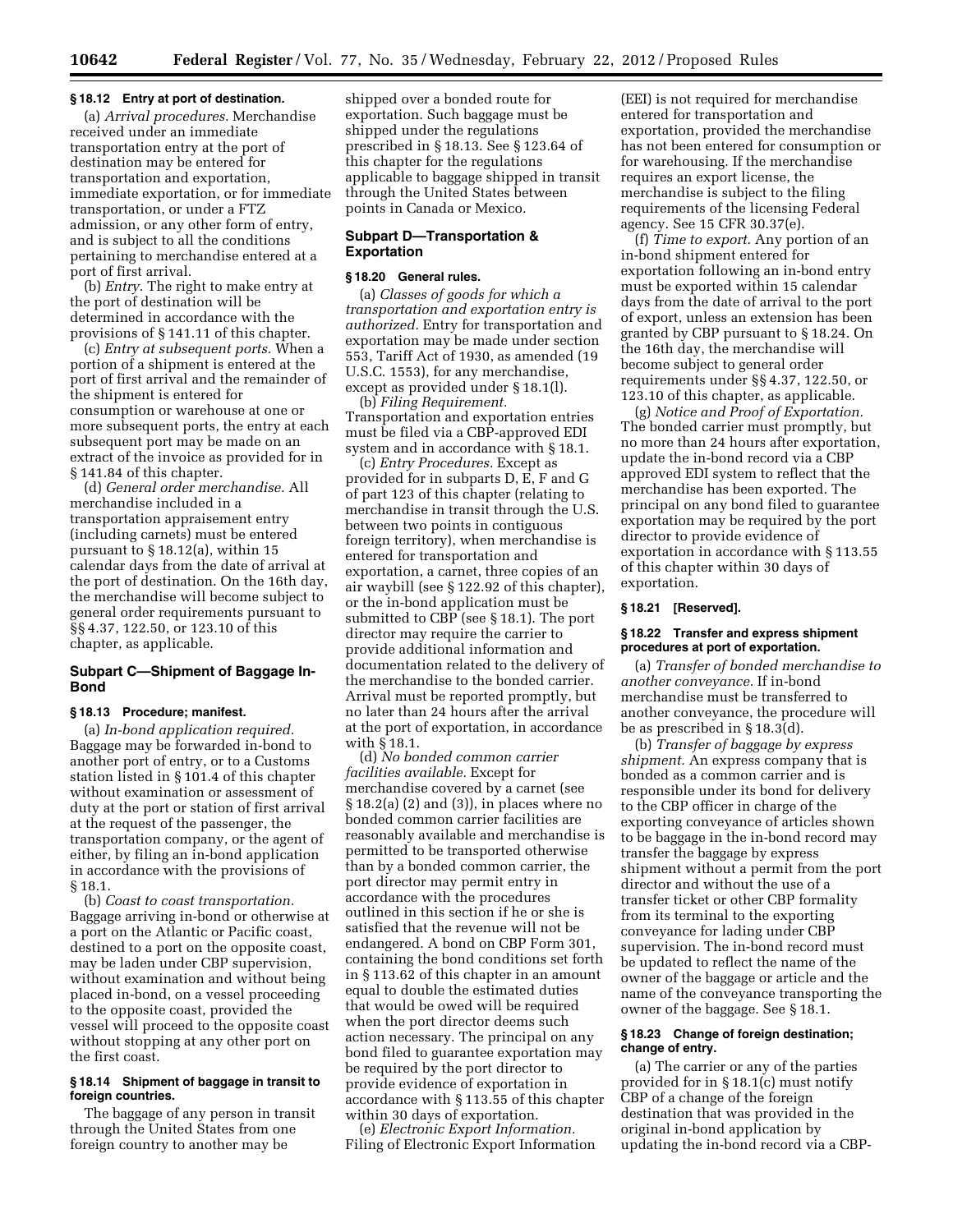#### **§ 18.12 Entry at port of destination.**

(a) *Arrival procedures.* Merchandise received under an immediate transportation entry at the port of destination may be entered for transportation and exportation, immediate exportation, or for immediate transportation, or under a FTZ admission, or any other form of entry, and is subject to all the conditions pertaining to merchandise entered at a port of first arrival.

(b) *Entry.* The right to make entry at the port of destination will be determined in accordance with the provisions of § 141.11 of this chapter.

(c) *Entry at subsequent ports.* When a portion of a shipment is entered at the port of first arrival and the remainder of the shipment is entered for consumption or warehouse at one or more subsequent ports, the entry at each subsequent port may be made on an extract of the invoice as provided for in § 141.84 of this chapter.

(d) *General order merchandise.* All merchandise included in a transportation appraisement entry (including carnets) must be entered pursuant to § 18.12(a), within 15 calendar days from the date of arrival at the port of destination. On the 16th day, the merchandise will become subject to general order requirements pursuant to §§ 4.37, 122.50, or 123.10 of this chapter, as applicable.

# **Subpart C—Shipment of Baggage In-Bond**

#### **§ 18.13 Procedure; manifest.**

(a) *In-bond application required.*  Baggage may be forwarded in-bond to another port of entry, or to a Customs station listed in § 101.4 of this chapter without examination or assessment of duty at the port or station of first arrival at the request of the passenger, the transportation company, or the agent of either, by filing an in-bond application in accordance with the provisions of § 18.1.

(b) *Coast to coast transportation.*  Baggage arriving in-bond or otherwise at a port on the Atlantic or Pacific coast, destined to a port on the opposite coast, may be laden under CBP supervision, without examination and without being placed in-bond, on a vessel proceeding to the opposite coast, provided the vessel will proceed to the opposite coast without stopping at any other port on the first coast.

# **§ 18.14 Shipment of baggage in transit to foreign countries.**

The baggage of any person in transit through the United States from one foreign country to another may be

shipped over a bonded route for exportation. Such baggage must be shipped under the regulations prescribed in § 18.13. See § 123.64 of this chapter for the regulations applicable to baggage shipped in transit through the United States between points in Canada or Mexico.

# **Subpart D—Transportation & Exportation**

#### **§ 18.20 General rules.**

(a) *Classes of goods for which a transportation and exportation entry is authorized.* Entry for transportation and exportation may be made under section 553, Tariff Act of 1930, as amended (19 U.S.C. 1553), for any merchandise, except as provided under § 18.1(l).

(b) *Filing Requirement.*  Transportation and exportation entries must be filed via a CBP-approved EDI system and in accordance with § 18.1.

(c) *Entry Procedures.* Except as provided for in subparts D, E, F and G of part 123 of this chapter (relating to merchandise in transit through the U.S. between two points in contiguous foreign territory), when merchandise is entered for transportation and exportation, a carnet, three copies of an air waybill (see § 122.92 of this chapter), or the in-bond application must be submitted to CBP (see § 18.1). The port director may require the carrier to provide additional information and documentation related to the delivery of the merchandise to the bonded carrier. Arrival must be reported promptly, but no later than 24 hours after the arrival at the port of exportation, in accordance with § 18.1.

(d) *No bonded common carrier facilities available.* Except for merchandise covered by a carnet (see § 18.2(a) (2) and (3)), in places where no bonded common carrier facilities are reasonably available and merchandise is permitted to be transported otherwise than by a bonded common carrier, the port director may permit entry in accordance with the procedures outlined in this section if he or she is satisfied that the revenue will not be endangered. A bond on CBP Form 301, containing the bond conditions set forth in § 113.62 of this chapter in an amount equal to double the estimated duties that would be owed will be required when the port director deems such action necessary. The principal on any bond filed to guarantee exportation may be required by the port director to provide evidence of exportation in accordance with § 113.55 of this chapter within 30 days of exportation.

(e) *Electronic Export Information.*  Filing of Electronic Export Information

(EEI) is not required for merchandise entered for transportation and exportation, provided the merchandise has not been entered for consumption or for warehousing. If the merchandise requires an export license, the merchandise is subject to the filing requirements of the licensing Federal agency. See 15 CFR 30.37(e).

(f) *Time to export.* Any portion of an in-bond shipment entered for exportation following an in-bond entry must be exported within 15 calendar days from the date of arrival to the port of export, unless an extension has been granted by CBP pursuant to § 18.24. On the 16th day, the merchandise will become subject to general order requirements under §§ 4.37, 122.50, or 123.10 of this chapter, as applicable.

(g) *Notice and Proof of Exportation.*  The bonded carrier must promptly, but no more than 24 hours after exportation, update the in-bond record via a CBP approved EDI system to reflect that the merchandise has been exported. The principal on any bond filed to guarantee exportation may be required by the port director to provide evidence of exportation in accordance with § 113.55 of this chapter within 30 days of exportation.

# **§ 18.21 [Reserved].**

#### **§ 18.22 Transfer and express shipment procedures at port of exportation.**

(a) *Transfer of bonded merchandise to another conveyance.* If in-bond merchandise must be transferred to another conveyance, the procedure will be as prescribed in § 18.3(d).

(b) *Transfer of baggage by express shipment.* An express company that is bonded as a common carrier and is responsible under its bond for delivery to the CBP officer in charge of the exporting conveyance of articles shown to be baggage in the in-bond record may transfer the baggage by express shipment without a permit from the port director and without the use of a transfer ticket or other CBP formality from its terminal to the exporting conveyance for lading under CBP supervision. The in-bond record must be updated to reflect the name of the owner of the baggage or article and the name of the conveyance transporting the owner of the baggage. See § 18.1.

# **§ 18.23 Change of foreign destination; change of entry.**

(a) The carrier or any of the parties provided for in § 18.1(c) must notify CBP of a change of the foreign destination that was provided in the original in-bond application by updating the in-bond record via a CBP-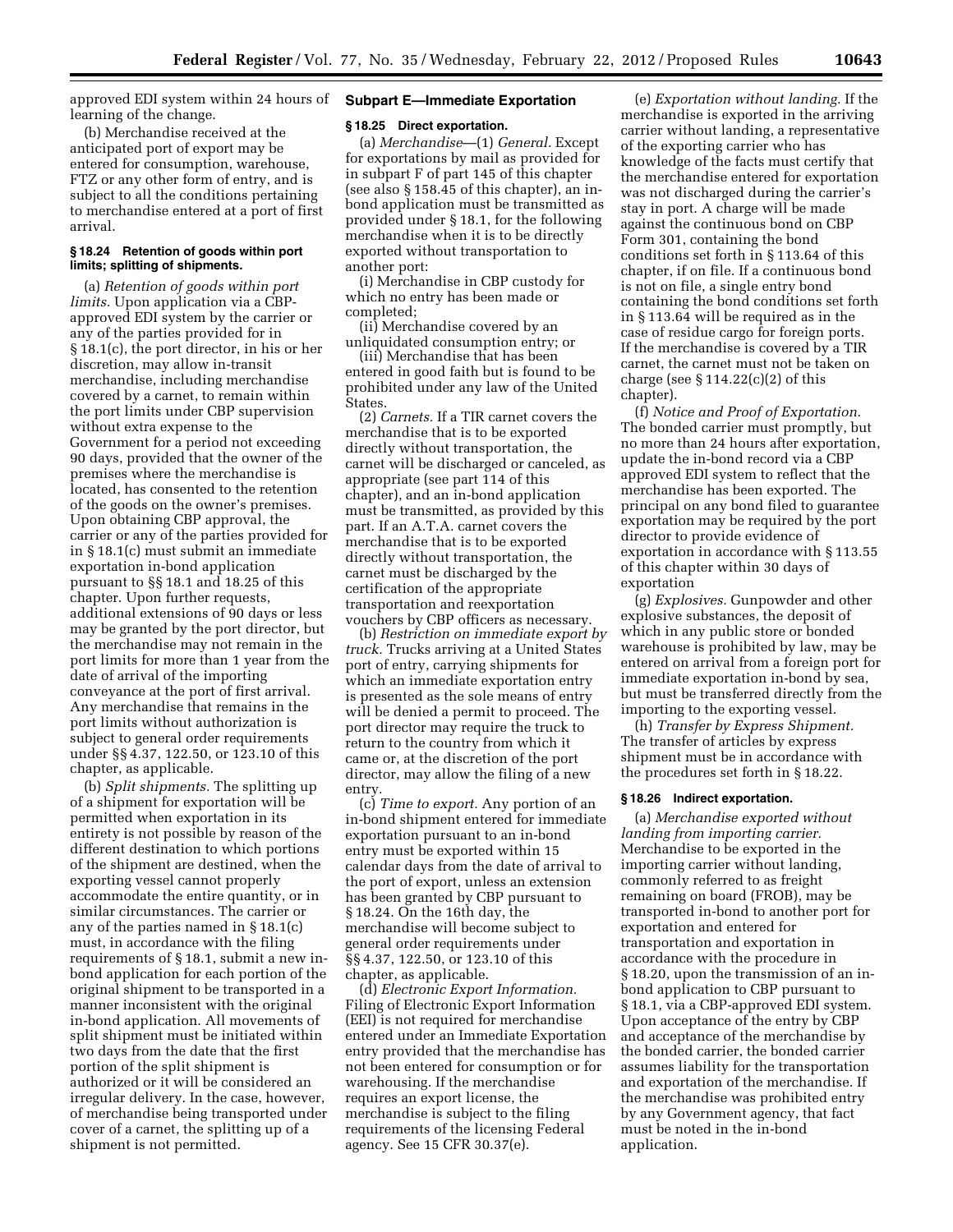approved EDI system within 24 hours of learning of the change.

(b) Merchandise received at the anticipated port of export may be entered for consumption, warehouse, FTZ or any other form of entry, and is subject to all the conditions pertaining to merchandise entered at a port of first arrival.

#### **§ 18.24 Retention of goods within port limits; splitting of shipments.**

(a) *Retention of goods within port limits.* Upon application via a CBPapproved EDI system by the carrier or any of the parties provided for in § 18.1(c), the port director, in his or her discretion, may allow in-transit merchandise, including merchandise covered by a carnet, to remain within the port limits under CBP supervision without extra expense to the Government for a period not exceeding 90 days, provided that the owner of the premises where the merchandise is located, has consented to the retention of the goods on the owner's premises. Upon obtaining CBP approval, the carrier or any of the parties provided for in § 18.1(c) must submit an immediate exportation in-bond application pursuant to §§ 18.1 and 18.25 of this chapter. Upon further requests, additional extensions of 90 days or less may be granted by the port director, but the merchandise may not remain in the port limits for more than 1 year from the date of arrival of the importing conveyance at the port of first arrival. Any merchandise that remains in the port limits without authorization is subject to general order requirements under §§ 4.37, 122.50, or 123.10 of this chapter, as applicable.

(b) *Split shipments.* The splitting up of a shipment for exportation will be permitted when exportation in its entirety is not possible by reason of the different destination to which portions of the shipment are destined, when the exporting vessel cannot properly accommodate the entire quantity, or in similar circumstances. The carrier or any of the parties named in § 18.1(c) must, in accordance with the filing requirements of § 18.1, submit a new inbond application for each portion of the original shipment to be transported in a manner inconsistent with the original in-bond application. All movements of split shipment must be initiated within two days from the date that the first portion of the split shipment is authorized or it will be considered an irregular delivery. In the case, however, of merchandise being transported under cover of a carnet, the splitting up of a shipment is not permitted.

# **Subpart E—Immediate Exportation**

# **§ 18.25 Direct exportation.**

(a) *Merchandise*—(1) *General.* Except for exportations by mail as provided for in subpart F of part 145 of this chapter (see also § 158.45 of this chapter), an inbond application must be transmitted as provided under § 18.1, for the following merchandise when it is to be directly exported without transportation to another port:

(i) Merchandise in CBP custody for which no entry has been made or completed;

(ii) Merchandise covered by an unliquidated consumption entry; or

(iii) Merchandise that has been entered in good faith but is found to be prohibited under any law of the United States.

(2) *Carnets.* If a TIR carnet covers the merchandise that is to be exported directly without transportation, the carnet will be discharged or canceled, as appropriate (see part 114 of this chapter), and an in-bond application must be transmitted, as provided by this part. If an A.T.A. carnet covers the merchandise that is to be exported directly without transportation, the carnet must be discharged by the certification of the appropriate transportation and reexportation vouchers by CBP officers as necessary.

(b) *Restriction on immediate export by truck.* Trucks arriving at a United States port of entry, carrying shipments for which an immediate exportation entry is presented as the sole means of entry will be denied a permit to proceed. The port director may require the truck to return to the country from which it came or, at the discretion of the port director, may allow the filing of a new entry.

(c) *Time to export.* Any portion of an in-bond shipment entered for immediate exportation pursuant to an in-bond entry must be exported within 15 calendar days from the date of arrival to the port of export, unless an extension has been granted by CBP pursuant to § 18.24. On the 16th day, the merchandise will become subject to general order requirements under §§ 4.37, 122.50, or 123.10 of this chapter, as applicable.

(d) *Electronic Export Information.*  Filing of Electronic Export Information (EEI) is not required for merchandise entered under an Immediate Exportation entry provided that the merchandise has not been entered for consumption or for warehousing. If the merchandise requires an export license, the merchandise is subject to the filing requirements of the licensing Federal agency. See 15 CFR 30.37(e).

(e) *Exportation without landing.* If the merchandise is exported in the arriving carrier without landing, a representative of the exporting carrier who has knowledge of the facts must certify that the merchandise entered for exportation was not discharged during the carrier's stay in port. A charge will be made against the continuous bond on CBP Form 301, containing the bond conditions set forth in § 113.64 of this chapter, if on file. If a continuous bond is not on file, a single entry bond containing the bond conditions set forth in § 113.64 will be required as in the case of residue cargo for foreign ports. If the merchandise is covered by a TIR carnet, the carnet must not be taken on charge (see  $\S 114.22(c)(2)$  of this chapter).

(f) *Notice and Proof of Exportation.*  The bonded carrier must promptly, but no more than 24 hours after exportation, update the in-bond record via a CBP approved EDI system to reflect that the merchandise has been exported. The principal on any bond filed to guarantee exportation may be required by the port director to provide evidence of exportation in accordance with § 113.55 of this chapter within 30 days of exportation

(g) *Explosives.* Gunpowder and other explosive substances, the deposit of which in any public store or bonded warehouse is prohibited by law, may be entered on arrival from a foreign port for immediate exportation in-bond by sea, but must be transferred directly from the importing to the exporting vessel.

(h) *Transfer by Express Shipment.*  The transfer of articles by express shipment must be in accordance with the procedures set forth in § 18.22.

#### **§ 18.26 Indirect exportation.**

(a) *Merchandise exported without landing from importing carrier.*  Merchandise to be exported in the importing carrier without landing, commonly referred to as freight remaining on board (FROB), may be transported in-bond to another port for exportation and entered for transportation and exportation in accordance with the procedure in § 18.20, upon the transmission of an inbond application to CBP pursuant to § 18.1, via a CBP-approved EDI system. Upon acceptance of the entry by CBP and acceptance of the merchandise by the bonded carrier, the bonded carrier assumes liability for the transportation and exportation of the merchandise. If the merchandise was prohibited entry by any Government agency, that fact must be noted in the in-bond application.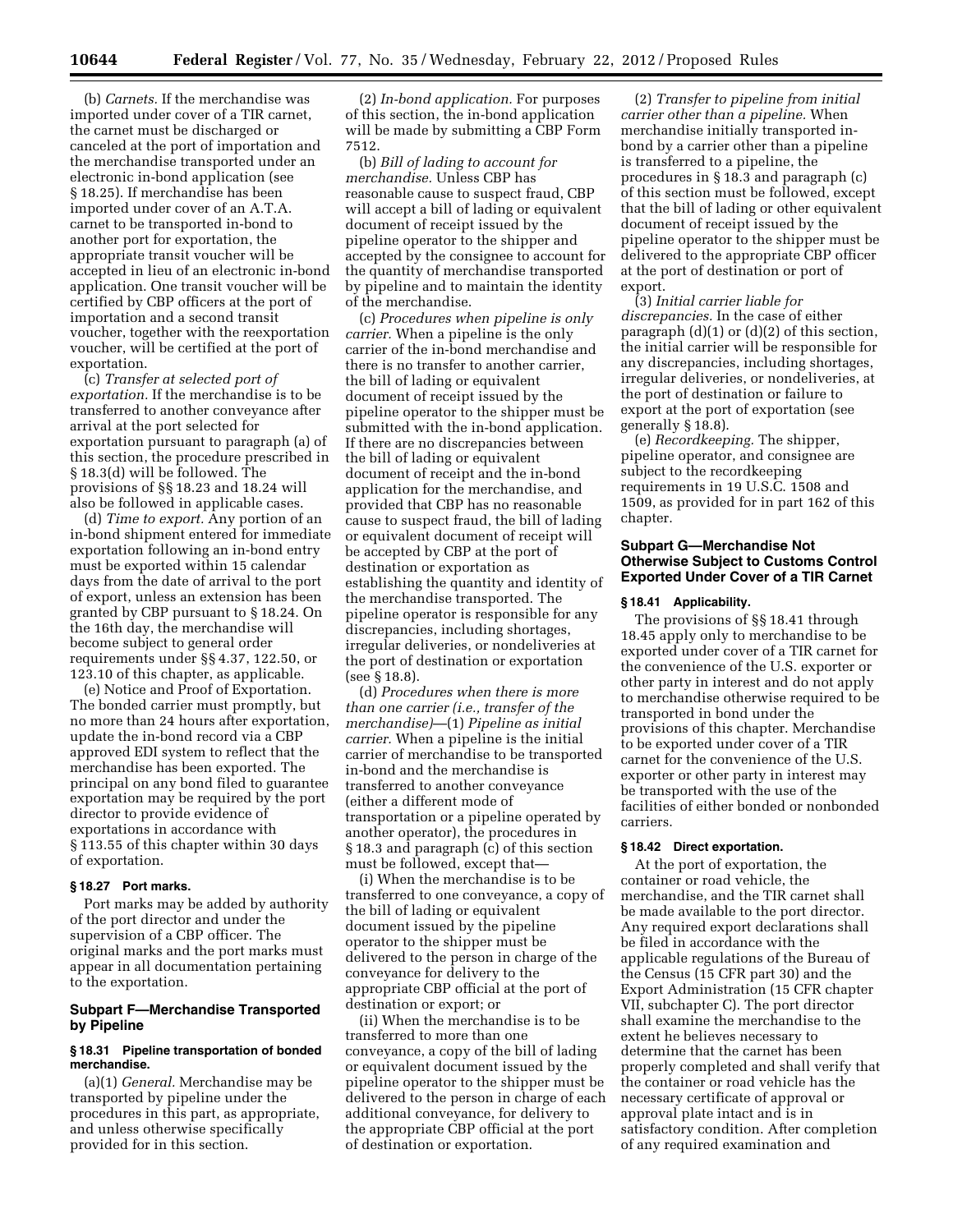(b) *Carnets.* If the merchandise was imported under cover of a TIR carnet, the carnet must be discharged or canceled at the port of importation and the merchandise transported under an electronic in-bond application (see § 18.25). If merchandise has been imported under cover of an A.T.A. carnet to be transported in-bond to another port for exportation, the appropriate transit voucher will be accepted in lieu of an electronic in-bond application. One transit voucher will be certified by CBP officers at the port of importation and a second transit voucher, together with the reexportation voucher, will be certified at the port of exportation.

(c) *Transfer at selected port of exportation.* If the merchandise is to be transferred to another conveyance after arrival at the port selected for exportation pursuant to paragraph (a) of this section, the procedure prescribed in § 18.3(d) will be followed. The provisions of §§ 18.23 and 18.24 will also be followed in applicable cases.

(d) *Time to export.* Any portion of an in-bond shipment entered for immediate exportation following an in-bond entry must be exported within 15 calendar days from the date of arrival to the port of export, unless an extension has been granted by CBP pursuant to § 18.24. On the 16th day, the merchandise will become subject to general order requirements under §§ 4.37, 122.50, or 123.10 of this chapter, as applicable.

(e) Notice and Proof of Exportation. The bonded carrier must promptly, but no more than 24 hours after exportation, update the in-bond record via a CBP approved EDI system to reflect that the merchandise has been exported. The principal on any bond filed to guarantee exportation may be required by the port director to provide evidence of exportations in accordance with § 113.55 of this chapter within 30 days of exportation.

#### **§ 18.27 Port marks.**

Port marks may be added by authority of the port director and under the supervision of a CBP officer. The original marks and the port marks must appear in all documentation pertaining to the exportation.

# **Subpart F—Merchandise Transported by Pipeline**

# **§ 18.31 Pipeline transportation of bonded merchandise.**

(a)(1) *General.* Merchandise may be transported by pipeline under the procedures in this part, as appropriate, and unless otherwise specifically provided for in this section.

(2) *In-bond application.* For purposes of this section, the in-bond application will be made by submitting a CBP Form 7512.

(b) *Bill of lading to account for merchandise.* Unless CBP has reasonable cause to suspect fraud, CBP will accept a bill of lading or equivalent document of receipt issued by the pipeline operator to the shipper and accepted by the consignee to account for the quantity of merchandise transported by pipeline and to maintain the identity of the merchandise.

(c) *Procedures when pipeline is only carrier.* When a pipeline is the only carrier of the in-bond merchandise and there is no transfer to another carrier, the bill of lading or equivalent document of receipt issued by the pipeline operator to the shipper must be submitted with the in-bond application. If there are no discrepancies between the bill of lading or equivalent document of receipt and the in-bond application for the merchandise, and provided that CBP has no reasonable cause to suspect fraud, the bill of lading or equivalent document of receipt will be accepted by CBP at the port of destination or exportation as establishing the quantity and identity of the merchandise transported. The pipeline operator is responsible for any discrepancies, including shortages, irregular deliveries, or nondeliveries at the port of destination or exportation (see § 18.8).

(d) *Procedures when there is more than one carrier (i.e., transfer of the merchandise)*—(1) *Pipeline as initial carrier.* When a pipeline is the initial carrier of merchandise to be transported in-bond and the merchandise is transferred to another conveyance (either a different mode of transportation or a pipeline operated by another operator), the procedures in § 18.3 and paragraph (c) of this section must be followed, except that—

(i) When the merchandise is to be transferred to one conveyance, a copy of the bill of lading or equivalent document issued by the pipeline operator to the shipper must be delivered to the person in charge of the conveyance for delivery to the appropriate CBP official at the port of destination or export; or

(ii) When the merchandise is to be transferred to more than one conveyance, a copy of the bill of lading or equivalent document issued by the pipeline operator to the shipper must be delivered to the person in charge of each additional conveyance, for delivery to the appropriate CBP official at the port of destination or exportation.

(2) *Transfer to pipeline from initial carrier other than a pipeline.* When merchandise initially transported inbond by a carrier other than a pipeline is transferred to a pipeline, the procedures in § 18.3 and paragraph (c) of this section must be followed, except that the bill of lading or other equivalent document of receipt issued by the pipeline operator to the shipper must be delivered to the appropriate CBP officer at the port of destination or port of export.

(3) *Initial carrier liable for discrepancies.* In the case of either paragraph (d)(1) or (d)(2) of this section, the initial carrier will be responsible for any discrepancies, including shortages, irregular deliveries, or nondeliveries, at the port of destination or failure to export at the port of exportation (see generally § 18.8).

(e) *Recordkeeping.* The shipper, pipeline operator, and consignee are subject to the recordkeeping requirements in 19 U.S.C. 1508 and 1509, as provided for in part 162 of this chapter.

# **Subpart G—Merchandise Not Otherwise Subject to Customs Control Exported Under Cover of a TIR Carnet**

#### **§ 18.41 Applicability.**

The provisions of §§ 18.41 through 18.45 apply only to merchandise to be exported under cover of a TIR carnet for the convenience of the U.S. exporter or other party in interest and do not apply to merchandise otherwise required to be transported in bond under the provisions of this chapter. Merchandise to be exported under cover of a TIR carnet for the convenience of the U.S. exporter or other party in interest may be transported with the use of the facilities of either bonded or nonbonded carriers.

# **§ 18.42 Direct exportation.**

At the port of exportation, the container or road vehicle, the merchandise, and the TIR carnet shall be made available to the port director. Any required export declarations shall be filed in accordance with the applicable regulations of the Bureau of the Census (15 CFR part 30) and the Export Administration (15 CFR chapter VII, subchapter C). The port director shall examine the merchandise to the extent he believes necessary to determine that the carnet has been properly completed and shall verify that the container or road vehicle has the necessary certificate of approval or approval plate intact and is in satisfactory condition. After completion of any required examination and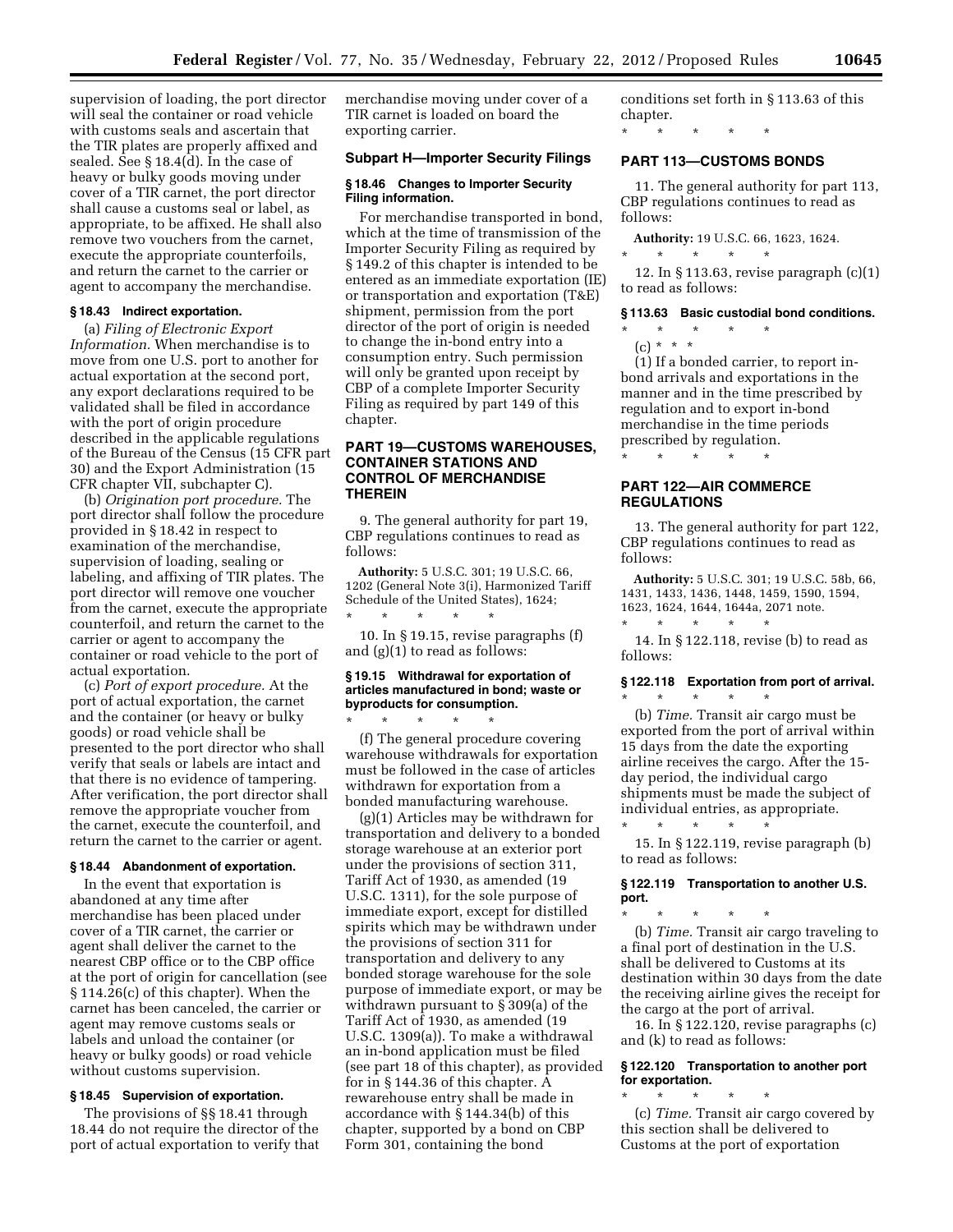supervision of loading, the port director will seal the container or road vehicle with customs seals and ascertain that the TIR plates are properly affixed and sealed. See § 18.4(d). In the case of heavy or bulky goods moving under cover of a TIR carnet, the port director shall cause a customs seal or label, as appropriate, to be affixed. He shall also remove two vouchers from the carnet, execute the appropriate counterfoils, and return the carnet to the carrier or agent to accompany the merchandise.

#### **§ 18.43 Indirect exportation.**

(a) *Filing of Electronic Export Information.* When merchandise is to move from one U.S. port to another for actual exportation at the second port, any export declarations required to be validated shall be filed in accordance with the port of origin procedure described in the applicable regulations of the Bureau of the Census (15 CFR part 30) and the Export Administration (15 CFR chapter VII, subchapter C).

(b) *Origination port procedure.* The port director shall follow the procedure provided in § 18.42 in respect to examination of the merchandise, supervision of loading, sealing or labeling, and affixing of TIR plates. The port director will remove one voucher from the carnet, execute the appropriate counterfoil, and return the carnet to the carrier or agent to accompany the container or road vehicle to the port of actual exportation.

(c) *Port of export procedure.* At the port of actual exportation, the carnet and the container (or heavy or bulky goods) or road vehicle shall be presented to the port director who shall verify that seals or labels are intact and that there is no evidence of tampering. After verification, the port director shall remove the appropriate voucher from the carnet, execute the counterfoil, and return the carnet to the carrier or agent.

#### **§ 18.44 Abandonment of exportation.**

In the event that exportation is abandoned at any time after merchandise has been placed under cover of a TIR carnet, the carrier or agent shall deliver the carnet to the nearest CBP office or to the CBP office at the port of origin for cancellation (see § 114.26(c) of this chapter). When the carnet has been canceled, the carrier or agent may remove customs seals or labels and unload the container (or heavy or bulky goods) or road vehicle without customs supervision.

# **§ 18.45 Supervision of exportation.**

The provisions of §§ 18.41 through 18.44 do not require the director of the port of actual exportation to verify that merchandise moving under cover of a TIR carnet is loaded on board the exporting carrier.

#### **Subpart H—Importer Security Filings**

#### **§ 18.46 Changes to Importer Security Filing information.**

For merchandise transported in bond, which at the time of transmission of the Importer Security Filing as required by § 149.2 of this chapter is intended to be entered as an immediate exportation (IE) or transportation and exportation (T&E) shipment, permission from the port director of the port of origin is needed to change the in-bond entry into a consumption entry. Such permission will only be granted upon receipt by CBP of a complete Importer Security Filing as required by part 149 of this chapter.

# **PART 19—CUSTOMS WAREHOUSES, CONTAINER STATIONS AND CONTROL OF MERCHANDISE THEREIN**

9. The general authority for part 19, CBP regulations continues to read as follows:

**Authority:** 5 U.S.C. 301; 19 U.S.C. 66, 1202 (General Note 3(i), Harmonized Tariff Schedule of the United States), 1624; \* \* \* \* \*

10. In § 19.15, revise paragraphs (f) and (g)(1) to read as follows:

# **§ 19.15 Withdrawal for exportation of articles manufactured in bond; waste or byproducts for consumption.**

\* \* \* \* \*

(f) The general procedure covering warehouse withdrawals for exportation must be followed in the case of articles withdrawn for exportation from a bonded manufacturing warehouse.

(g)(1) Articles may be withdrawn for transportation and delivery to a bonded storage warehouse at an exterior port under the provisions of section 311, Tariff Act of 1930, as amended (19 U.S.C. 1311), for the sole purpose of immediate export, except for distilled spirits which may be withdrawn under the provisions of section 311 for transportation and delivery to any bonded storage warehouse for the sole purpose of immediate export, or may be withdrawn pursuant to § 309(a) of the Tariff Act of 1930, as amended (19 U.S.C. 1309(a)). To make a withdrawal an in-bond application must be filed (see part 18 of this chapter), as provided for in § 144.36 of this chapter. A rewarehouse entry shall be made in accordance with § 144.34(b) of this chapter, supported by a bond on CBP Form 301, containing the bond

conditions set forth in § 113.63 of this chapter.

\* \* \* \* \*

# **PART 113—CUSTOMS BONDS**

11. The general authority for part 113, CBP regulations continues to read as follows:

**Authority:** 19 U.S.C. 66, 1623, 1624.

\* \* \* \* \*

12. In § 113.63, revise paragraph (c)(1) to read as follows:

#### **§ 113.63 Basic custodial bond conditions.**

- \* \* \* \* \*
- $(c) * * * *$

(1) If a bonded carrier, to report inbond arrivals and exportations in the manner and in the time prescribed by regulation and to export in-bond merchandise in the time periods prescribed by regulation.

**PART 122—AIR COMMERCE REGULATIONS** 

\* \* \* \* \*

13. The general authority for part 122, CBP regulations continues to read as follows:

**Authority:** 5 U.S.C. 301; 19 U.S.C. 58b, 66, 1431, 1433, 1436, 1448, 1459, 1590, 1594, 1623, 1624, 1644, 1644a, 2071 note.

\* \* \* \* \* 14. In § 122.118, revise (b) to read as follows:

#### **§ 122.118 Exportation from port of arrival.**  \* \* \* \* \*

(b) *Time.* Transit air cargo must be exported from the port of arrival within 15 days from the date the exporting airline receives the cargo. After the 15 day period, the individual cargo shipments must be made the subject of individual entries, as appropriate. \* \* \* \* \*

15. In § 122.119, revise paragraph (b) to read as follows:

# **§ 122.119 Transportation to another U.S. port.**

\* \* \* \* \* (b) *Time.* Transit air cargo traveling to a final port of destination in the U.S. shall be delivered to Customs at its destination within 30 days from the date the receiving airline gives the receipt for the cargo at the port of arrival.

16. In § 122.120, revise paragraphs (c) and (k) to read as follows:

# **§ 122.120 Transportation to another port for exportation.**

\* \* \* \* \*

(c) *Time.* Transit air cargo covered by this section shall be delivered to Customs at the port of exportation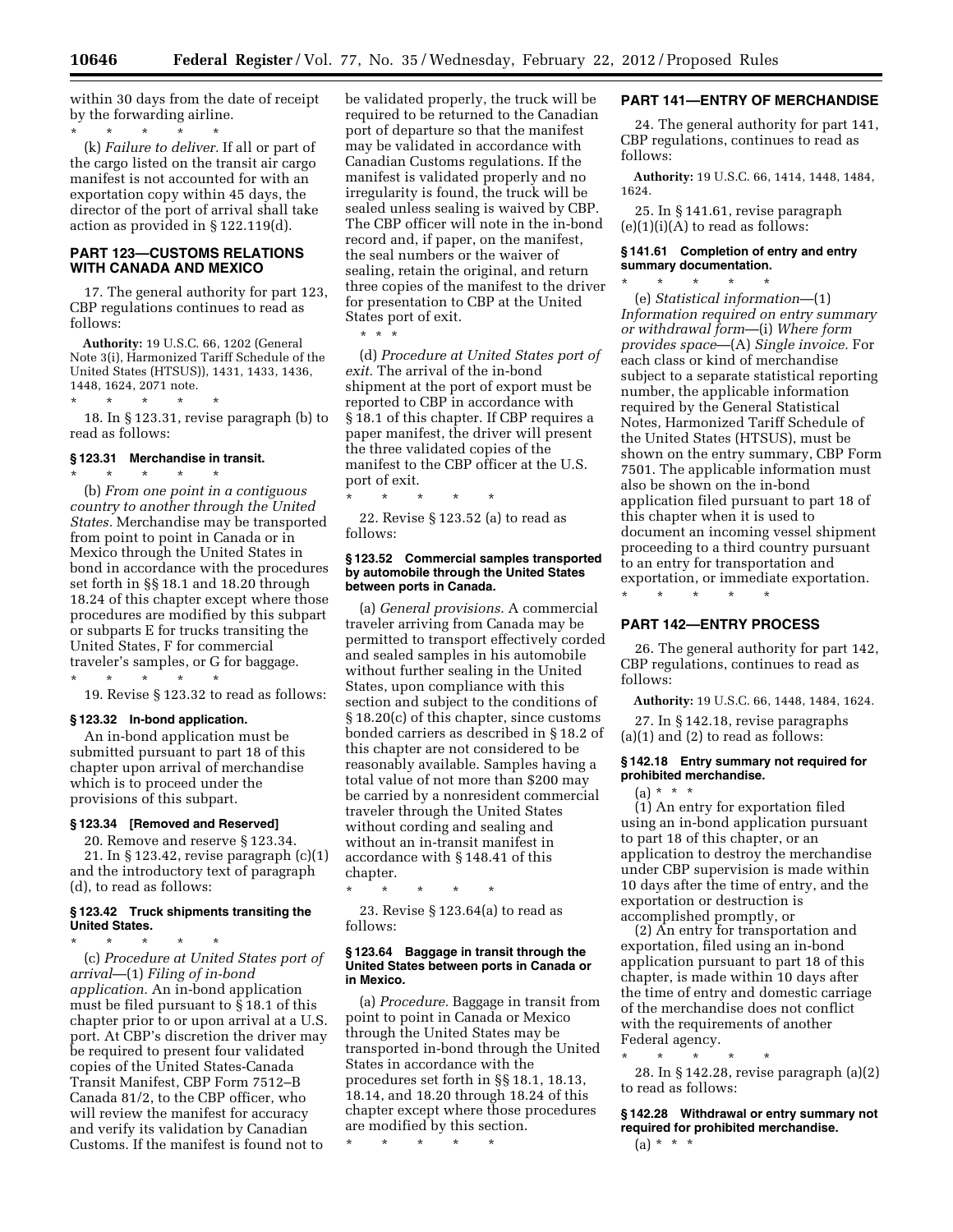within 30 days from the date of receipt by the forwarding airline.

\* \* \* \* \* (k) *Failure to deliver.* If all or part of the cargo listed on the transit air cargo manifest is not accounted for with an exportation copy within 45 days, the director of the port of arrival shall take action as provided in § 122.119(d).

# **PART 123—CUSTOMS RELATIONS WITH CANADA AND MEXICO**

17. The general authority for part 123, CBP regulations continues to read as follows:

**Authority:** 19 U.S.C. 66, 1202 (General Note 3(i), Harmonized Tariff Schedule of the United States (HTSUS)), 1431, 1433, 1436, 1448, 1624, 2071 note.

18. In § 123.31, revise paragraph (b) to read as follows:

#### **§ 123.31 Merchandise in transit.**  \* \* \* \* \*

\* \* \* \* \*

(b) *From one point in a contiguous country to another through the United States.* Merchandise may be transported from point to point in Canada or in Mexico through the United States in bond in accordance with the procedures set forth in §§ 18.1 and 18.20 through 18.24 of this chapter except where those procedures are modified by this subpart or subparts E for trucks transiting the United States, F for commercial traveler's samples, or G for baggage.

\* \* \* \* \* 19. Revise § 123.32 to read as follows:

#### **§ 123.32 In-bond application.**

An in-bond application must be submitted pursuant to part 18 of this chapter upon arrival of merchandise which is to proceed under the provisions of this subpart.

#### **§ 123.34 [Removed and Reserved]**

20. Remove and reserve § 123.34. 21. In § 123.42, revise paragraph (c)(1) and the introductory text of paragraph (d), to read as follows:

# **§ 123.42 Truck shipments transiting the United States.**

\* \* \* \* \* (c) *Procedure at United States port of arrival*—(1) *Filing of in-bond application.* An in-bond application must be filed pursuant to § 18.1 of this chapter prior to or upon arrival at a U.S. port. At CBP's discretion the driver may be required to present four validated copies of the United States-Canada Transit Manifest, CBP Form 7512–B Canada 81/2, to the CBP officer, who will review the manifest for accuracy and verify its validation by Canadian Customs. If the manifest is found not to

be validated properly, the truck will be required to be returned to the Canadian port of departure so that the manifest may be validated in accordance with Canadian Customs regulations. If the manifest is validated properly and no irregularity is found, the truck will be sealed unless sealing is waived by CBP. The CBP officer will note in the in-bond record and, if paper, on the manifest, the seal numbers or the waiver of sealing, retain the original, and return three copies of the manifest to the driver for presentation to CBP at the United States port of exit.

\* \* \*

(d) *Procedure at United States port of exit.* The arrival of the in-bond shipment at the port of export must be reported to CBP in accordance with § 18.1 of this chapter. If CBP requires a paper manifest, the driver will present the three validated copies of the manifest to the CBP officer at the U.S. port of exit.

\* \* \* \* \* 22. Revise § 123.52 (a) to read as follows:

#### **§ 123.52 Commercial samples transported by automobile through the United States between ports in Canada.**

(a) *General provisions.* A commercial traveler arriving from Canada may be permitted to transport effectively corded and sealed samples in his automobile without further sealing in the United States, upon compliance with this section and subject to the conditions of § 18.20(c) of this chapter, since customs bonded carriers as described in § 18.2 of this chapter are not considered to be reasonably available. Samples having a total value of not more than \$200 may be carried by a nonresident commercial traveler through the United States without cording and sealing and without an in-transit manifest in accordance with § 148.41 of this chapter.

\* \* \* \* \*

23. Revise § 123.64(a) to read as follows:

#### **§ 123.64 Baggage in transit through the United States between ports in Canada or in Mexico.**

(a) *Procedure.* Baggage in transit from point to point in Canada or Mexico through the United States may be transported in-bond through the United States in accordance with the procedures set forth in §§ 18.1, 18.13, 18.14, and 18.20 through 18.24 of this chapter except where those procedures are modified by this section.

\* \* \* \* \*

# **PART 141—ENTRY OF MERCHANDISE**

24. The general authority for part 141, CBP regulations, continues to read as follows:

**Authority:** 19 U.S.C. 66, 1414, 1448, 1484, 1624.

25. In § 141.61, revise paragraph  $(e)(1)(i)(A)$  to read as follows:

# **§ 141.61 Completion of entry and entry summary documentation.**

\* \* \* \* \* (e) *Statistical information*—(1) *Information required on entry summary or withdrawal form*—(i) *Where form provides space*—(A) *Single invoice.* For each class or kind of merchandise subject to a separate statistical reporting number, the applicable information required by the General Statistical Notes, Harmonized Tariff Schedule of the United States (HTSUS), must be shown on the entry summary, CBP Form 7501. The applicable information must also be shown on the in-bond application filed pursuant to part 18 of this chapter when it is used to document an incoming vessel shipment proceeding to a third country pursuant to an entry for transportation and exportation, or immediate exportation.

\* \* \* \* \*

# **PART 142—ENTRY PROCESS**

26. The general authority for part 142, CBP regulations, continues to read as follows:

**Authority:** 19 U.S.C. 66, 1448, 1484, 1624.

27. In § 142.18, revise paragraphs (a)(1) and (2) to read as follows:

#### **§ 142.18 Entry summary not required for prohibited merchandise.**

 $(a) * * * *$ 

(1) An entry for exportation filed using an in-bond application pursuant to part 18 of this chapter, or an application to destroy the merchandise under CBP supervision is made within 10 days after the time of entry, and the exportation or destruction is accomplished promptly, or

(2) An entry for transportation and exportation, filed using an in-bond application pursuant to part 18 of this chapter, is made within 10 days after the time of entry and domestic carriage of the merchandise does not conflict with the requirements of another Federal agency.

\* \* \* \* \* 28. In § 142.28, revise paragraph (a)(2) to read as follows:

**§ 142.28 Withdrawal or entry summary not required for prohibited merchandise.**   $(a) * * * *$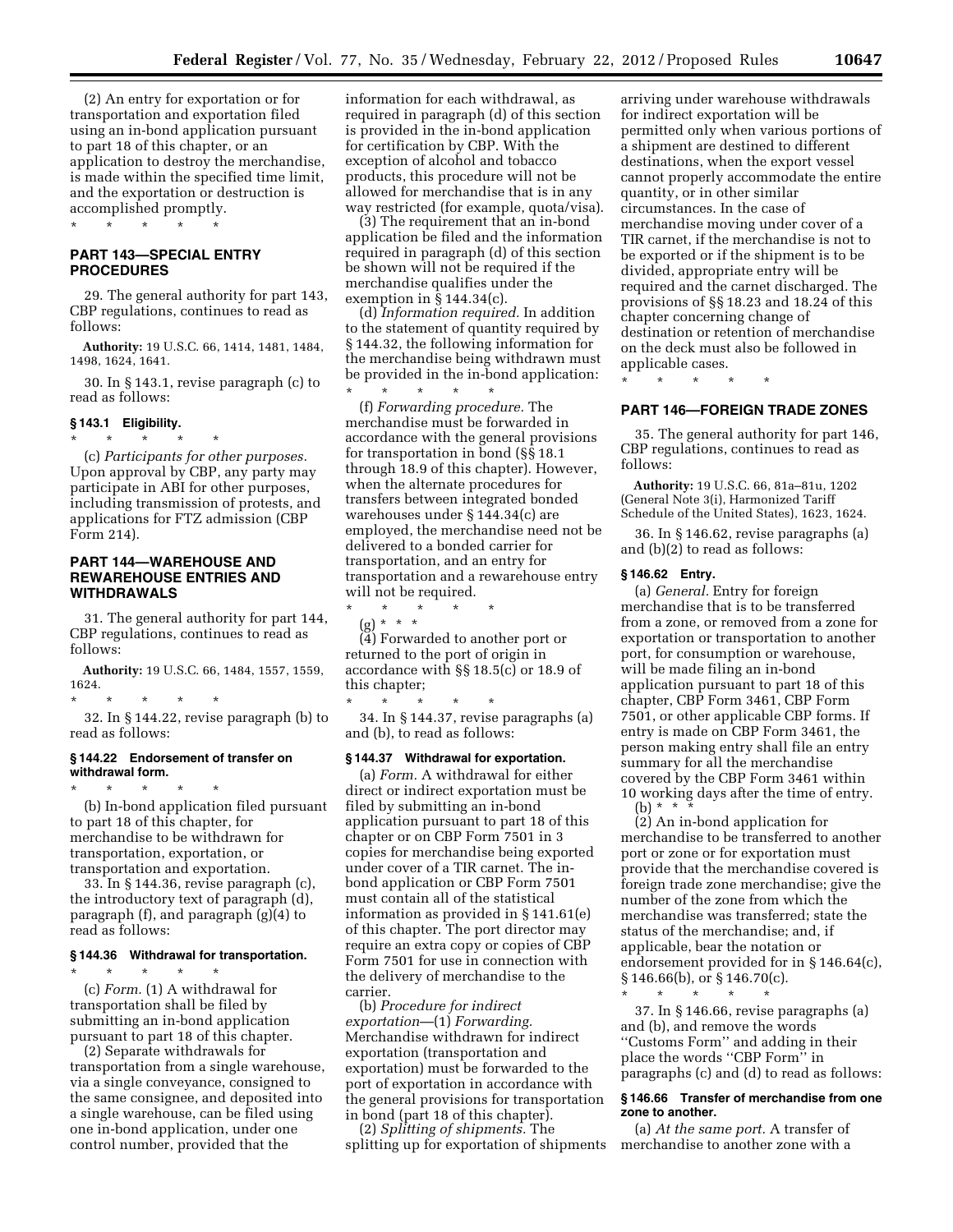(2) An entry for exportation or for transportation and exportation filed using an in-bond application pursuant to part 18 of this chapter, or an application to destroy the merchandise, is made within the specified time limit, and the exportation or destruction is accomplished promptly.

\* \* \* \* \*

# **PART 143—SPECIAL ENTRY PROCEDURES**

29. The general authority for part 143, CBP regulations, continues to read as follows:

**Authority:** 19 U.S.C. 66, 1414, 1481, 1484, 1498, 1624, 1641.

30. In § 143.1, revise paragraph (c) to read as follows:

# **§ 143.1 Eligibility.**   $\star$   $\star$   $\star$

(c) *Participants for other purposes.*  Upon approval by CBP, any party may participate in ABI for other purposes, including transmission of protests, and applications for FTZ admission (CBP Form 214).

# **PART 144—WAREHOUSE AND REWAREHOUSE ENTRIES AND WITHDRAWALS**

31. The general authority for part 144, CBP regulations, continues to read as follows:

**Authority:** 19 U.S.C. 66, 1484, 1557, 1559, 1624.

\* \* \* \* \* 32. In § 144.22, revise paragraph (b) to read as follows:

# **§ 144.22 Endorsement of transfer on withdrawal form.**

\* \* \* \* \* (b) In-bond application filed pursuant to part 18 of this chapter, for merchandise to be withdrawn for transportation, exportation, or transportation and exportation.

33. In § 144.36, revise paragraph (c), the introductory text of paragraph (d), paragraph (f), and paragraph (g)(4) to read as follows:

# **§ 144.36 Withdrawal for transportation.**

\* \* \* \* \* (c) *Form.* (1) A withdrawal for transportation shall be filed by submitting an in-bond application pursuant to part 18 of this chapter.

(2) Separate withdrawals for transportation from a single warehouse, via a single conveyance, consigned to the same consignee, and deposited into a single warehouse, can be filed using one in-bond application, under one control number, provided that the

information for each withdrawal, as required in paragraph (d) of this section is provided in the in-bond application for certification by CBP. With the exception of alcohol and tobacco products, this procedure will not be allowed for merchandise that is in any way restricted (for example, quota/visa).

(3) The requirement that an in-bond application be filed and the information required in paragraph (d) of this section be shown will not be required if the merchandise qualifies under the exemption in  $§ 144.34(c)$ .

(d) *Information required.* In addition to the statement of quantity required by § 144.32, the following information for the merchandise being withdrawn must be provided in the in-bond application:

\* \* \* \* \* (f) *Forwarding procedure.* The merchandise must be forwarded in accordance with the general provisions for transportation in bond (§§ 18.1 through 18.9 of this chapter). However, when the alternate procedures for transfers between integrated bonded warehouses under § 144.34(c) are employed, the merchandise need not be delivered to a bonded carrier for transportation, and an entry for transportation and a rewarehouse entry will not be required.

\* \* \* \* \*  $(g) * * * *$ (4) Forwarded to another port or returned to the port of origin in accordance with §§ 18.5(c) or 18.9 of

this chapter; \* \* \* \* \* 34. In § 144.37, revise paragraphs (a) and (b), to read as follows:

#### **§ 144.37 Withdrawal for exportation.**

(a) *Form.* A withdrawal for either direct or indirect exportation must be filed by submitting an in-bond application pursuant to part 18 of this chapter or on CBP Form 7501 in 3 copies for merchandise being exported under cover of a TIR carnet. The inbond application or CBP Form 7501 must contain all of the statistical information as provided in § 141.61(e) of this chapter. The port director may require an extra copy or copies of CBP Form 7501 for use in connection with the delivery of merchandise to the carrier.

(b) *Procedure for indirect exportation*—(1) *Forwarding.*  Merchandise withdrawn for indirect exportation (transportation and exportation) must be forwarded to the port of exportation in accordance with the general provisions for transportation in bond (part 18 of this chapter).

(2) *Splitting of shipments.* The splitting up for exportation of shipments

arriving under warehouse withdrawals for indirect exportation will be permitted only when various portions of a shipment are destined to different destinations, when the export vessel cannot properly accommodate the entire quantity, or in other similar circumstances. In the case of merchandise moving under cover of a TIR carnet, if the merchandise is not to be exported or if the shipment is to be divided, appropriate entry will be required and the carnet discharged. The provisions of §§ 18.23 and 18.24 of this chapter concerning change of destination or retention of merchandise on the deck must also be followed in applicable cases.

\* \* \* \* \*

# **PART 146—FOREIGN TRADE ZONES**

35. The general authority for part 146, CBP regulations, continues to read as follows:

**Authority:** 19 U.S.C. 66, 81a–81u, 1202 (General Note 3(i), Harmonized Tariff Schedule of the United States), 1623, 1624.

36. In § 146.62, revise paragraphs (a) and (b)(2) to read as follows:

#### **§ 146.62 Entry.**

(a) *General.* Entry for foreign merchandise that is to be transferred from a zone, or removed from a zone for exportation or transportation to another port, for consumption or warehouse, will be made filing an in-bond application pursuant to part 18 of this chapter, CBP Form 3461, CBP Form 7501, or other applicable CBP forms. If entry is made on CBP Form 3461, the person making entry shall file an entry summary for all the merchandise covered by the CBP Form 3461 within 10 working days after the time of entry. (b) \* \* \*

(2) An in-bond application for merchandise to be transferred to another port or zone or for exportation must provide that the merchandise covered is foreign trade zone merchandise; give the number of the zone from which the merchandise was transferred; state the status of the merchandise; and, if applicable, bear the notation or endorsement provided for in § 146.64(c), § 146.66(b), or § 146.70(c).

37. In § 146.66, revise paragraphs (a) and (b), and remove the words ''Customs Form'' and adding in their place the words ''CBP Form'' in paragraphs (c) and (d) to read as follows:

\* \* \* \* \*

# **§ 146.66 Transfer of merchandise from one zone to another.**

(a) *At the same port.* A transfer of merchandise to another zone with a